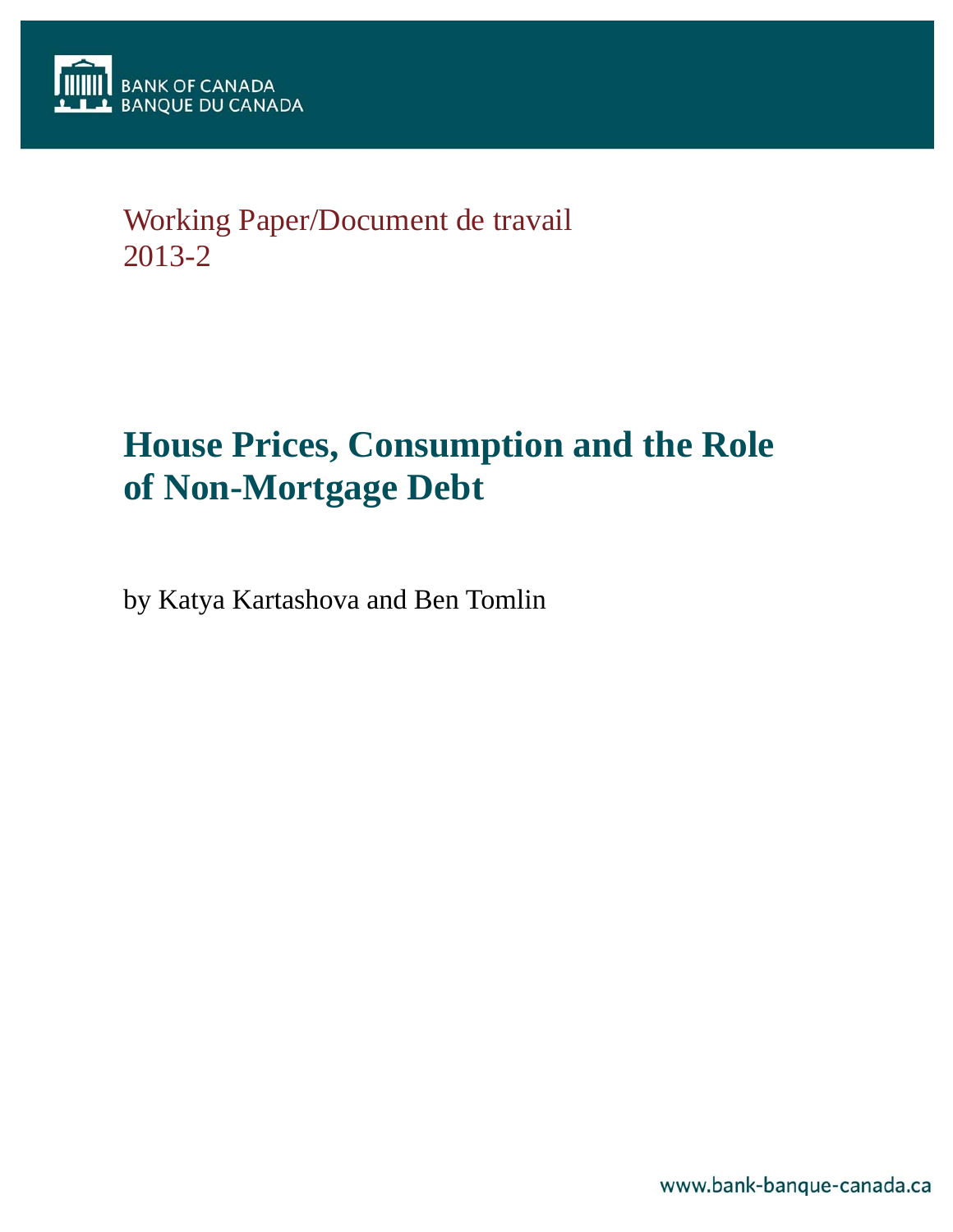

## Working Paper/Document de travail 2013-2

# **House Prices, Consumption and the Role of Non-Mortgage Debt**

by Katya Kartashova and Ben Tomlin

www.bank-banque-canada.ca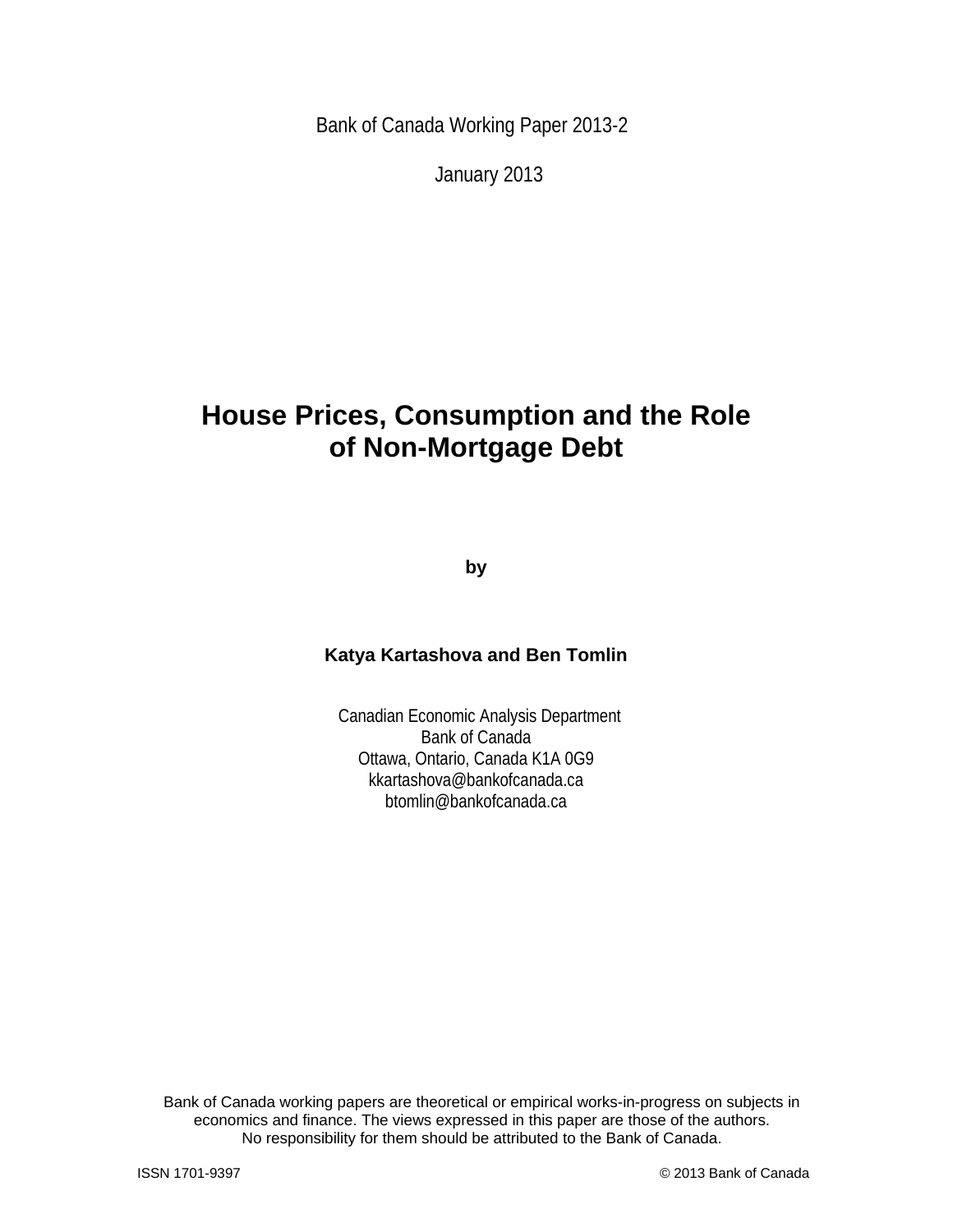Bank of Canada Working Paper 2013-2

January 2013

## **House Prices, Consumption and the Role of Non-Mortgage Debt**

**by** 

## **Katya Kartashova and Ben Tomlin**

 Canadian Economic Analysis Department Bank of Canada Ottawa, Ontario, Canada K1A 0G9 kkartashova@bankofcanada.ca btomlin@bankofcanada.ca

Bank of Canada working papers are theoretical or empirical works-in-progress on subjects in economics and finance. The views expressed in this paper are those of the authors. No responsibility for them should be attributed to the Bank of Canada.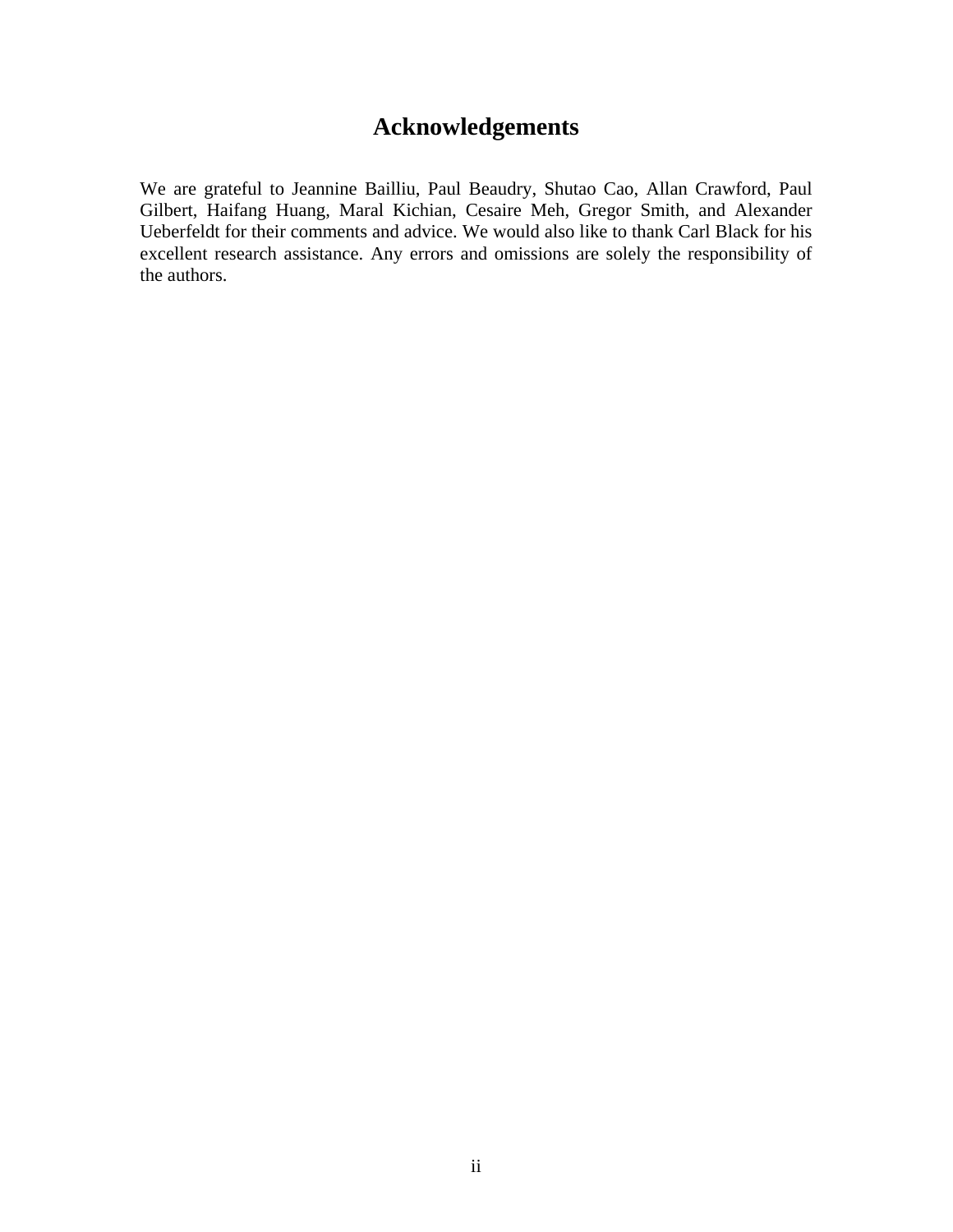## **Acknowledgements**

We are grateful to Jeannine Bailliu, Paul Beaudry, Shutao Cao, Allan Crawford, Paul Gilbert, Haifang Huang, Maral Kichian, Cesaire Meh, Gregor Smith, and Alexander Ueberfeldt for their comments and advice. We would also like to thank Carl Black for his excellent research assistance. Any errors and omissions are solely the responsibility of the authors.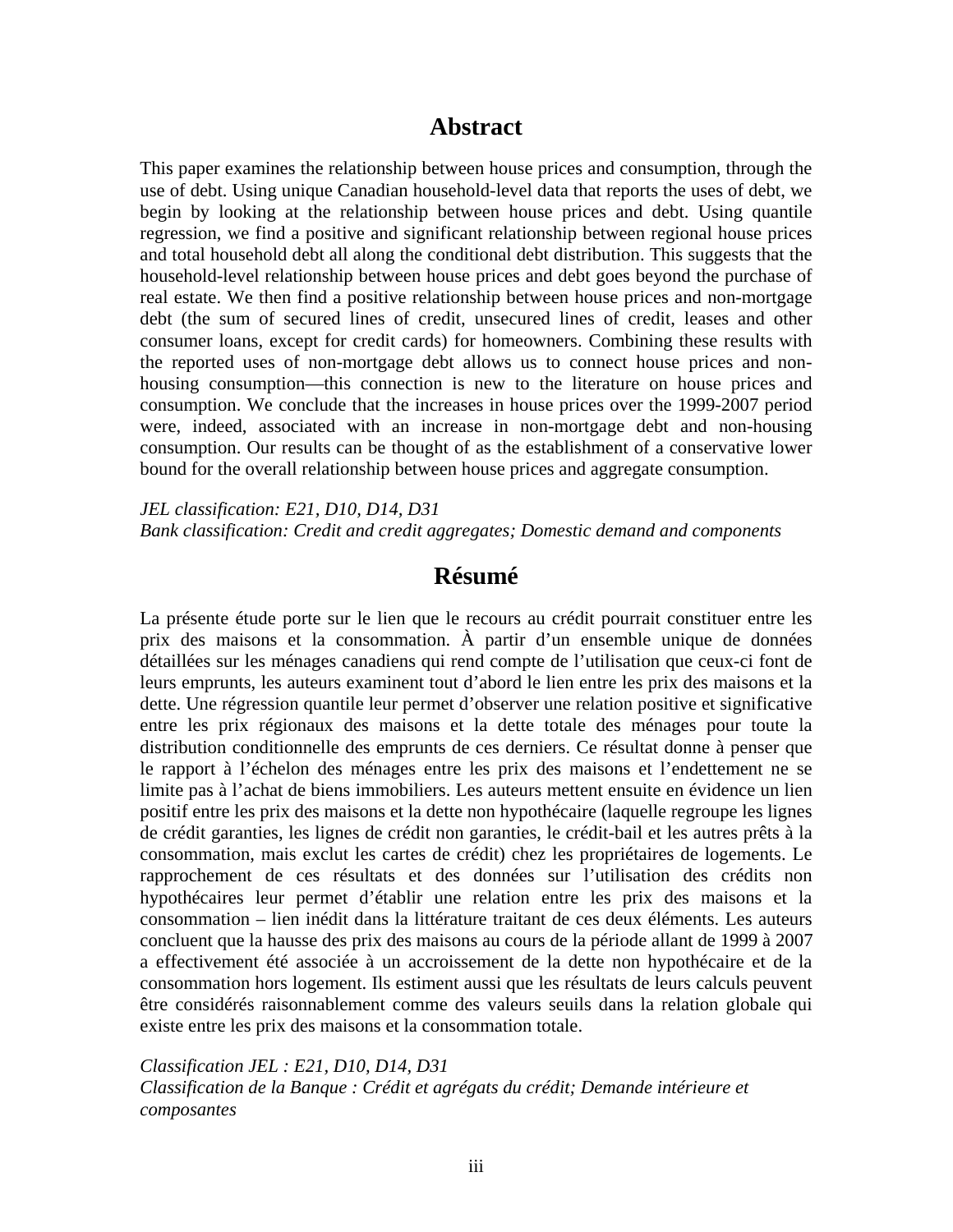## **Abstract**

This paper examines the relationship between house prices and consumption, through the use of debt. Using unique Canadian household-level data that reports the uses of debt, we begin by looking at the relationship between house prices and debt. Using quantile regression, we find a positive and significant relationship between regional house prices and total household debt all along the conditional debt distribution. This suggests that the household-level relationship between house prices and debt goes beyond the purchase of real estate. We then find a positive relationship between house prices and non-mortgage debt (the sum of secured lines of credit, unsecured lines of credit, leases and other consumer loans, except for credit cards) for homeowners. Combining these results with the reported uses of non-mortgage debt allows us to connect house prices and nonhousing consumption—this connection is new to the literature on house prices and consumption. We conclude that the increases in house prices over the 1999-2007 period were, indeed, associated with an increase in non-mortgage debt and non-housing consumption. Our results can be thought of as the establishment of a conservative lower bound for the overall relationship between house prices and aggregate consumption.

*JEL classification: E21, D10, D14, D31 Bank classification: Credit and credit aggregates; Domestic demand and components* 

## **Résumé**

La présente étude porte sur le lien que le recours au crédit pourrait constituer entre les prix des maisons et la consommation. À partir d'un ensemble unique de données détaillées sur les ménages canadiens qui rend compte de l'utilisation que ceux-ci font de leurs emprunts, les auteurs examinent tout d'abord le lien entre les prix des maisons et la dette. Une régression quantile leur permet d'observer une relation positive et significative entre les prix régionaux des maisons et la dette totale des ménages pour toute la distribution conditionnelle des emprunts de ces derniers. Ce résultat donne à penser que le rapport à l'échelon des ménages entre les prix des maisons et l'endettement ne se limite pas à l'achat de biens immobiliers. Les auteurs mettent ensuite en évidence un lien positif entre les prix des maisons et la dette non hypothécaire (laquelle regroupe les lignes de crédit garanties, les lignes de crédit non garanties, le crédit-bail et les autres prêts à la consommation, mais exclut les cartes de crédit) chez les propriétaires de logements. Le rapprochement de ces résultats et des données sur l'utilisation des crédits non hypothécaires leur permet d'établir une relation entre les prix des maisons et la consommation – lien inédit dans la littérature traitant de ces deux éléments. Les auteurs concluent que la hausse des prix des maisons au cours de la période allant de 1999 à 2007 a effectivement été associée à un accroissement de la dette non hypothécaire et de la consommation hors logement. Ils estiment aussi que les résultats de leurs calculs peuvent être considérés raisonnablement comme des valeurs seuils dans la relation globale qui existe entre les prix des maisons et la consommation totale.

*Classification JEL : E21, D10, D14, D31 Classification de la Banque : Crédit et agrégats du crédit; Demande intérieure et composantes*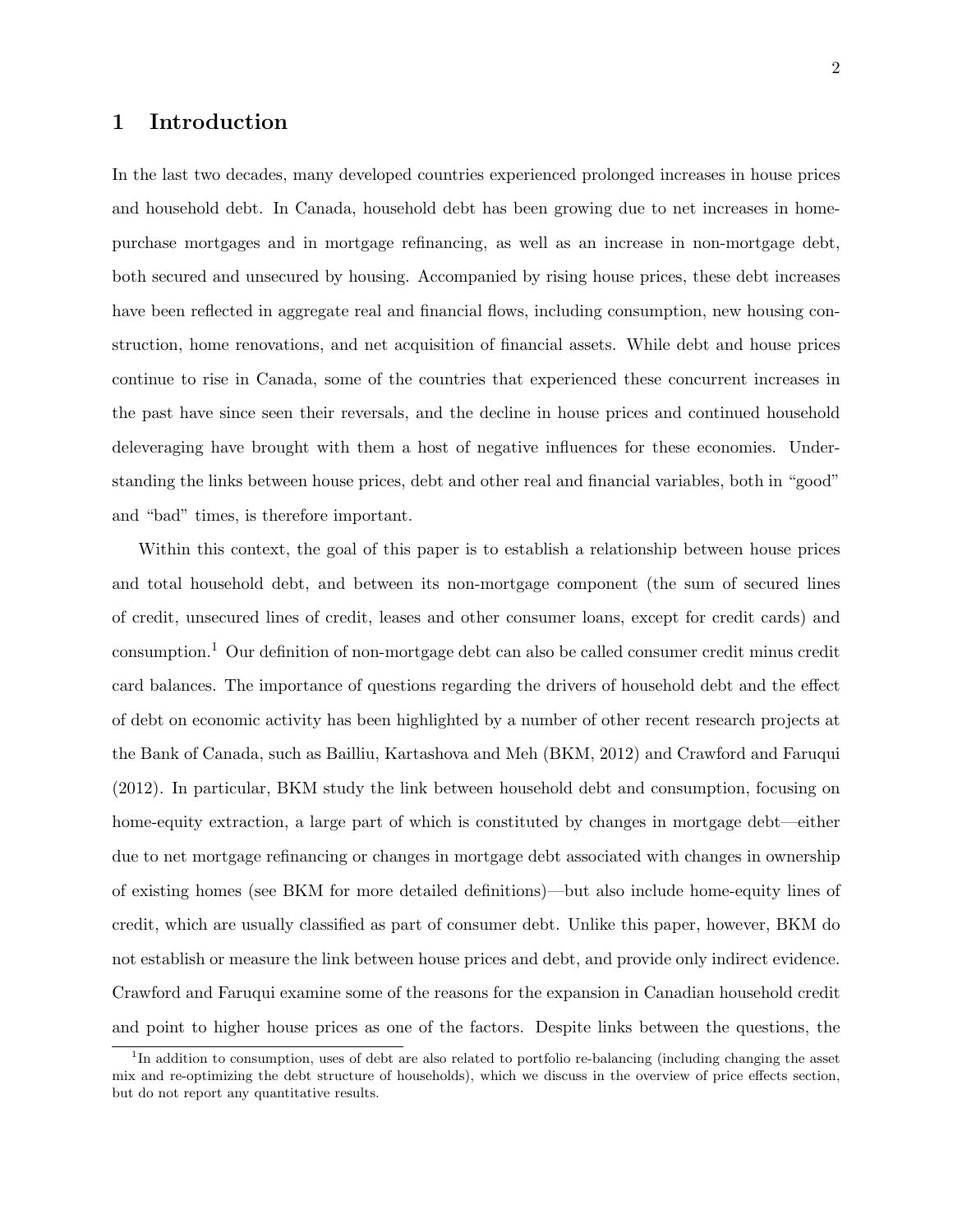## 1 Introduction

In the last two decades, many developed countries experienced prolonged increases in house prices and household debt. In Canada, household debt has been growing due to net increases in homepurchase mortgages and in mortgage refinancing, as well as an increase in non-mortgage debt, both secured and unsecured by housing. Accompanied by rising house prices, these debt increases have been reflected in aggregate real and financial flows, including consumption, new housing construction, home renovations, and net acquisition of financial assets. While debt and house prices continue to rise in Canada, some of the countries that experienced these concurrent increases in the past have since seen their reversals, and the decline in house prices and continued household deleveraging have brought with them a host of negative influences for these economies. Understanding the links between house prices, debt and other real and financial variables, both in "good" and "bad" times, is therefore important.

Within this context, the goal of this paper is to establish a relationship between house prices and total household debt, and between its non-mortgage component (the sum of secured lines of credit, unsecured lines of credit, leases and other consumer loans, except for credit cards) and consumption.<sup>1</sup> Our definition of non-mortgage debt can also be called consumer credit minus credit card balances. The importance of questions regarding the drivers of household debt and the effect of debt on economic activity has been highlighted by a number of other recent research projects at the Bank of Canada, such as Bailliu, Kartashova and Meh (BKM, 2012) and Crawford and Faruqui (2012). In particular, BKM study the link between household debt and consumption, focusing on home-equity extraction, a large part of which is constituted by changes in mortgage debt—either due to net mortgage refinancing or changes in mortgage debt associated with changes in ownership of existing homes (see BKM for more detailed definitions)—but also include home-equity lines of credit, which are usually classified as part of consumer debt. Unlike this paper, however, BKM do not establish or measure the link between house prices and debt, and provide only indirect evidence. Crawford and Faruqui examine some of the reasons for the expansion in Canadian household credit and point to higher house prices as one of the factors. Despite links between the questions, the

<sup>&</sup>lt;sup>1</sup>In addition to consumption, uses of debt are also related to portfolio re-balancing (including changing the asset mix and re-optimizing the debt structure of households), which we discuss in the overview of price effects section, but do not report any quantitative results.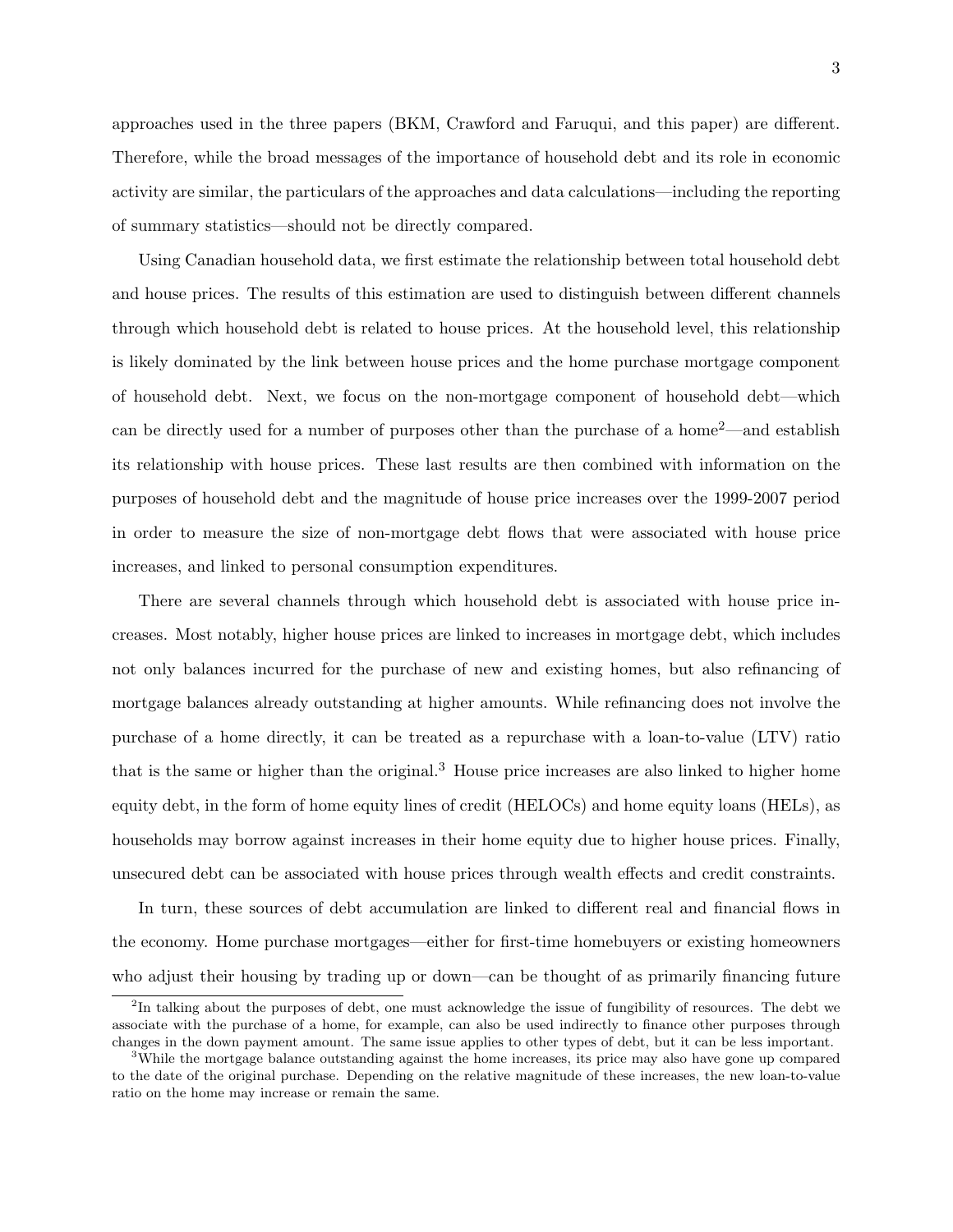approaches used in the three papers (BKM, Crawford and Faruqui, and this paper) are different. Therefore, while the broad messages of the importance of household debt and its role in economic activity are similar, the particulars of the approaches and data calculations—including the reporting of summary statistics—should not be directly compared.

Using Canadian household data, we first estimate the relationship between total household debt and house prices. The results of this estimation are used to distinguish between different channels through which household debt is related to house prices. At the household level, this relationship is likely dominated by the link between house prices and the home purchase mortgage component of household debt. Next, we focus on the non-mortgage component of household debt—which can be directly used for a number of purposes other than the purchase of a home2—and establish its relationship with house prices. These last results are then combined with information on the purposes of household debt and the magnitude of house price increases over the 1999-2007 period in order to measure the size of non-mortgage debt flows that were associated with house price increases, and linked to personal consumption expenditures.

There are several channels through which household debt is associated with house price increases. Most notably, higher house prices are linked to increases in mortgage debt, which includes not only balances incurred for the purchase of new and existing homes, but also refinancing of mortgage balances already outstanding at higher amounts. While refinancing does not involve the purchase of a home directly, it can be treated as a repurchase with a loan-to-value (LTV) ratio that is the same or higher than the original.<sup>3</sup> House price increases are also linked to higher home equity debt, in the form of home equity lines of credit (HELOCs) and home equity loans (HELs), as households may borrow against increases in their home equity due to higher house prices. Finally, unsecured debt can be associated with house prices through wealth effects and credit constraints.

In turn, these sources of debt accumulation are linked to different real and financial flows in the economy. Home purchase mortgages—either for first-time homebuyers or existing homeowners who adjust their housing by trading up or down—can be thought of as primarily financing future

<sup>&</sup>lt;sup>2</sup>In talking about the purposes of debt, one must acknowledge the issue of fungibility of resources. The debt we associate with the purchase of a home, for example, can also be used indirectly to finance other purposes through changes in the down payment amount. The same issue applies to other types of debt, but it can be less important.

<sup>&</sup>lt;sup>3</sup>While the mortgage balance outstanding against the home increases, its price may also have gone up compared to the date of the original purchase. Depending on the relative magnitude of these increases, the new loan-to-value ratio on the home may increase or remain the same.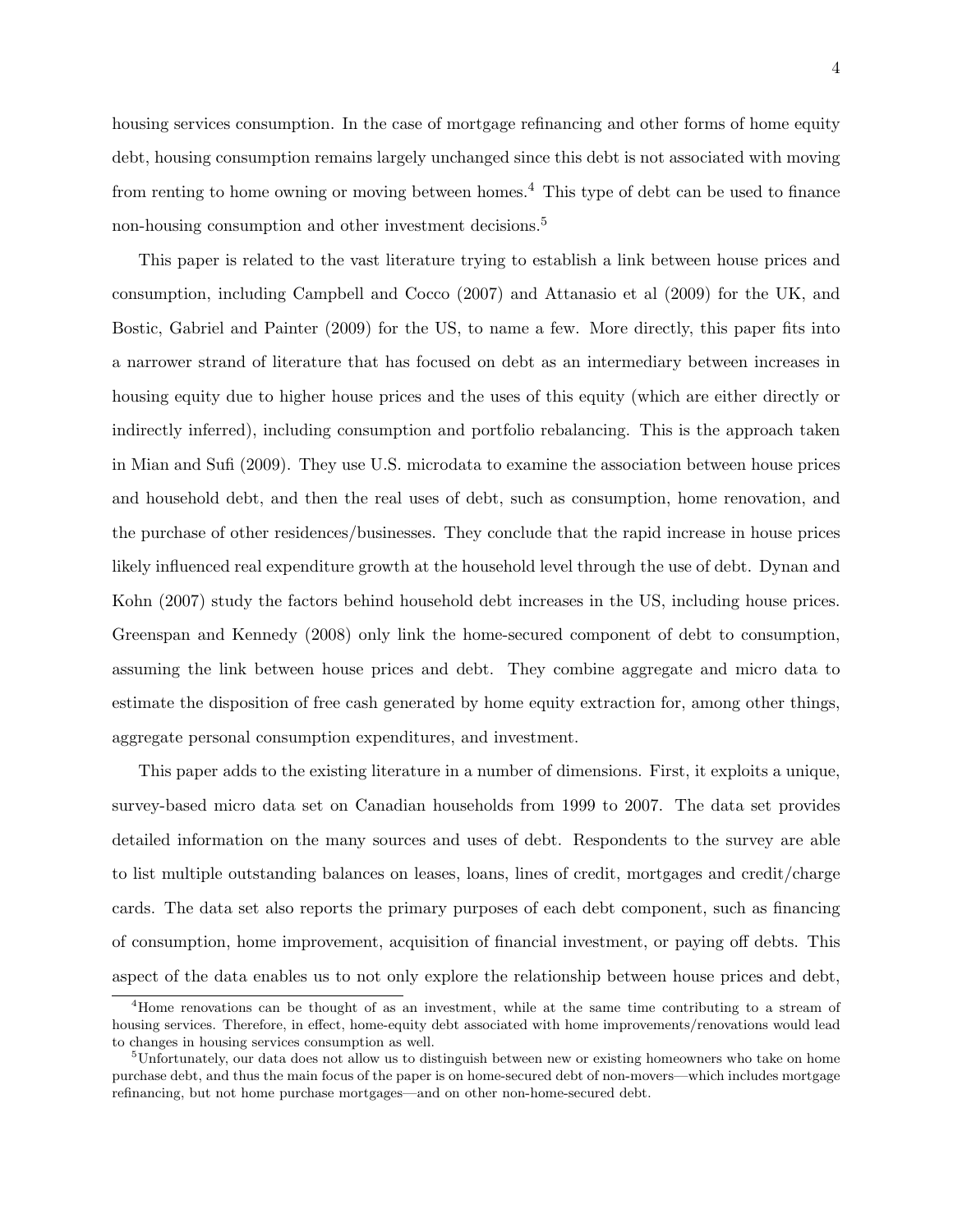4

housing services consumption. In the case of mortgage refinancing and other forms of home equity debt, housing consumption remains largely unchanged since this debt is not associated with moving from renting to home owning or moving between homes.<sup>4</sup> This type of debt can be used to finance non-housing consumption and other investment decisions.<sup>5</sup>

This paper is related to the vast literature trying to establish a link between house prices and consumption, including Campbell and Cocco (2007) and Attanasio et al (2009) for the UK, and Bostic, Gabriel and Painter (2009) for the US, to name a few. More directly, this paper fits into a narrower strand of literature that has focused on debt as an intermediary between increases in housing equity due to higher house prices and the uses of this equity (which are either directly or indirectly inferred), including consumption and portfolio rebalancing. This is the approach taken in Mian and Sufi (2009). They use U.S. microdata to examine the association between house prices and household debt, and then the real uses of debt, such as consumption, home renovation, and the purchase of other residences/businesses. They conclude that the rapid increase in house prices likely influenced real expenditure growth at the household level through the use of debt. Dynan and Kohn (2007) study the factors behind household debt increases in the US, including house prices. Greenspan and Kennedy (2008) only link the home-secured component of debt to consumption, assuming the link between house prices and debt. They combine aggregate and micro data to estimate the disposition of free cash generated by home equity extraction for, among other things, aggregate personal consumption expenditures, and investment.

This paper adds to the existing literature in a number of dimensions. First, it exploits a unique, survey-based micro data set on Canadian households from 1999 to 2007. The data set provides detailed information on the many sources and uses of debt. Respondents to the survey are able to list multiple outstanding balances on leases, loans, lines of credit, mortgages and credit/charge cards. The data set also reports the primary purposes of each debt component, such as financing of consumption, home improvement, acquisition of financial investment, or paying off debts. This aspect of the data enables us to not only explore the relationship between house prices and debt,

<sup>4</sup>Home renovations can be thought of as an investment, while at the same time contributing to a stream of housing services. Therefore, in effect, home-equity debt associated with home improvements/renovations would lead to changes in housing services consumption as well.

<sup>5</sup>Unfortunately, our data does not allow us to distinguish between new or existing homeowners who take on home purchase debt, and thus the main focus of the paper is on home-secured debt of non-movers—which includes mortgage refinancing, but not home purchase mortgages—and on other non-home-secured debt.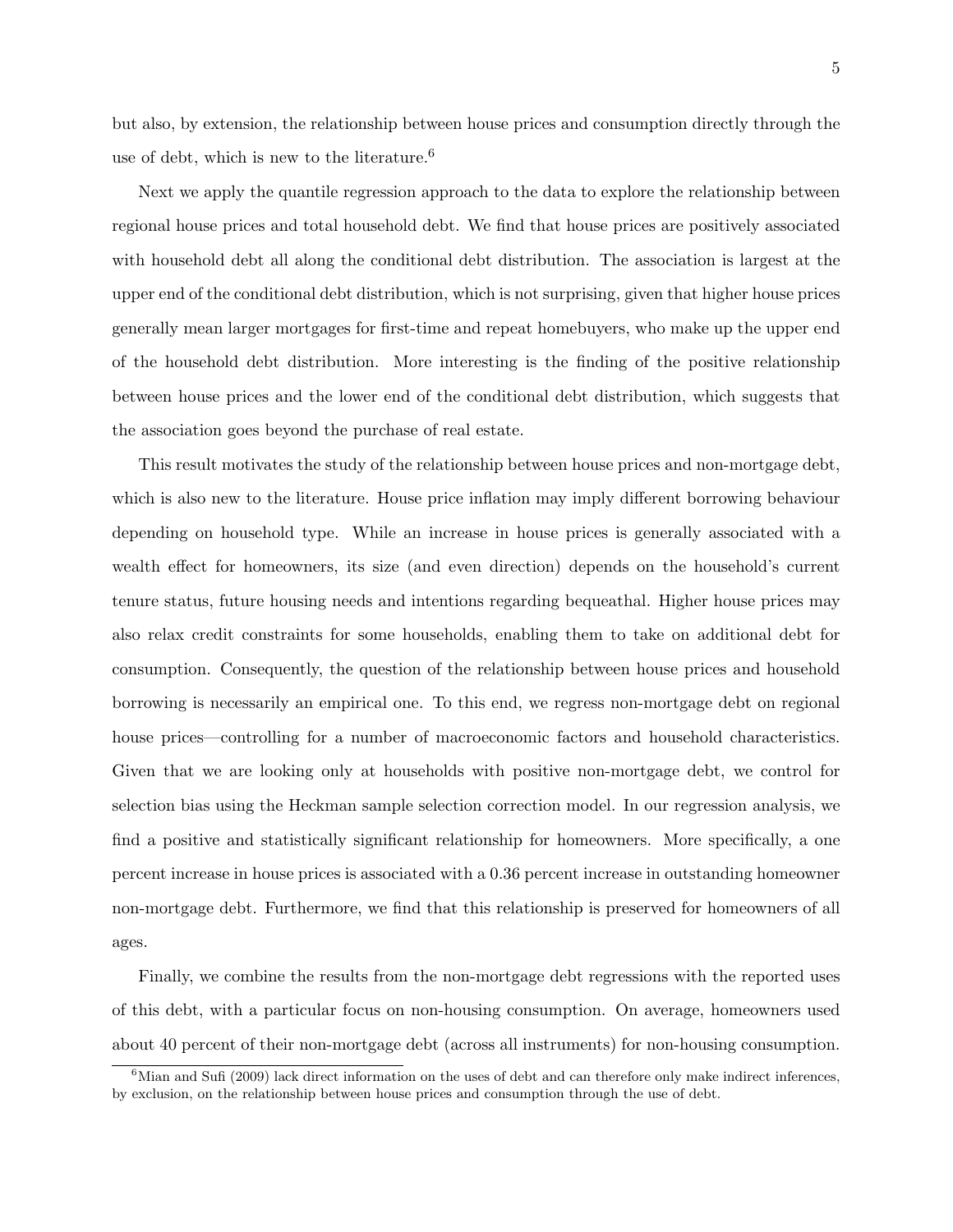but also, by extension, the relationship between house prices and consumption directly through the use of debt, which is new to the literature.<sup>6</sup>

Next we apply the quantile regression approach to the data to explore the relationship between regional house prices and total household debt. We find that house prices are positively associated with household debt all along the conditional debt distribution. The association is largest at the upper end of the conditional debt distribution, which is not surprising, given that higher house prices generally mean larger mortgages for first-time and repeat homebuyers, who make up the upper end of the household debt distribution. More interesting is the finding of the positive relationship between house prices and the lower end of the conditional debt distribution, which suggests that the association goes beyond the purchase of real estate.

This result motivates the study of the relationship between house prices and non-mortgage debt, which is also new to the literature. House price inflation may imply different borrowing behaviour depending on household type. While an increase in house prices is generally associated with a wealth effect for homeowners, its size (and even direction) depends on the household's current tenure status, future housing needs and intentions regarding bequeathal. Higher house prices may also relax credit constraints for some households, enabling them to take on additional debt for consumption. Consequently, the question of the relationship between house prices and household borrowing is necessarily an empirical one. To this end, we regress non-mortgage debt on regional house prices—controlling for a number of macroeconomic factors and household characteristics. Given that we are looking only at households with positive non-mortgage debt, we control for selection bias using the Heckman sample selection correction model. In our regression analysis, we find a positive and statistically significant relationship for homeowners. More specifically, a one percent increase in house prices is associated with a 0.36 percent increase in outstanding homeowner non-mortgage debt. Furthermore, we find that this relationship is preserved for homeowners of all ages.

Finally, we combine the results from the non-mortgage debt regressions with the reported uses of this debt, with a particular focus on non-housing consumption. On average, homeowners used about 40 percent of their non-mortgage debt (across all instruments) for non-housing consumption.

 $6$ Mian and Sufi (2009) lack direct information on the uses of debt and can therefore only make indirect inferences, by exclusion, on the relationship between house prices and consumption through the use of debt.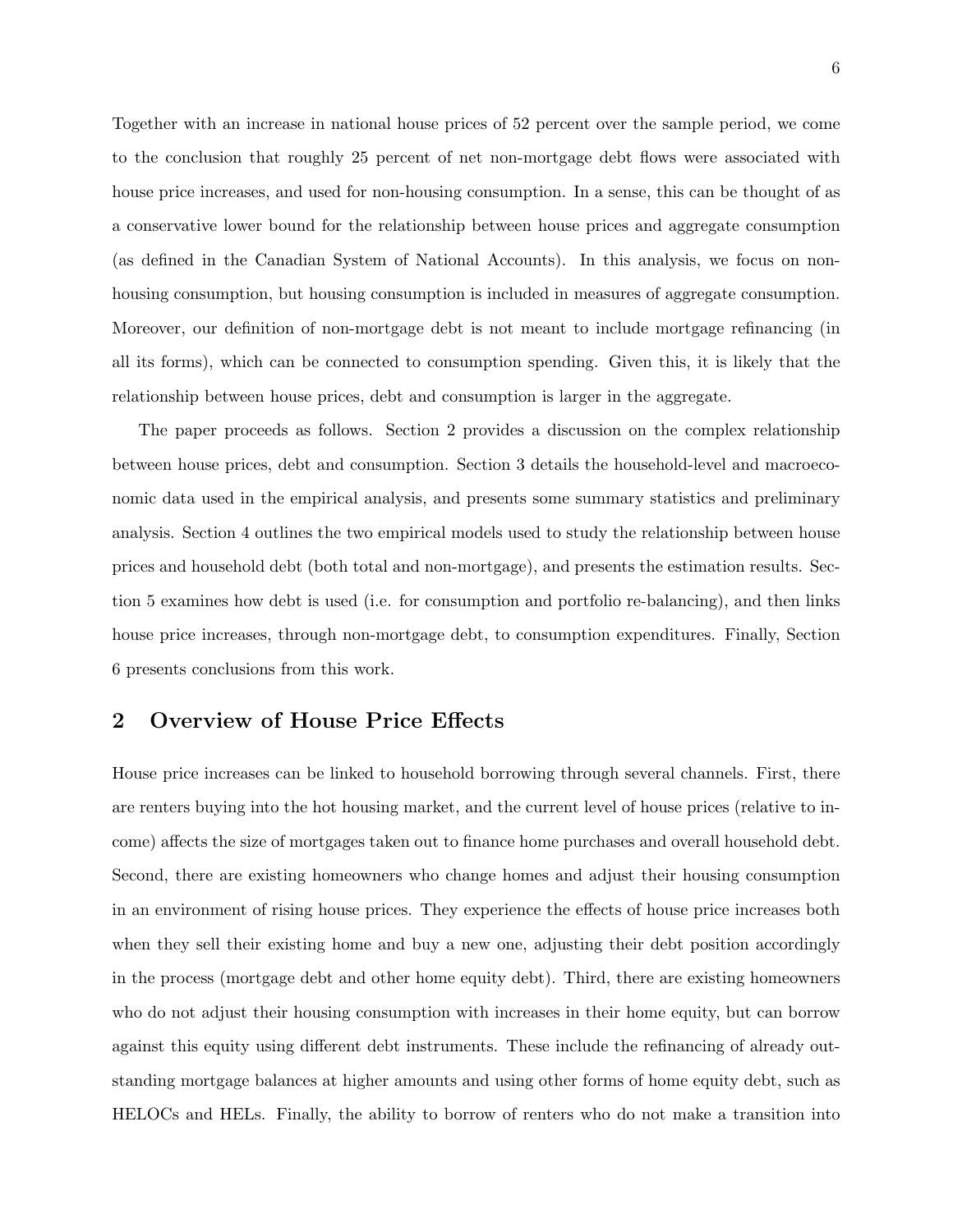Together with an increase in national house prices of 52 percent over the sample period, we come to the conclusion that roughly 25 percent of net non-mortgage debt flows were associated with house price increases, and used for non-housing consumption. In a sense, this can be thought of as a conservative lower bound for the relationship between house prices and aggregate consumption (as defined in the Canadian System of National Accounts). In this analysis, we focus on nonhousing consumption, but housing consumption is included in measures of aggregate consumption. Moreover, our definition of non-mortgage debt is not meant to include mortgage refinancing (in all its forms), which can be connected to consumption spending. Given this, it is likely that the relationship between house prices, debt and consumption is larger in the aggregate.

The paper proceeds as follows. Section 2 provides a discussion on the complex relationship between house prices, debt and consumption. Section 3 details the household-level and macroeconomic data used in the empirical analysis, and presents some summary statistics and preliminary analysis. Section 4 outlines the two empirical models used to study the relationship between house prices and household debt (both total and non-mortgage), and presents the estimation results. Section 5 examines how debt is used (i.e. for consumption and portfolio re-balancing), and then links house price increases, through non-mortgage debt, to consumption expenditures. Finally, Section 6 presents conclusions from this work.

## 2 Overview of House Price Effects

House price increases can be linked to household borrowing through several channels. First, there are renters buying into the hot housing market, and the current level of house prices (relative to income) affects the size of mortgages taken out to finance home purchases and overall household debt. Second, there are existing homeowners who change homes and adjust their housing consumption in an environment of rising house prices. They experience the effects of house price increases both when they sell their existing home and buy a new one, adjusting their debt position accordingly in the process (mortgage debt and other home equity debt). Third, there are existing homeowners who do not adjust their housing consumption with increases in their home equity, but can borrow against this equity using different debt instruments. These include the refinancing of already outstanding mortgage balances at higher amounts and using other forms of home equity debt, such as HELOCs and HELs. Finally, the ability to borrow of renters who do not make a transition into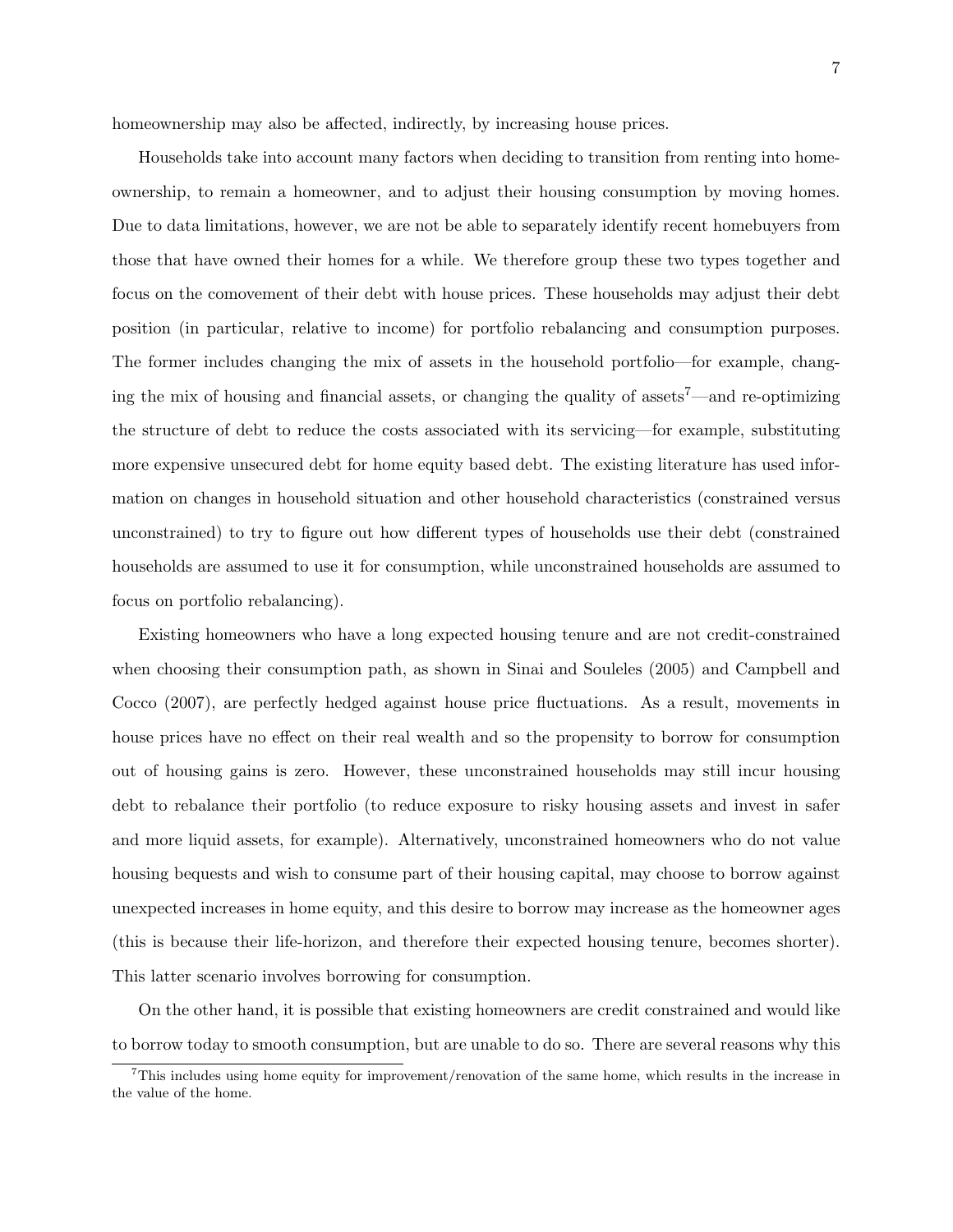homeownership may also be affected, indirectly, by increasing house prices.

Households take into account many factors when deciding to transition from renting into homeownership, to remain a homeowner, and to adjust their housing consumption by moving homes. Due to data limitations, however, we are not be able to separately identify recent homebuyers from those that have owned their homes for a while. We therefore group these two types together and focus on the comovement of their debt with house prices. These households may adjust their debt position (in particular, relative to income) for portfolio rebalancing and consumption purposes. The former includes changing the mix of assets in the household portfolio—for example, changing the mix of housing and financial assets, or changing the quality of assets7—and re-optimizing the structure of debt to reduce the costs associated with its servicing—for example, substituting more expensive unsecured debt for home equity based debt. The existing literature has used information on changes in household situation and other household characteristics (constrained versus unconstrained) to try to figure out how different types of households use their debt (constrained households are assumed to use it for consumption, while unconstrained households are assumed to focus on portfolio rebalancing).

Existing homeowners who have a long expected housing tenure and are not credit-constrained when choosing their consumption path, as shown in Sinai and Souleles (2005) and Campbell and Cocco (2007), are perfectly hedged against house price fluctuations. As a result, movements in house prices have no effect on their real wealth and so the propensity to borrow for consumption out of housing gains is zero. However, these unconstrained households may still incur housing debt to rebalance their portfolio (to reduce exposure to risky housing assets and invest in safer and more liquid assets, for example). Alternatively, unconstrained homeowners who do not value housing bequests and wish to consume part of their housing capital, may choose to borrow against unexpected increases in home equity, and this desire to borrow may increase as the homeowner ages (this is because their life-horizon, and therefore their expected housing tenure, becomes shorter). This latter scenario involves borrowing for consumption.

On the other hand, it is possible that existing homeowners are credit constrained and would like to borrow today to smooth consumption, but are unable to do so. There are several reasons why this

<sup>&</sup>lt;sup>7</sup>This includes using home equity for improvement/renovation of the same home, which results in the increase in the value of the home.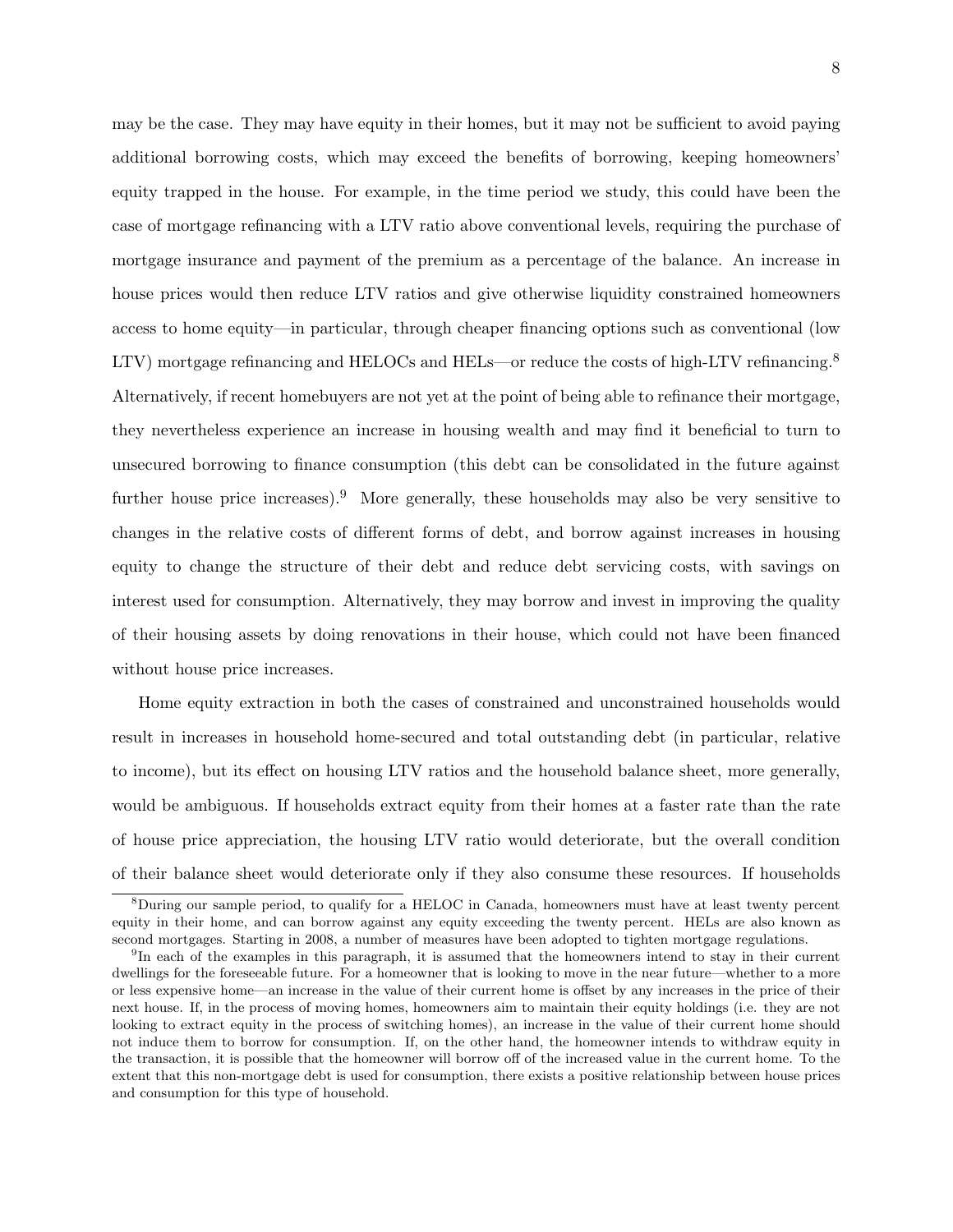may be the case. They may have equity in their homes, but it may not be sufficient to avoid paying additional borrowing costs, which may exceed the benefits of borrowing, keeping homeowners' equity trapped in the house. For example, in the time period we study, this could have been the case of mortgage refinancing with a LTV ratio above conventional levels, requiring the purchase of mortgage insurance and payment of the premium as a percentage of the balance. An increase in house prices would then reduce LTV ratios and give otherwise liquidity constrained homeowners access to home equity—in particular, through cheaper financing options such as conventional (low LTV) mortgage refinancing and HELOCs and HELs—or reduce the costs of high-LTV refinancing.<sup>8</sup> Alternatively, if recent homebuyers are not yet at the point of being able to refinance their mortgage, they nevertheless experience an increase in housing wealth and may find it beneficial to turn to unsecured borrowing to finance consumption (this debt can be consolidated in the future against further house price increases).<sup>9</sup> More generally, these households may also be very sensitive to changes in the relative costs of different forms of debt, and borrow against increases in housing equity to change the structure of their debt and reduce debt servicing costs, with savings on interest used for consumption. Alternatively, they may borrow and invest in improving the quality of their housing assets by doing renovations in their house, which could not have been financed without house price increases.

Home equity extraction in both the cases of constrained and unconstrained households would result in increases in household home-secured and total outstanding debt (in particular, relative to income), but its effect on housing LTV ratios and the household balance sheet, more generally, would be ambiguous. If households extract equity from their homes at a faster rate than the rate of house price appreciation, the housing LTV ratio would deteriorate, but the overall condition of their balance sheet would deteriorate only if they also consume these resources. If households

<sup>8</sup>During our sample period, to qualify for a HELOC in Canada, homeowners must have at least twenty percent equity in their home, and can borrow against any equity exceeding the twenty percent. HELs are also known as second mortgages. Starting in 2008, a number of measures have been adopted to tighten mortgage regulations.

<sup>&</sup>lt;sup>9</sup>In each of the examples in this paragraph, it is assumed that the homeowners intend to stay in their current dwellings for the foreseeable future. For a homeowner that is looking to move in the near future—whether to a more or less expensive home—an increase in the value of their current home is offset by any increases in the price of their next house. If, in the process of moving homes, homeowners aim to maintain their equity holdings (i.e. they are not looking to extract equity in the process of switching homes), an increase in the value of their current home should not induce them to borrow for consumption. If, on the other hand, the homeowner intends to withdraw equity in the transaction, it is possible that the homeowner will borrow off of the increased value in the current home. To the extent that this non-mortgage debt is used for consumption, there exists a positive relationship between house prices and consumption for this type of household.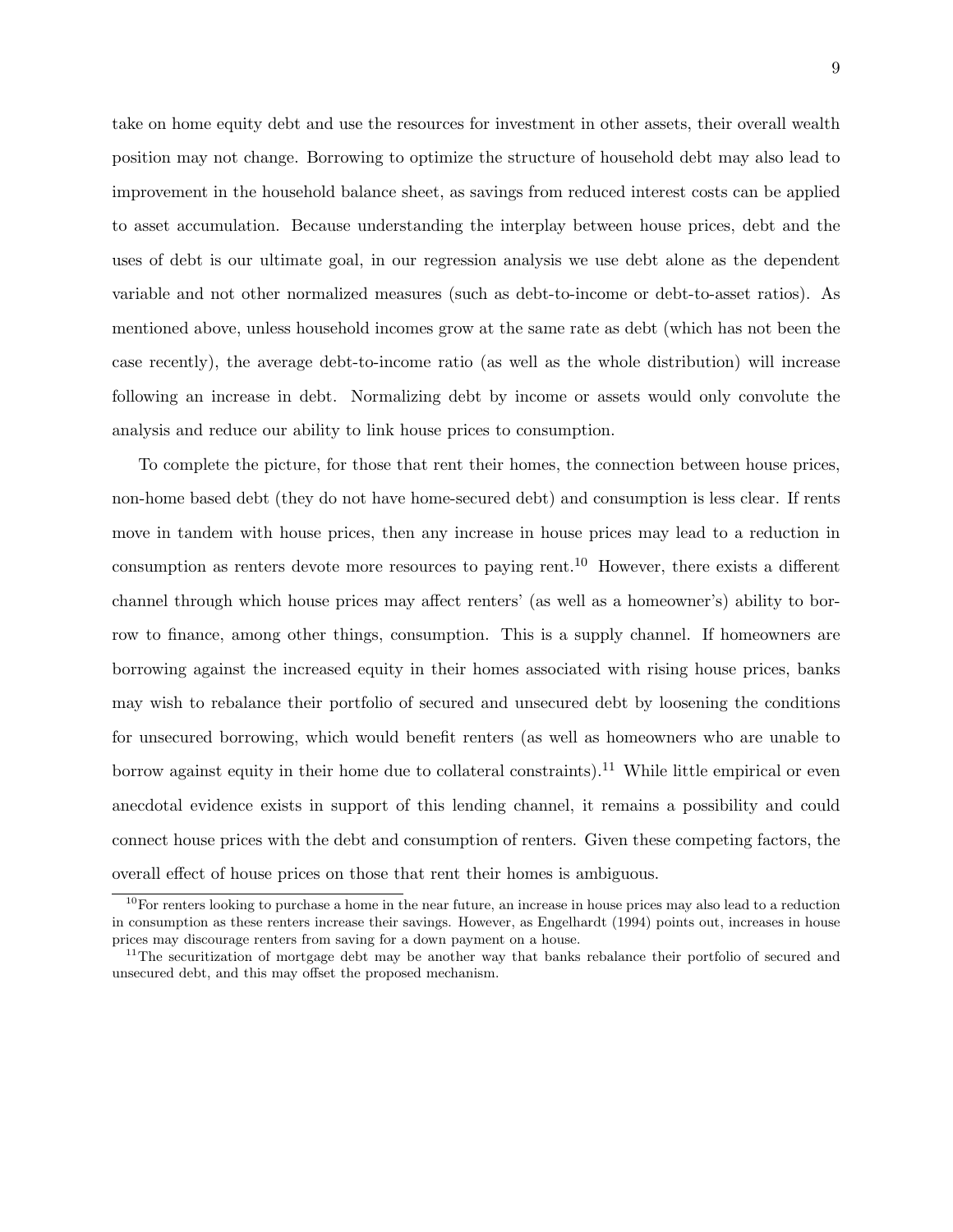take on home equity debt and use the resources for investment in other assets, their overall wealth position may not change. Borrowing to optimize the structure of household debt may also lead to improvement in the household balance sheet, as savings from reduced interest costs can be applied to asset accumulation. Because understanding the interplay between house prices, debt and the uses of debt is our ultimate goal, in our regression analysis we use debt alone as the dependent variable and not other normalized measures (such as debt-to-income or debt-to-asset ratios). As mentioned above, unless household incomes grow at the same rate as debt (which has not been the case recently), the average debt-to-income ratio (as well as the whole distribution) will increase following an increase in debt. Normalizing debt by income or assets would only convolute the analysis and reduce our ability to link house prices to consumption.

To complete the picture, for those that rent their homes, the connection between house prices, non-home based debt (they do not have home-secured debt) and consumption is less clear. If rents move in tandem with house prices, then any increase in house prices may lead to a reduction in consumption as renters devote more resources to paying rent.<sup>10</sup> However, there exists a different channel through which house prices may affect renters' (as well as a homeowner's) ability to borrow to finance, among other things, consumption. This is a supply channel. If homeowners are borrowing against the increased equity in their homes associated with rising house prices, banks may wish to rebalance their portfolio of secured and unsecured debt by loosening the conditions for unsecured borrowing, which would benefit renters (as well as homeowners who are unable to borrow against equity in their home due to collateral constraints).<sup>11</sup> While little empirical or even anecdotal evidence exists in support of this lending channel, it remains a possibility and could connect house prices with the debt and consumption of renters. Given these competing factors, the overall effect of house prices on those that rent their homes is ambiguous.

 $10$ For renters looking to purchase a home in the near future, an increase in house prices may also lead to a reduction in consumption as these renters increase their savings. However, as Engelhardt (1994) points out, increases in house prices may discourage renters from saving for a down payment on a house.

<sup>&</sup>lt;sup>11</sup>The securitization of mortgage debt may be another way that banks rebalance their portfolio of secured and unsecured debt, and this may offset the proposed mechanism.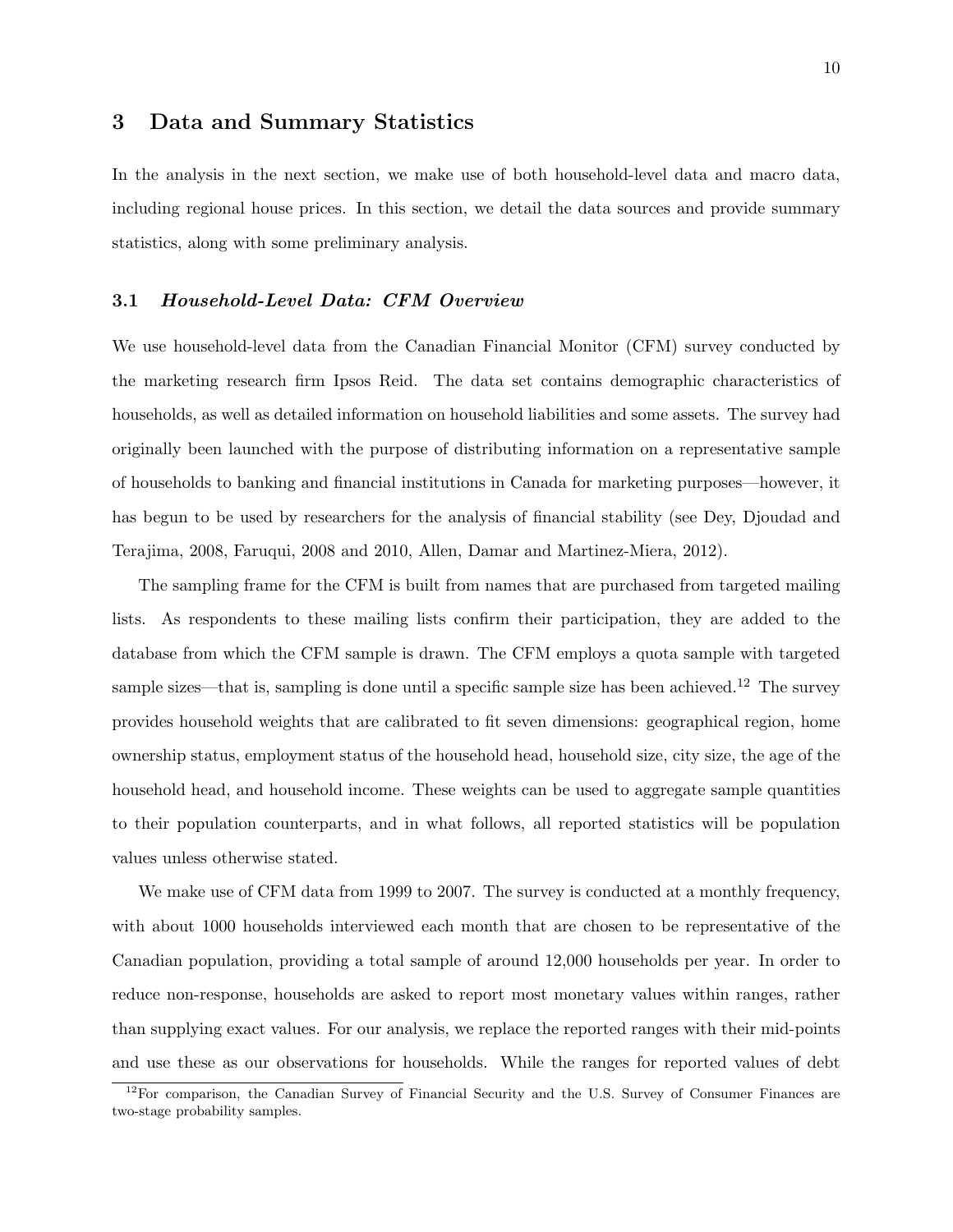## 3 Data and Summary Statistics

In the analysis in the next section, we make use of both household-level data and macro data, including regional house prices. In this section, we detail the data sources and provide summary statistics, along with some preliminary analysis.

#### 3.1 Household-Level Data: CFM Overview

We use household-level data from the Canadian Financial Monitor (CFM) survey conducted by the marketing research firm Ipsos Reid. The data set contains demographic characteristics of households, as well as detailed information on household liabilities and some assets. The survey had originally been launched with the purpose of distributing information on a representative sample of households to banking and financial institutions in Canada for marketing purposes—however, it has begun to be used by researchers for the analysis of financial stability (see Dey, Djoudad and Terajima, 2008, Faruqui, 2008 and 2010, Allen, Damar and Martinez-Miera, 2012).

The sampling frame for the CFM is built from names that are purchased from targeted mailing lists. As respondents to these mailing lists confirm their participation, they are added to the database from which the CFM sample is drawn. The CFM employs a quota sample with targeted sample sizes—that is, sampling is done until a specific sample size has been achieved.<sup>12</sup> The survey provides household weights that are calibrated to fit seven dimensions: geographical region, home ownership status, employment status of the household head, household size, city size, the age of the household head, and household income. These weights can be used to aggregate sample quantities to their population counterparts, and in what follows, all reported statistics will be population values unless otherwise stated.

We make use of CFM data from 1999 to 2007. The survey is conducted at a monthly frequency, with about 1000 households interviewed each month that are chosen to be representative of the Canadian population, providing a total sample of around 12,000 households per year. In order to reduce non-response, households are asked to report most monetary values within ranges, rather than supplying exact values. For our analysis, we replace the reported ranges with their mid-points and use these as our observations for households. While the ranges for reported values of debt

 $12$ For comparison, the Canadian Survey of Financial Security and the U.S. Survey of Consumer Finances are two-stage probability samples.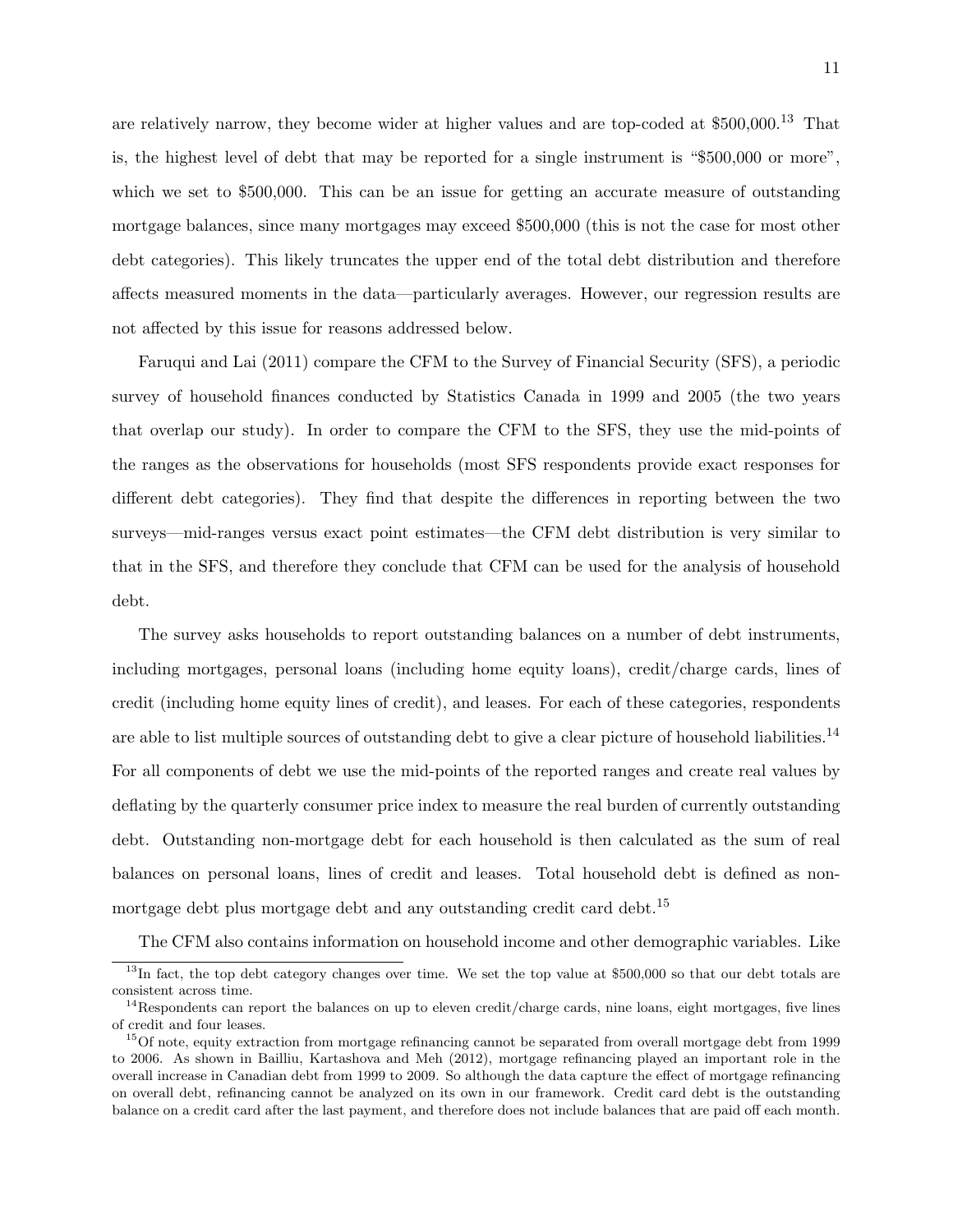are relatively narrow, they become wider at higher values and are top-coded at \$500,000.<sup>13</sup> That is, the highest level of debt that may be reported for a single instrument is "\$500,000 or more", which we set to \$500,000. This can be an issue for getting an accurate measure of outstanding mortgage balances, since many mortgages may exceed \$500,000 (this is not the case for most other debt categories). This likely truncates the upper end of the total debt distribution and therefore affects measured moments in the data—particularly averages. However, our regression results are not affected by this issue for reasons addressed below.

Faruqui and Lai (2011) compare the CFM to the Survey of Financial Security (SFS), a periodic survey of household finances conducted by Statistics Canada in 1999 and 2005 (the two years that overlap our study). In order to compare the CFM to the SFS, they use the mid-points of the ranges as the observations for households (most SFS respondents provide exact responses for different debt categories). They find that despite the differences in reporting between the two surveys—mid-ranges versus exact point estimates—the CFM debt distribution is very similar to that in the SFS, and therefore they conclude that CFM can be used for the analysis of household debt.

The survey asks households to report outstanding balances on a number of debt instruments, including mortgages, personal loans (including home equity loans), credit/charge cards, lines of credit (including home equity lines of credit), and leases. For each of these categories, respondents are able to list multiple sources of outstanding debt to give a clear picture of household liabilities.<sup>14</sup> For all components of debt we use the mid-points of the reported ranges and create real values by deflating by the quarterly consumer price index to measure the real burden of currently outstanding debt. Outstanding non-mortgage debt for each household is then calculated as the sum of real balances on personal loans, lines of credit and leases. Total household debt is defined as nonmortgage debt plus mortgage debt and any outstanding credit card debt.<sup>15</sup>

The CFM also contains information on household income and other demographic variables. Like

 $13$ In fact, the top debt category changes over time. We set the top value at \$500,000 so that our debt totals are consistent across time.

 $14$ Respondents can report the balances on up to eleven credit/charge cards, nine loans, eight mortgages, five lines of credit and four leases.

<sup>&</sup>lt;sup>15</sup>Of note, equity extraction from mortgage refinancing cannot be separated from overall mortgage debt from 1999 to 2006. As shown in Bailliu, Kartashova and Meh (2012), mortgage refinancing played an important role in the overall increase in Canadian debt from 1999 to 2009. So although the data capture the effect of mortgage refinancing on overall debt, refinancing cannot be analyzed on its own in our framework. Credit card debt is the outstanding balance on a credit card after the last payment, and therefore does not include balances that are paid off each month.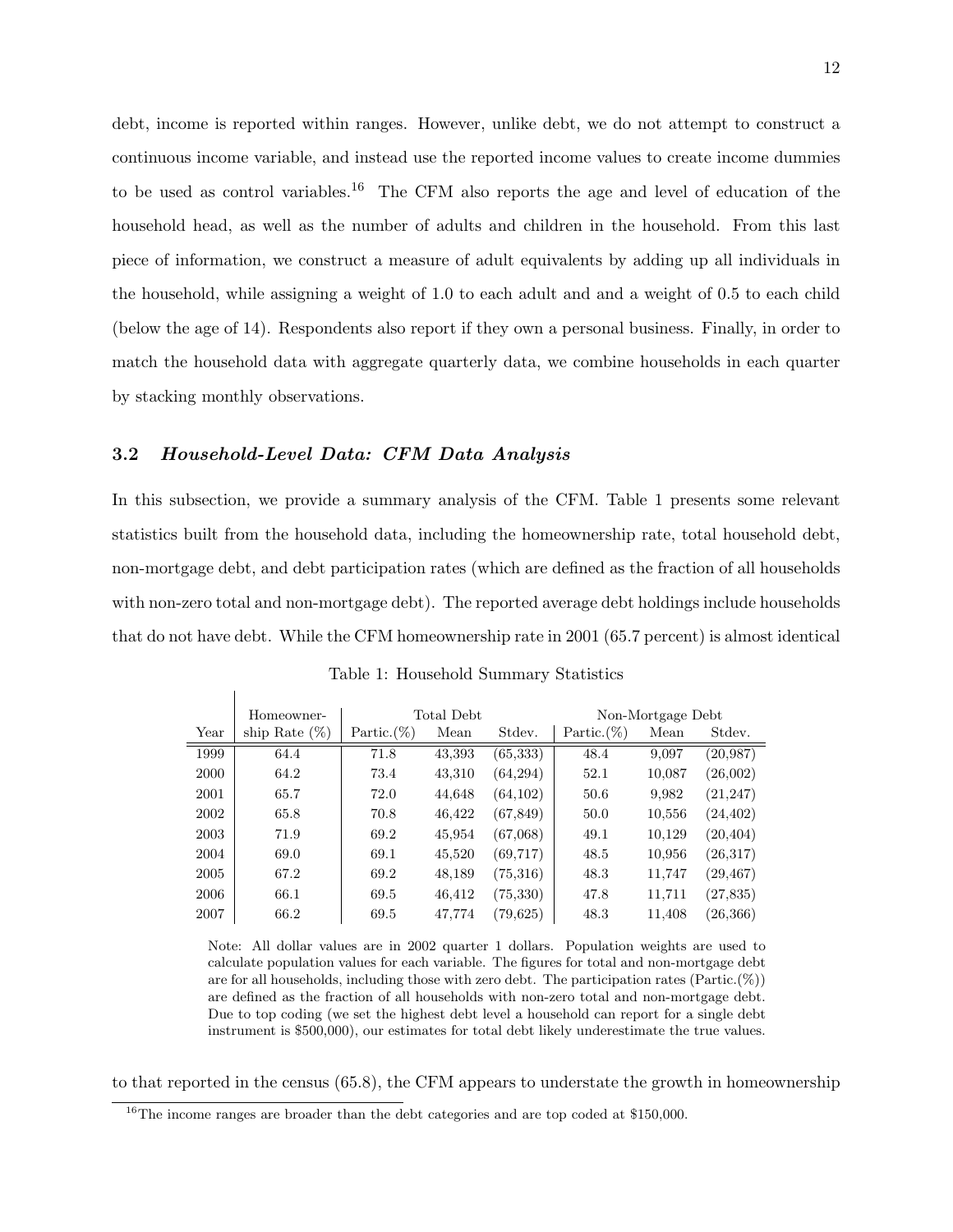debt, income is reported within ranges. However, unlike debt, we do not attempt to construct a continuous income variable, and instead use the reported income values to create income dummies to be used as control variables.<sup>16</sup> The CFM also reports the age and level of education of the household head, as well as the number of adults and children in the household. From this last piece of information, we construct a measure of adult equivalents by adding up all individuals in the household, while assigning a weight of 1.0 to each adult and and a weight of 0.5 to each child (below the age of 14). Respondents also report if they own a personal business. Finally, in order to match the household data with aggregate quarterly data, we combine households in each quarter by stacking monthly observations.

#### 3.2 Household-Level Data: CFM Data Analysis

In this subsection, we provide a summary analysis of the CFM. Table 1 presents some relevant statistics built from the household data, including the homeownership rate, total household debt, non-mortgage debt, and debt participation rates (which are defined as the fraction of all households with non-zero total and non-mortgage debt). The reported average debt holdings include households that do not have debt. While the CFM homeownership rate in 2001 (65.7 percent) is almost identical

|      | Homeowner-       | Total Debt     |        |           | Non-Mortgage Debt |        |           |
|------|------------------|----------------|--------|-----------|-------------------|--------|-----------|
| Year | ship Rate $(\%)$ | Partic. $(\%)$ | Mean   | Stdev.    | Partic. $(\%)$    | Mean   | Stdev.    |
| 1999 | 64.4             | 71.8           | 43,393 | (65, 333) | 48.4              | 9,097  | (20, 987) |
| 2000 | 64.2             | 73.4           | 43,310 | (64, 294) | 52.1              | 10,087 | (26,002)  |
| 2001 | 65.7             | 72.0           | 44,648 | (64, 102) | 50.6              | 9,982  | (21, 247) |
| 2002 | 65.8             | 70.8           | 46,422 | (67, 849) | 50.0              | 10,556 | (24, 402) |
| 2003 | 71.9             | 69.2           | 45,954 | (67,068)  | 49.1              | 10,129 | (20, 404) |
| 2004 | 69.0             | 69.1           | 45,520 | (69, 717) | 48.5              | 10,956 | (26, 317) |
| 2005 | 67.2             | 69.2           | 48,189 | (75,316)  | 48.3              | 11,747 | (29, 467) |
| 2006 | 66.1             | 69.5           | 46,412 | (75, 330) | 47.8              | 11,711 | (27, 835) |
| 2007 | 66.2             | 69.5           | 47.774 | (79, 625) | 48.3              | 11.408 | (26, 366) |

Table 1: Household Summary Statistics

Note: All dollar values are in 2002 quarter 1 dollars. Population weights are used to calculate population values for each variable. The figures for total and non-mortgage debt are for all households, including those with zero debt. The participation rates  $(Partic.(\%))$ are defined as the fraction of all households with non-zero total and non-mortgage debt. Due to top coding (we set the highest debt level a household can report for a single debt instrument is \$500,000), our estimates for total debt likely underestimate the true values.

to that reported in the census (65.8), the CFM appears to understate the growth in homeownership

<sup>&</sup>lt;sup>16</sup>The income ranges are broader than the debt categories and are top coded at \$150,000.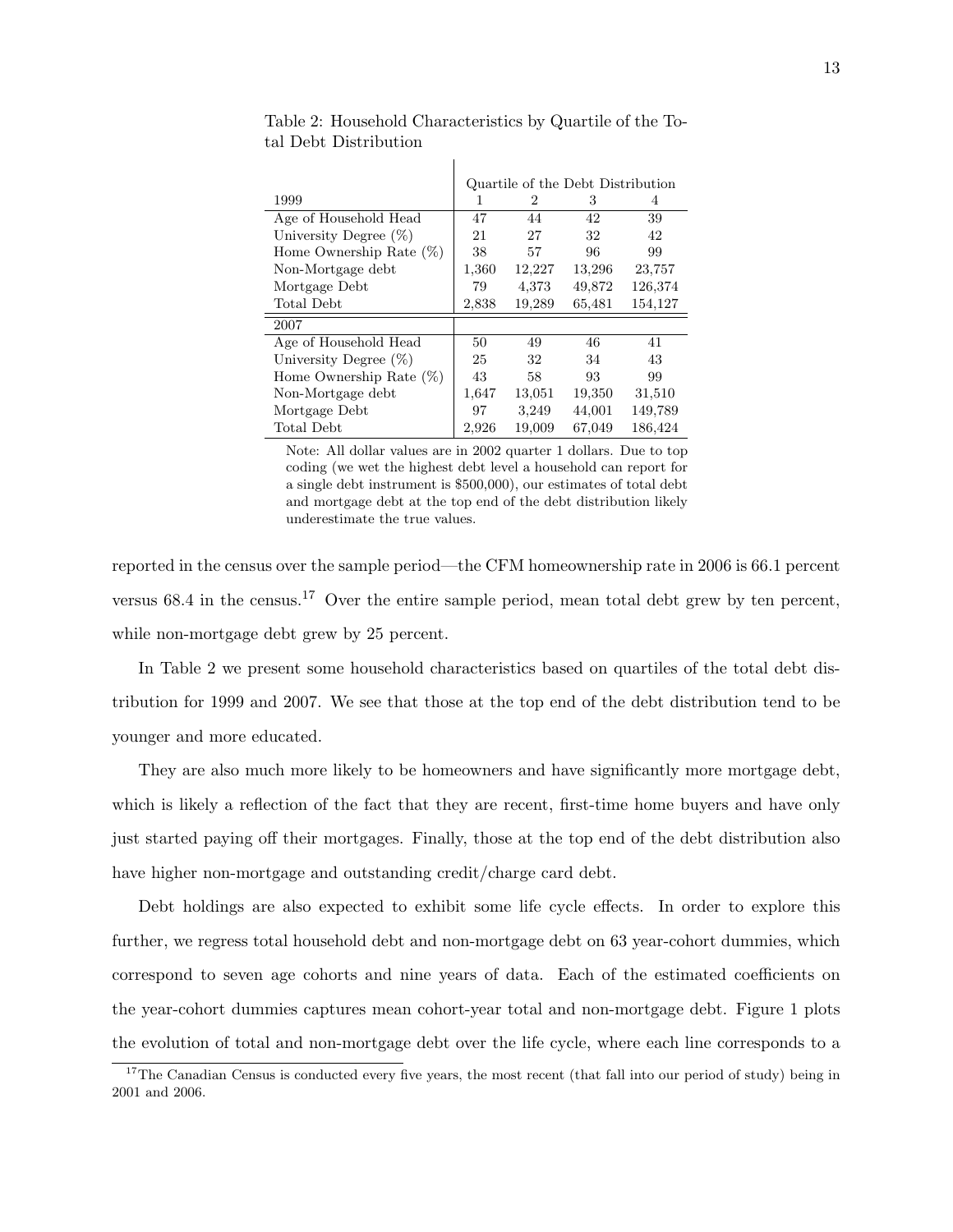|                            | Quartile of the Debt Distribution |        |        |         |  |  |
|----------------------------|-----------------------------------|--------|--------|---------|--|--|
| 1999                       | 1                                 | 2      | 3      | 4       |  |  |
| Age of Household Head      | 47                                | 44     | 42     | 39      |  |  |
| University Degree $(\%)$   | 21                                | 27     | 32     | 42      |  |  |
| Home Ownership Rate $(\%)$ | 38                                | 57     | 96     | 99      |  |  |
| Non-Mortgage debt          | 1,360                             | 12,227 | 13,296 | 23,757  |  |  |
| Mortgage Debt              | 79                                | 4,373  | 49,872 | 126,374 |  |  |
| Total Debt                 | 2,838                             | 19,289 | 65,481 | 154,127 |  |  |
| 2007                       |                                   |        |        |         |  |  |
| Age of Household Head      | 50                                | 49     | 46     | 41      |  |  |
| University Degree $(\%)$   | 25                                | 32     | 34     | 43      |  |  |
| Home Ownership Rate $(\%)$ | 43                                | 58     | 93     | 99      |  |  |
| Non-Mortgage debt          | 1,647                             | 13,051 | 19,350 | 31,510  |  |  |
| Mortgage Debt              | 97                                | 3.249  | 44,001 | 149,789 |  |  |
| Total Debt                 | 2.926                             | 19,009 | 67,049 | 186,424 |  |  |

Table 2: Household Characteristics by Quartile of the Total Debt Distribution

 $\overline{\phantom{a}}$ 

Note: All dollar values are in 2002 quarter 1 dollars. Due to top coding (we wet the highest debt level a household can report for a single debt instrument is \$500,000), our estimates of total debt and mortgage debt at the top end of the debt distribution likely underestimate the true values.

reported in the census over the sample period—the CFM homeownership rate in 2006 is 66.1 percent versus  $68.4$  in the census.<sup>17</sup> Over the entire sample period, mean total debt grew by ten percent, while non-mortgage debt grew by 25 percent.

In Table 2 we present some household characteristics based on quartiles of the total debt distribution for 1999 and 2007. We see that those at the top end of the debt distribution tend to be younger and more educated.

They are also much more likely to be homeowners and have significantly more mortgage debt, which is likely a reflection of the fact that they are recent, first-time home buyers and have only just started paying off their mortgages. Finally, those at the top end of the debt distribution also have higher non-mortgage and outstanding credit/charge card debt.

Debt holdings are also expected to exhibit some life cycle effects. In order to explore this further, we regress total household debt and non-mortgage debt on 63 year-cohort dummies, which correspond to seven age cohorts and nine years of data. Each of the estimated coefficients on the year-cohort dummies captures mean cohort-year total and non-mortgage debt. Figure 1 plots the evolution of total and non-mortgage debt over the life cycle, where each line corresponds to a

 $17$ The Canadian Census is conducted every five years, the most recent (that fall into our period of study) being in 2001 and 2006.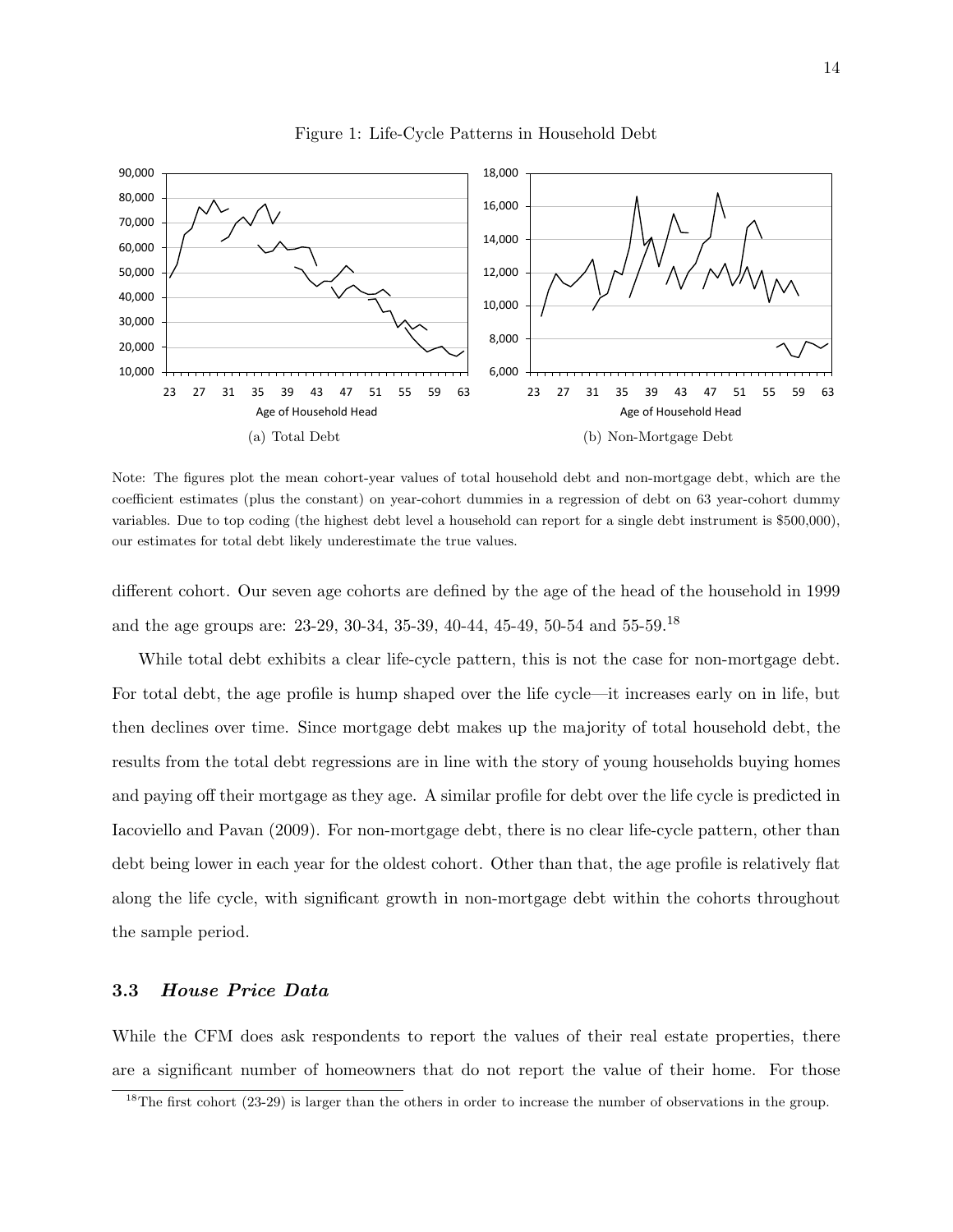

Figure 1: Life-Cycle Patterns in Household Debt

Note: The figures plot the mean cohort-year values of total household debt and non-mortgage debt, which are the coefficient estimates (plus the constant) on year-cohort dummies in a regression of debt on 63 year-cohort dummy variables. Due to top coding (the highest debt level a household can report for a single debt instrument is \$500,000), our estimates for total debt likely underestimate the true values.

different cohort. Our seven age cohorts are defined by the age of the head of the household in 1999 and the age groups are: 23-29, 30-34, 35-39, 40-44, 45-49, 50-54 and 55-59.<sup>18</sup>

While total debt exhibits a clear life-cycle pattern, this is not the case for non-mortgage debt. For total debt, the age profile is hump shaped over the life cycle—it increases early on in life, but then declines over time. Since mortgage debt makes up the majority of total household debt, the results from the total debt regressions are in line with the story of young households buying homes and paying off their mortgage as they age. A similar profile for debt over the life cycle is predicted in Iacoviello and Pavan (2009). For non-mortgage debt, there is no clear life-cycle pattern, other than debt being lower in each year for the oldest cohort. Other than that, the age profile is relatively flat along the life cycle, with significant growth in non-mortgage debt within the cohorts throughout the sample period.

#### 3.3 House Price Data

While the CFM does ask respondents to report the values of their real estate properties, there are a significant number of homeowners that do not report the value of their home. For those

<sup>&</sup>lt;sup>18</sup>The first cohort (23-29) is larger than the others in order to increase the number of observations in the group.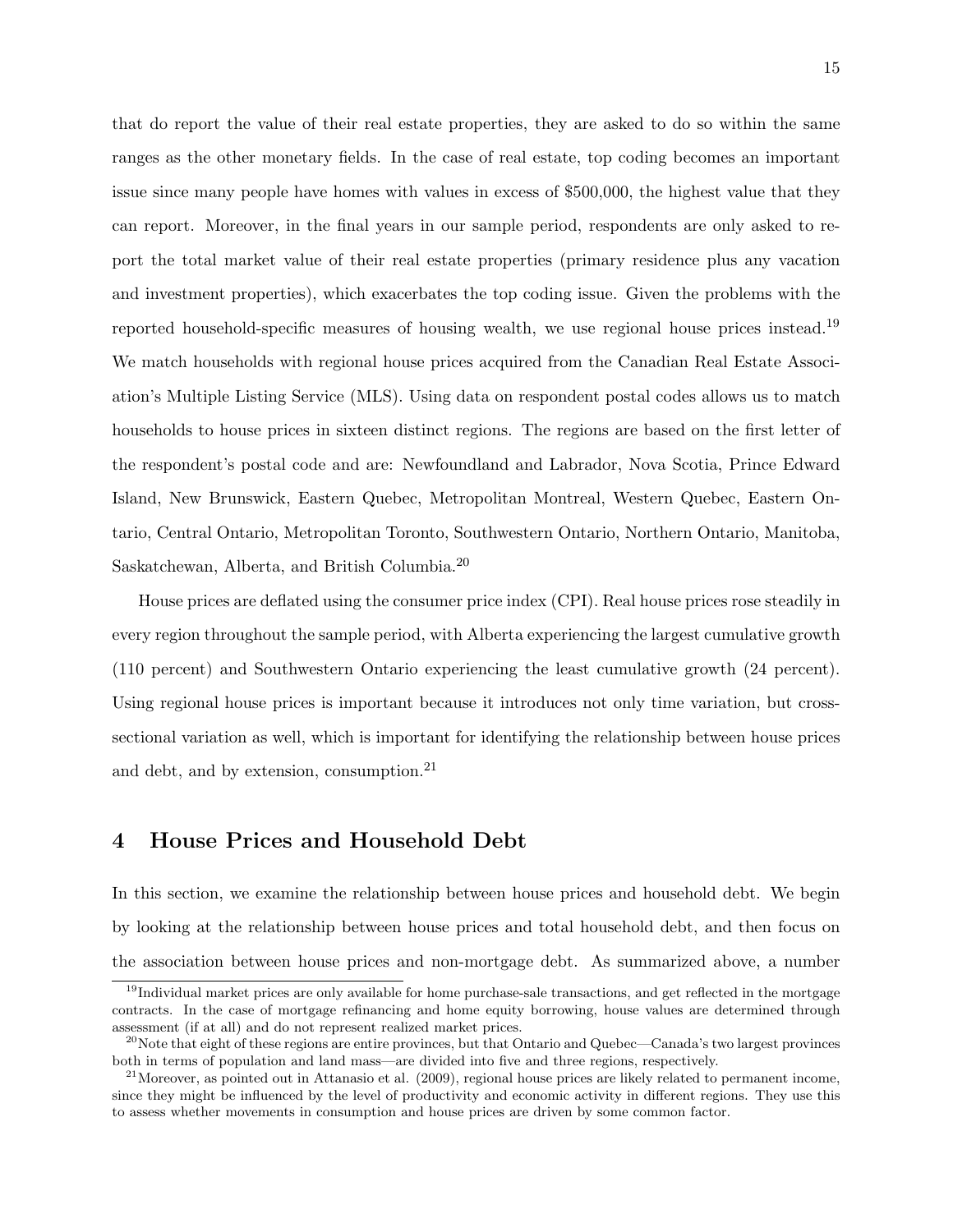that do report the value of their real estate properties, they are asked to do so within the same ranges as the other monetary fields. In the case of real estate, top coding becomes an important issue since many people have homes with values in excess of \$500,000, the highest value that they can report. Moreover, in the final years in our sample period, respondents are only asked to report the total market value of their real estate properties (primary residence plus any vacation and investment properties), which exacerbates the top coding issue. Given the problems with the reported household-specific measures of housing wealth, we use regional house prices instead.<sup>19</sup> We match households with regional house prices acquired from the Canadian Real Estate Association's Multiple Listing Service (MLS). Using data on respondent postal codes allows us to match households to house prices in sixteen distinct regions. The regions are based on the first letter of the respondent's postal code and are: Newfoundland and Labrador, Nova Scotia, Prince Edward Island, New Brunswick, Eastern Quebec, Metropolitan Montreal, Western Quebec, Eastern Ontario, Central Ontario, Metropolitan Toronto, Southwestern Ontario, Northern Ontario, Manitoba, Saskatchewan, Alberta, and British Columbia.<sup>20</sup>

House prices are deflated using the consumer price index (CPI). Real house prices rose steadily in every region throughout the sample period, with Alberta experiencing the largest cumulative growth (110 percent) and Southwestern Ontario experiencing the least cumulative growth (24 percent). Using regional house prices is important because it introduces not only time variation, but crosssectional variation as well, which is important for identifying the relationship between house prices and debt, and by extension, consumption.<sup>21</sup>

### 4 House Prices and Household Debt

In this section, we examine the relationship between house prices and household debt. We begin by looking at the relationship between house prices and total household debt, and then focus on the association between house prices and non-mortgage debt. As summarized above, a number

 $19$ Individual market prices are only available for home purchase-sale transactions, and get reflected in the mortgage contracts. In the case of mortgage refinancing and home equity borrowing, house values are determined through assessment (if at all) and do not represent realized market prices.

<sup>&</sup>lt;sup>20</sup>Note that eight of these regions are entire provinces, but that Ontario and Quebec—Canada's two largest provinces both in terms of population and land mass—are divided into five and three regions, respectively.

 $^{21}$ Moreover, as pointed out in Attanasio et al. (2009), regional house prices are likely related to permanent income, since they might be influenced by the level of productivity and economic activity in different regions. They use this to assess whether movements in consumption and house prices are driven by some common factor.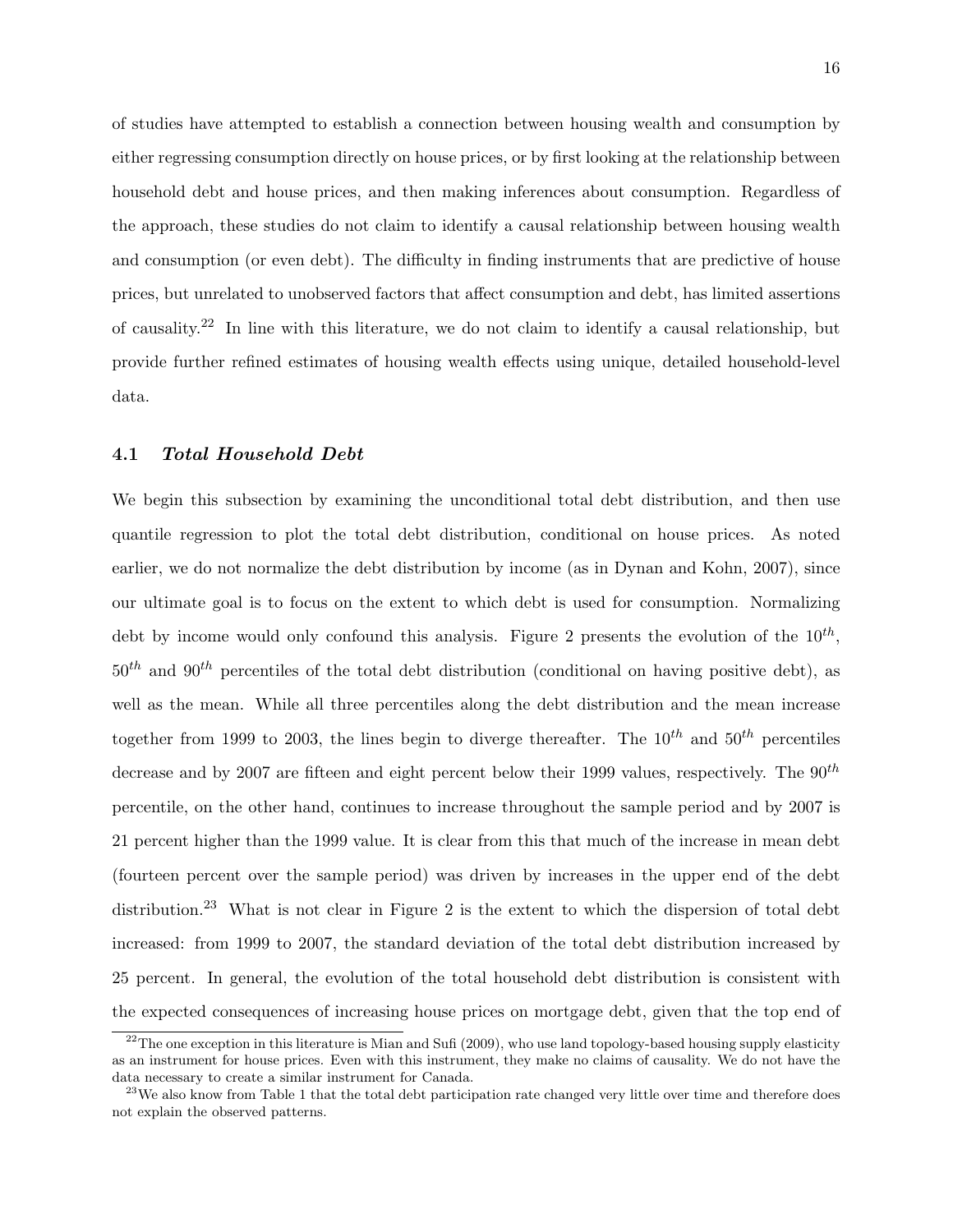of studies have attempted to establish a connection between housing wealth and consumption by either regressing consumption directly on house prices, or by first looking at the relationship between household debt and house prices, and then making inferences about consumption. Regardless of the approach, these studies do not claim to identify a causal relationship between housing wealth and consumption (or even debt). The difficulty in finding instruments that are predictive of house prices, but unrelated to unobserved factors that affect consumption and debt, has limited assertions of causality.<sup>22</sup> In line with this literature, we do not claim to identify a causal relationship, but provide further refined estimates of housing wealth effects using unique, detailed household-level data.

#### 4.1 Total Household Debt

We begin this subsection by examining the unconditional total debt distribution, and then use quantile regression to plot the total debt distribution, conditional on house prices. As noted earlier, we do not normalize the debt distribution by income (as in Dynan and Kohn, 2007), since our ultimate goal is to focus on the extent to which debt is used for consumption. Normalizing debt by income would only confound this analysis. Figure 2 presents the evolution of the  $10^{th}$ ,  $50<sup>th</sup>$  and  $90<sup>th</sup>$  percentiles of the total debt distribution (conditional on having positive debt), as well as the mean. While all three percentiles along the debt distribution and the mean increase together from 1999 to 2003, the lines begin to diverge thereafter. The  $10^{th}$  and  $50^{th}$  percentiles decrease and by 2007 are fifteen and eight percent below their 1999 values, respectively. The  $90^{th}$ percentile, on the other hand, continues to increase throughout the sample period and by 2007 is 21 percent higher than the 1999 value. It is clear from this that much of the increase in mean debt (fourteen percent over the sample period) was driven by increases in the upper end of the debt distribution.<sup>23</sup> What is not clear in Figure 2 is the extent to which the dispersion of total debt increased: from 1999 to 2007, the standard deviation of the total debt distribution increased by 25 percent. In general, the evolution of the total household debt distribution is consistent with the expected consequences of increasing house prices on mortgage debt, given that the top end of

 $22$ The one exception in this literature is Mian and Sufi (2009), who use land topology-based housing supply elasticity as an instrument for house prices. Even with this instrument, they make no claims of causality. We do not have the data necessary to create a similar instrument for Canada.

 $^{23}$ We also know from Table 1 that the total debt participation rate changed very little over time and therefore does not explain the observed patterns.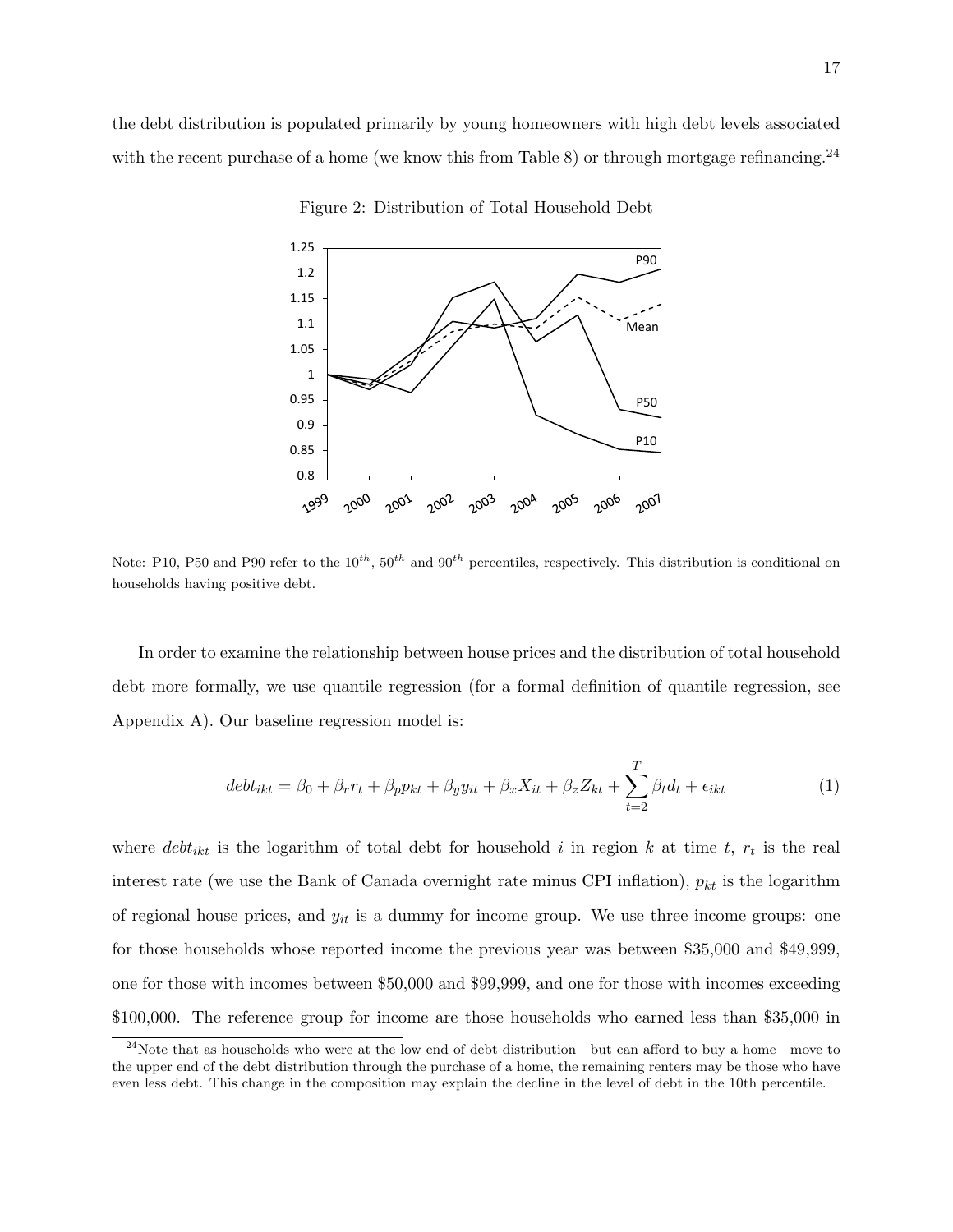the debt distribution is populated primarily by young homeowners with high debt levels associated with the recent purchase of a home (we know this from Table 8) or through mortgage refinancing.<sup>24</sup>



Figure 2: Distribution of Total Household Debt

Note: P10, P50 and P90 refer to the  $10^{th}$ ,  $50^{th}$  and  $90^{th}$  percentiles, respectively. This distribution is conditional on households having positive debt.

In order to examine the relationship between house prices and the distribution of total household debt more formally, we use quantile regression (for a formal definition of quantile regression, see Appendix A). Our baseline regression model is:

$$
debt_{ikt} = \beta_0 + \beta_r r_t + \beta_p p_{kt} + \beta_y y_{it} + \beta_x X_{it} + \beta_z Z_{kt} + \sum_{t=2}^T \beta_t d_t + \epsilon_{ikt}
$$
(1)

where  $debt_{ikt}$  is the logarithm of total debt for household i in region k at time t,  $r_t$  is the real interest rate (we use the Bank of Canada overnight rate minus CPI inflation),  $p_{kt}$  is the logarithm of regional house prices, and  $y_{it}$  is a dummy for income group. We use three income groups: one for those households whose reported income the previous year was between \$35,000 and \$49,999, one for those with incomes between \$50,000 and \$99,999, and one for those with incomes exceeding \$100,000. The reference group for income are those households who earned less than \$35,000 in

 $24$ Note that as households who were at the low end of debt distribution—but can afford to buy a home—move to the upper end of the debt distribution through the purchase of a home, the remaining renters may be those who have even less debt. This change in the composition may explain the decline in the level of debt in the 10th percentile.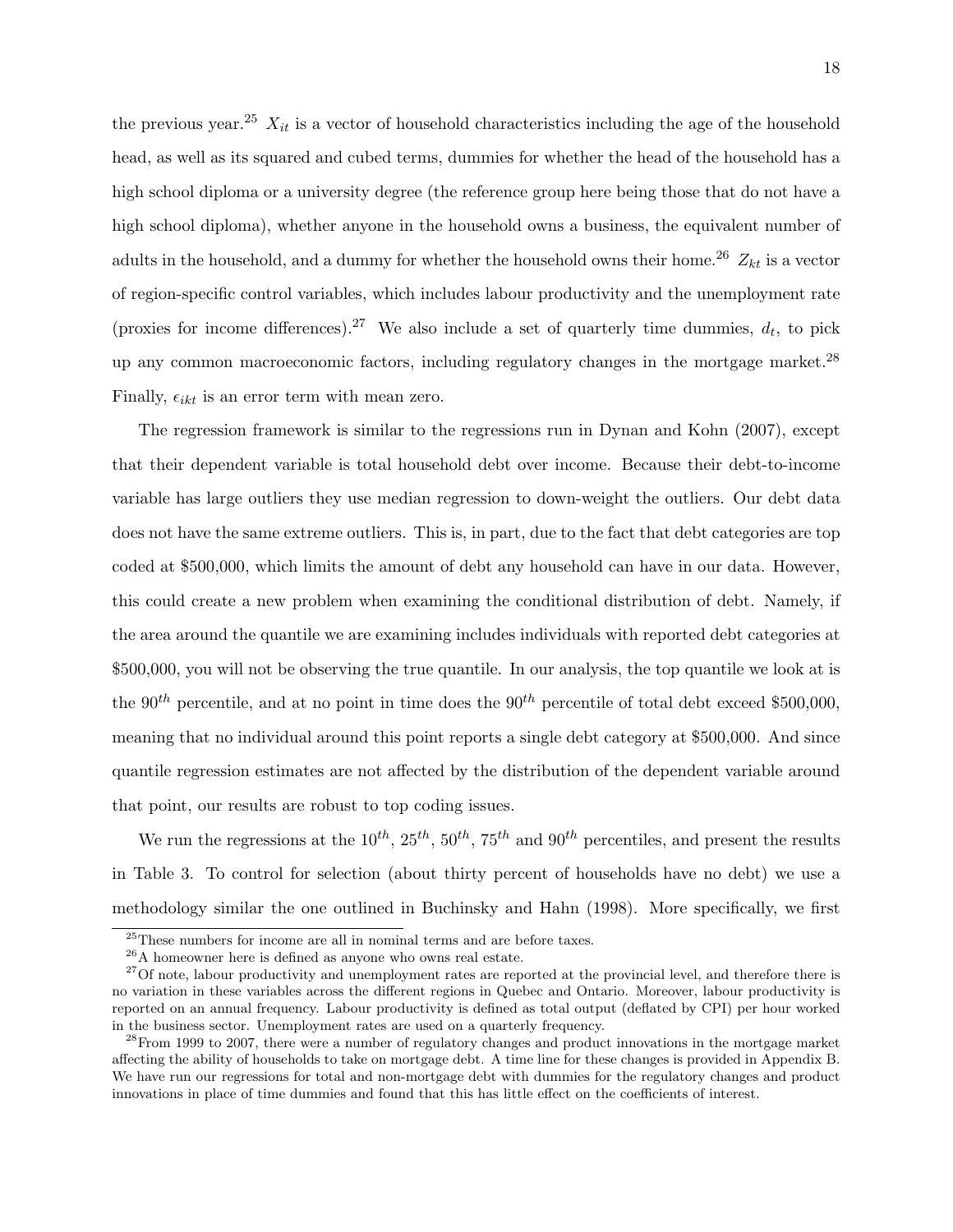the previous year.<sup>25</sup>  $X_{it}$  is a vector of household characteristics including the age of the household head, as well as its squared and cubed terms, dummies for whether the head of the household has a high school diploma or a university degree (the reference group here being those that do not have a high school diploma), whether anyone in the household owns a business, the equivalent number of adults in the household, and a dummy for whether the household owns their home.<sup>26</sup>  $Z_{kt}$  is a vector of region-specific control variables, which includes labour productivity and the unemployment rate (proxies for income differences).<sup>27</sup> We also include a set of quarterly time dummies,  $d_t$ , to pick up any common macroeconomic factors, including regulatory changes in the mortgage market.<sup>28</sup> Finally,  $\epsilon_{ikt}$  is an error term with mean zero.

The regression framework is similar to the regressions run in Dynan and Kohn (2007), except that their dependent variable is total household debt over income. Because their debt-to-income variable has large outliers they use median regression to down-weight the outliers. Our debt data does not have the same extreme outliers. This is, in part, due to the fact that debt categories are top coded at \$500,000, which limits the amount of debt any household can have in our data. However, this could create a new problem when examining the conditional distribution of debt. Namely, if the area around the quantile we are examining includes individuals with reported debt categories at \$500,000, you will not be observing the true quantile. In our analysis, the top quantile we look at is the  $90<sup>th</sup>$  percentile, and at no point in time does the  $90<sup>th</sup>$  percentile of total debt exceed \$500,000, meaning that no individual around this point reports a single debt category at \$500,000. And since quantile regression estimates are not affected by the distribution of the dependent variable around that point, our results are robust to top coding issues.

We run the regressions at the  $10^{th}$ ,  $25^{th}$ ,  $50^{th}$ ,  $75^{th}$  and  $90^{th}$  percentiles, and present the results in Table 3. To control for selection (about thirty percent of households have no debt) we use a methodology similar the one outlined in Buchinsky and Hahn (1998). More specifically, we first

<sup>25</sup>These numbers for income are all in nominal terms and are before taxes.

<sup>26</sup>A homeowner here is defined as anyone who owns real estate.

 $27$ Of note, labour productivity and unemployment rates are reported at the provincial level, and therefore there is no variation in these variables across the different regions in Quebec and Ontario. Moreover, labour productivity is reported on an annual frequency. Labour productivity is defined as total output (deflated by CPI) per hour worked in the business sector. Unemployment rates are used on a quarterly frequency.

<sup>&</sup>lt;sup>28</sup>From 1999 to 2007, there were a number of regulatory changes and product innovations in the mortgage market affecting the ability of households to take on mortgage debt. A time line for these changes is provided in Appendix B. We have run our regressions for total and non-mortgage debt with dummies for the regulatory changes and product innovations in place of time dummies and found that this has little effect on the coefficients of interest.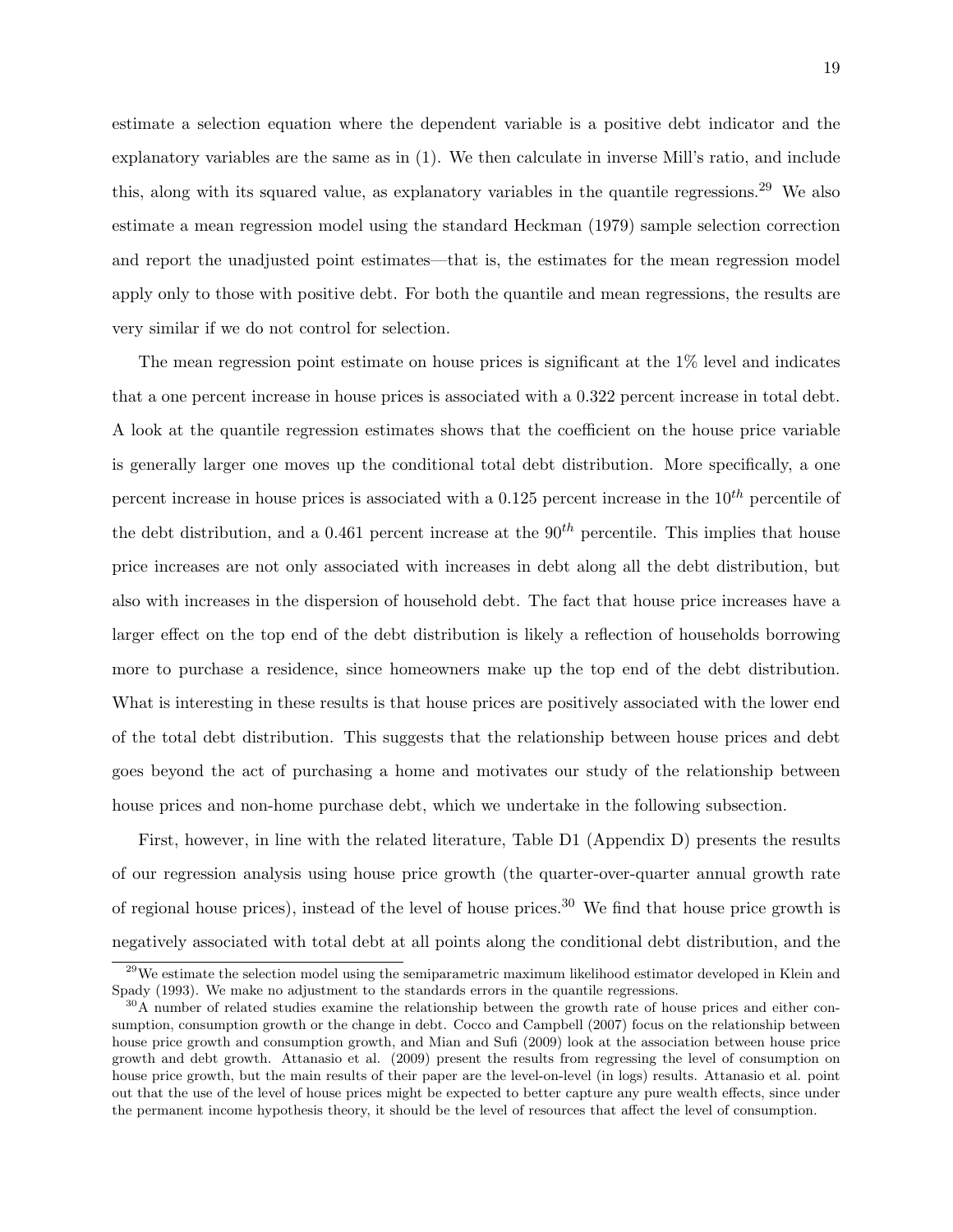estimate a selection equation where the dependent variable is a positive debt indicator and the explanatory variables are the same as in (1). We then calculate in inverse Mill's ratio, and include this, along with its squared value, as explanatory variables in the quantile regressions.<sup>29</sup> We also estimate a mean regression model using the standard Heckman (1979) sample selection correction and report the unadjusted point estimates—that is, the estimates for the mean regression model apply only to those with positive debt. For both the quantile and mean regressions, the results are very similar if we do not control for selection.

The mean regression point estimate on house prices is significant at the 1% level and indicates that a one percent increase in house prices is associated with a 0.322 percent increase in total debt. A look at the quantile regression estimates shows that the coefficient on the house price variable is generally larger one moves up the conditional total debt distribution. More specifically, a one percent increase in house prices is associated with a 0.125 percent increase in the  $10^{th}$  percentile of the debt distribution, and a 0.461 percent increase at the  $90<sup>th</sup>$  percentile. This implies that house price increases are not only associated with increases in debt along all the debt distribution, but also with increases in the dispersion of household debt. The fact that house price increases have a larger effect on the top end of the debt distribution is likely a reflection of households borrowing more to purchase a residence, since homeowners make up the top end of the debt distribution. What is interesting in these results is that house prices are positively associated with the lower end of the total debt distribution. This suggests that the relationship between house prices and debt goes beyond the act of purchasing a home and motivates our study of the relationship between house prices and non-home purchase debt, which we undertake in the following subsection.

First, however, in line with the related literature, Table D1 (Appendix D) presents the results of our regression analysis using house price growth (the quarter-over-quarter annual growth rate of regional house prices), instead of the level of house prices.<sup>30</sup> We find that house price growth is negatively associated with total debt at all points along the conditional debt distribution, and the

<sup>&</sup>lt;sup>29</sup>We estimate the selection model using the semiparametric maximum likelihood estimator developed in Klein and Spady (1993). We make no adjustment to the standards errors in the quantile regressions.

<sup>&</sup>lt;sup>30</sup>A number of related studies examine the relationship between the growth rate of house prices and either consumption, consumption growth or the change in debt. Cocco and Campbell (2007) focus on the relationship between house price growth and consumption growth, and Mian and Sufi (2009) look at the association between house price growth and debt growth. Attanasio et al. (2009) present the results from regressing the level of consumption on house price growth, but the main results of their paper are the level-on-level (in logs) results. Attanasio et al. point out that the use of the level of house prices might be expected to better capture any pure wealth effects, since under the permanent income hypothesis theory, it should be the level of resources that affect the level of consumption.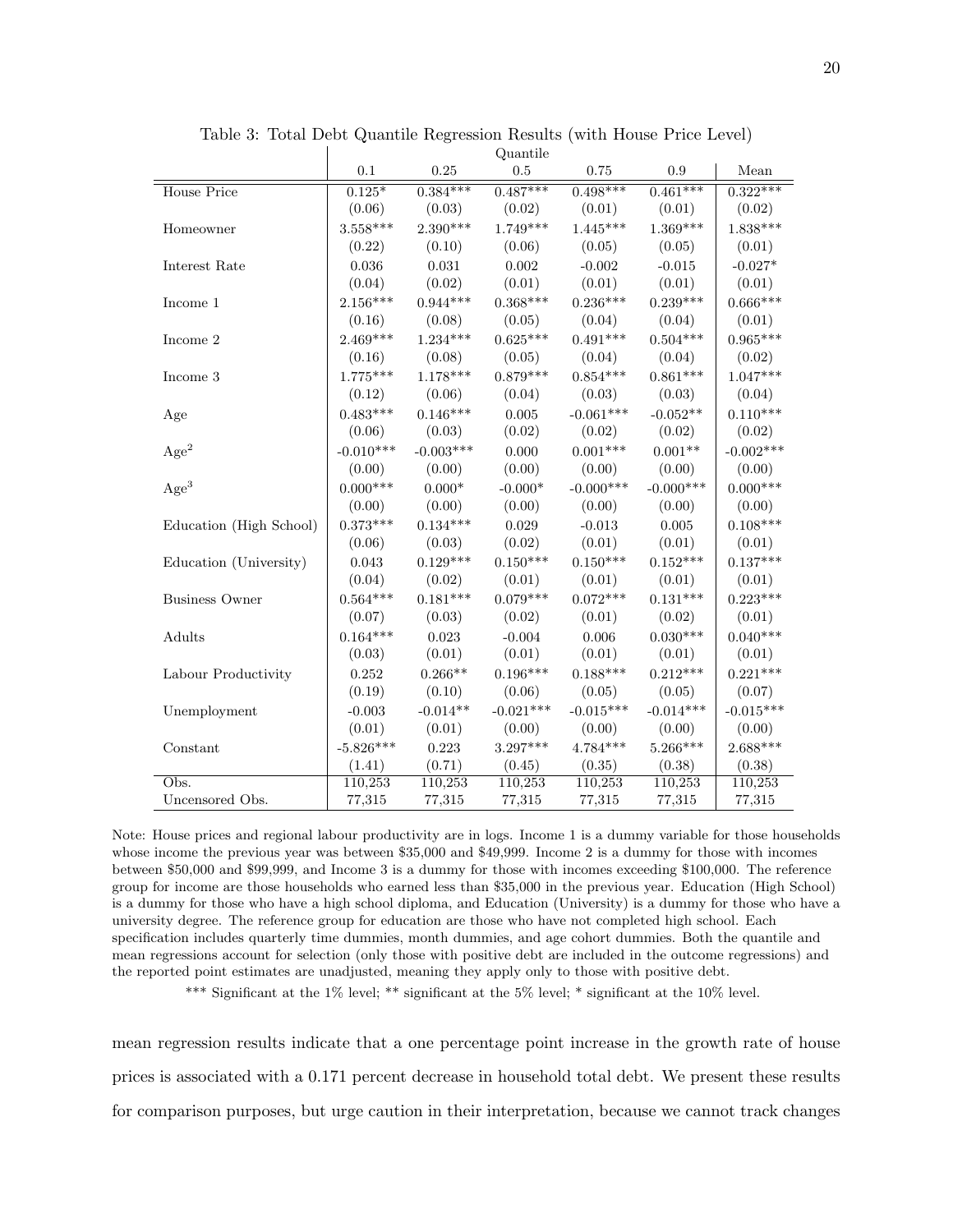|                         | Quantne     |             |             |             |             |             |
|-------------------------|-------------|-------------|-------------|-------------|-------------|-------------|
|                         | 0.1         | $0.25\,$    | 0.5         | 0.75        | 0.9         | Mean        |
| House Price             | $0.125*$    | $0.384***$  | $0.487***$  | $0.498***$  | $0.461***$  | $0.322***$  |
|                         | (0.06)      | (0.03)      | (0.02)      | (0.01)      | (0.01)      | (0.02)      |
| Homeowner               | $3.558***$  | $2.390***$  | $1.749***$  | $1.445***$  | $1.369***$  | $1.838***$  |
|                         | (0.22)      | (0.10)      | (0.06)      | (0.05)      | (0.05)      | (0.01)      |
| Interest Rate           | 0.036       | 0.031       | 0.002       | $-0.002$    | $-0.015$    | $-0.027*$   |
|                         | (0.04)      | (0.02)      | (0.01)      | (0.01)      | (0.01)      | (0.01)      |
| Income 1                | $2.156***$  | $0.944***$  | $0.368***$  | $0.236***$  | $0.239***$  | $0.666***$  |
|                         | (0.16)      | (0.08)      | (0.05)      | (0.04)      | (0.04)      | (0.01)      |
| Income 2                | $2.469***$  | $1.234***$  | $0.625***$  | $0.491***$  | $0.504***$  | $0.965***$  |
|                         | (0.16)      | (0.08)      | (0.05)      | (0.04)      | (0.04)      | (0.02)      |
| Income 3                | $1.775***$  | $1.178***$  | $0.879***$  | $0.854***$  | $0.861***$  | $1.047***$  |
|                         | (0.12)      | (0.06)      | (0.04)      | (0.03)      | (0.03)      | (0.04)      |
| Age                     | $0.483***$  | $0.146***$  | 0.005       | $-0.061***$ | $-0.052**$  | $0.110***$  |
|                         | (0.06)      | (0.03)      | (0.02)      | (0.02)      | (0.02)      | (0.02)      |
| Age <sup>2</sup>        | $-0.010***$ | $-0.003***$ | 0.000       | $0.001***$  | $0.001**$   | $-0.002***$ |
|                         | (0.00)      | (0.00)      | (0.00)      | (0.00)      | (0.00)      | (0.00)      |
| Age <sup>3</sup>        | $0.000***$  | $0.000*$    | $-0.000*$   | $-0.000***$ | $-0.000***$ | $0.000***$  |
|                         | (0.00)      | (0.00)      | (0.00)      | (0.00)      | (0.00)      | (0.00)      |
| Education (High School) | $0.373***$  | $0.134***$  | 0.029       | $-0.013$    | $0.005\,$   | $0.108***$  |
|                         | (0.06)      | (0.03)      | (0.02)      | (0.01)      | (0.01)      | (0.01)      |
| Education (University)  | 0.043       | $0.129***$  | $0.150***$  | $0.150***$  | $0.152***$  | $0.137***$  |
|                         | (0.04)      | (0.02)      | (0.01)      | (0.01)      | (0.01)      | (0.01)      |
| <b>Business Owner</b>   | $0.564***$  | $0.181***$  | $0.079***$  | $0.072***$  | $0.131***$  | $0.223***$  |
|                         | (0.07)      | (0.03)      | (0.02)      | (0.01)      | (0.02)      | (0.01)      |
| Adults                  | $0.164***$  | 0.023       | $-0.004$    | 0.006       | $0.030***$  | $0.040***$  |
|                         | (0.03)      | (0.01)      | (0.01)      | (0.01)      | (0.01)      | (0.01)      |
| Labour Productivity     | 0.252       | $0.266**$   | $0.196***$  | $0.188***$  | $0.212***$  | $0.221***$  |
|                         | (0.19)      | (0.10)      | (0.06)      | (0.05)      | (0.05)      | (0.07)      |
| Unemployment            | $-0.003$    | $-0.014**$  | $-0.021***$ | $-0.015***$ | $-0.014***$ | $-0.015***$ |
|                         | (0.01)      | (0.01)      | (0.00)      | (0.00)      | (0.00)      | (0.00)      |
| Constant                | $-5.826***$ | 0.223       | $3.297***$  | $4.784***$  | $5.266***$  | $2.688***$  |
|                         | (1.41)      | (0.71)      | (0.45)      | (0.35)      | (0.38)      | (0.38)      |
| Obs.                    | 110,253     | 110,253     | 110,253     | 110,253     | 110,253     | 110,253     |
| Uncensored Obs.         | 77,315      | 77,315      | 77,315      | 77,315      | 77,315      | 77,315      |

Table 3: Total Debt Quantile Regression Results (with House Price Level)  $Q_{\text{mean}}$ ile

Note: House prices and regional labour productivity are in logs. Income 1 is a dummy variable for those households whose income the previous year was between \$35,000 and \$49,999. Income 2 is a dummy for those with incomes between \$50,000 and \$99,999, and Income 3 is a dummy for those with incomes exceeding \$100,000. The reference group for income are those households who earned less than \$35,000 in the previous year. Education (High School) is a dummy for those who have a high school diploma, and Education (University) is a dummy for those who have a university degree. The reference group for education are those who have not completed high school. Each specification includes quarterly time dummies, month dummies, and age cohort dummies. Both the quantile and mean regressions account for selection (only those with positive debt are included in the outcome regressions) and the reported point estimates are unadjusted, meaning they apply only to those with positive debt.

\*\*\* Significant at the 1% level; \*\* significant at the 5% level; \* significant at the 10% level.

mean regression results indicate that a one percentage point increase in the growth rate of house prices is associated with a 0.171 percent decrease in household total debt. We present these results for comparison purposes, but urge caution in their interpretation, because we cannot track changes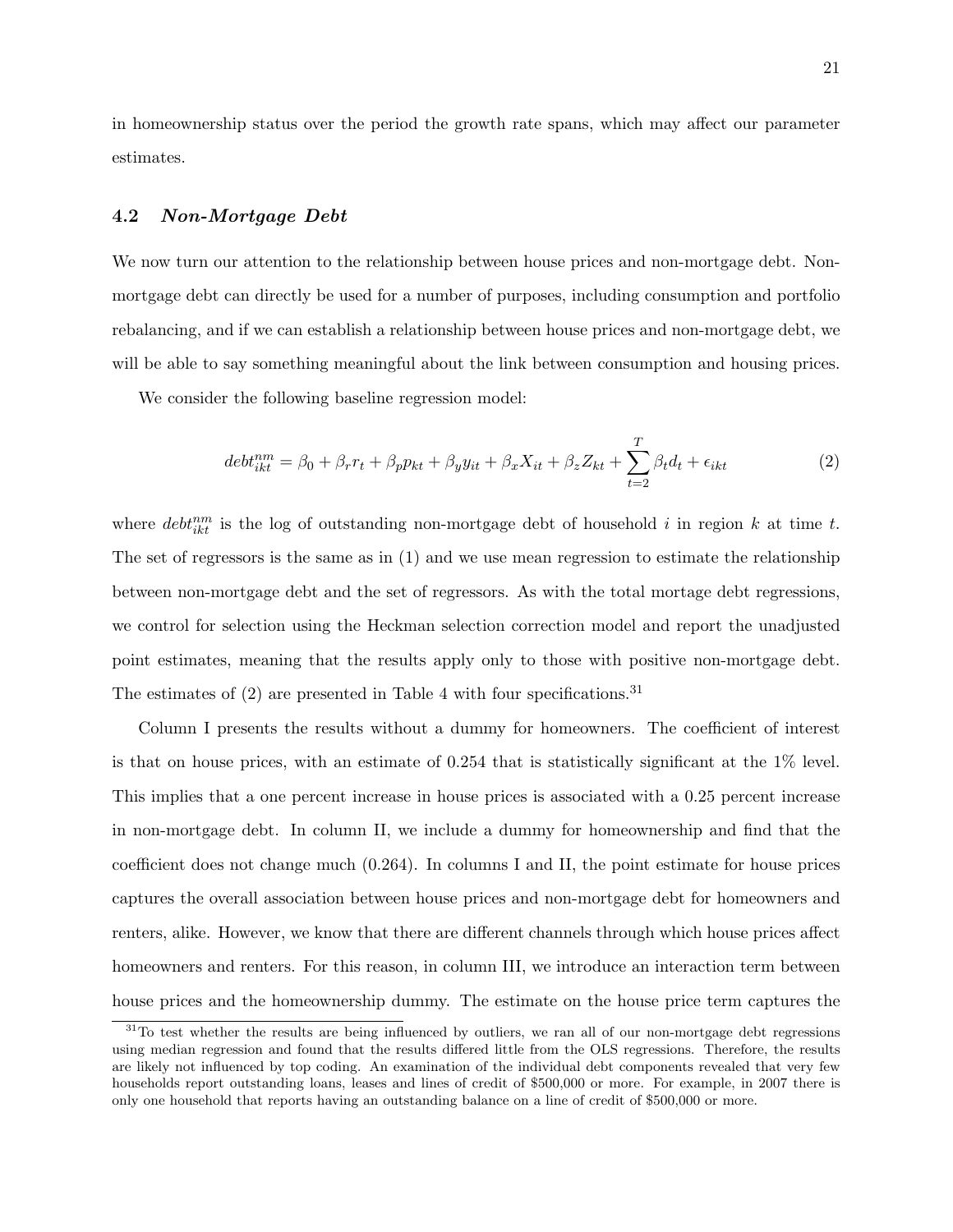in homeownership status over the period the growth rate spans, which may affect our parameter estimates.

#### 4.2 Non-Mortgage Debt

We now turn our attention to the relationship between house prices and non-mortgage debt. Nonmortgage debt can directly be used for a number of purposes, including consumption and portfolio rebalancing, and if we can establish a relationship between house prices and non-mortgage debt, we will be able to say something meaningful about the link between consumption and housing prices.

We consider the following baseline regression model:

$$
debt_{ikt}^{nm} = \beta_0 + \beta_r r_t + \beta_p p_{kt} + \beta_y y_{it} + \beta_x X_{it} + \beta_z Z_{kt} + \sum_{t=2}^T \beta_t d_t + \epsilon_{ikt}
$$
 (2)

where  $debt_{ikt}^{nm}$  is the log of outstanding non-mortgage debt of household i in region k at time t. The set of regressors is the same as in (1) and we use mean regression to estimate the relationship between non-mortgage debt and the set of regressors. As with the total mortage debt regressions, we control for selection using the Heckman selection correction model and report the unadjusted point estimates, meaning that the results apply only to those with positive non-mortgage debt. The estimates of  $(2)$  are presented in Table 4 with four specifications.<sup>31</sup>

Column I presents the results without a dummy for homeowners. The coefficient of interest is that on house prices, with an estimate of 0.254 that is statistically significant at the 1% level. This implies that a one percent increase in house prices is associated with a 0.25 percent increase in non-mortgage debt. In column II, we include a dummy for homeownership and find that the coefficient does not change much (0.264). In columns I and II, the point estimate for house prices captures the overall association between house prices and non-mortgage debt for homeowners and renters, alike. However, we know that there are different channels through which house prices affect homeowners and renters. For this reason, in column III, we introduce an interaction term between house prices and the homeownership dummy. The estimate on the house price term captures the

<sup>&</sup>lt;sup>31</sup>To test whether the results are being influenced by outliers, we ran all of our non-mortgage debt regressions using median regression and found that the results differed little from the OLS regressions. Therefore, the results are likely not influenced by top coding. An examination of the individual debt components revealed that very few households report outstanding loans, leases and lines of credit of \$500,000 or more. For example, in 2007 there is only one household that reports having an outstanding balance on a line of credit of \$500,000 or more.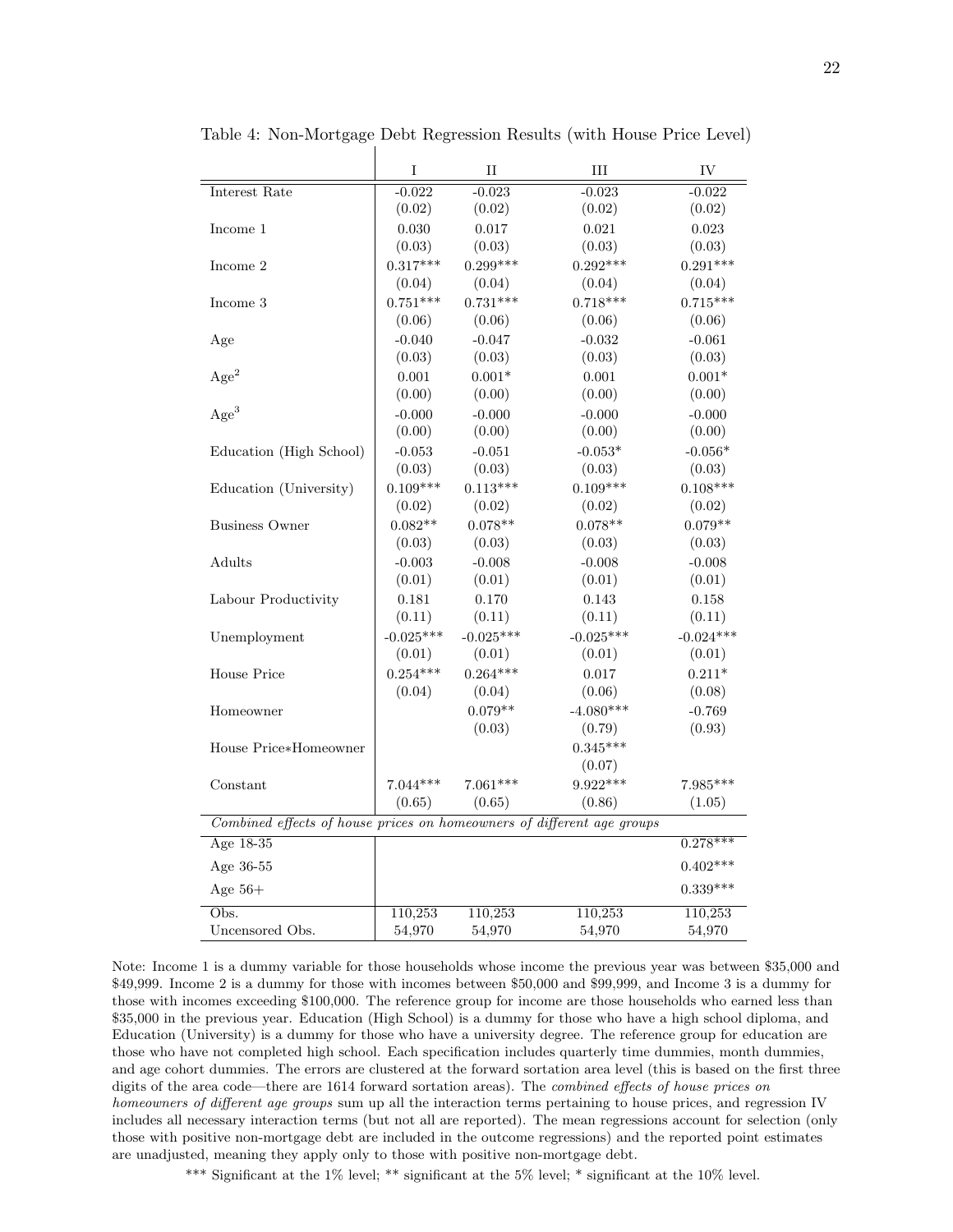| Interest Rate<br>$-0.022$<br>$-0.023$<br>$-0.023$<br>$-0.022$<br>(0.02)<br>(0.02)<br>(0.02)<br>(0.02)<br>0.030<br>0.017<br>0.021<br>0.023<br>Income 1<br>(0.03)<br>(0.03)<br>(0.03)<br>(0.03)<br>$0.299***$<br>$0.291***$<br>$0.317***$<br>$0.292***$<br>Income 2<br>(0.04)<br>(0.04)<br>(0.04)<br>(0.04)<br>$0.751***$<br>$0.731***$<br>$0.718***$<br>$0.715***$<br>Income 3<br>(0.06)<br>(0.06)<br>(0.06)<br>(0.06)<br>$-0.040$<br>$-0.047$<br>$-0.032$<br>$-0.061$<br>Age<br>(0.03)<br>(0.03)<br>(0.03)<br>(0.03)<br>Age <sup>2</sup><br>$0.001*$<br>$0.001\,$<br>$0.001\,$<br>$0.001*$<br>(0.00)<br>(0.00)<br>(0.00)<br>(0.00)<br>Age <sup>3</sup><br>$-0.000$<br>$-0.000$<br>$-0.000$<br>$-0.000$<br>(0.00)<br>(0.00)<br>(0.00)<br>(0.00)<br>$-0.053*$<br>$-0.056*$<br>$-0.053$<br>$-0.051$<br>Education (High School)<br>(0.03)<br>(0.03)<br>(0.03)<br>(0.03)<br>$0.109***$<br>$0.113***$<br>$0.109***$<br>$0.108***$<br>Education (University)<br>(0.02)<br>(0.02)<br>(0.02)<br>(0.02)<br>$0.082**$<br>$0.078**$<br>$0.078**$<br>$0.079**$<br><b>Business Owner</b><br>(0.03)<br>(0.03)<br>(0.03)<br>(0.03)<br>Adults<br>$-0.003$<br>$-0.008$<br>$-0.008$<br>$-0.008$<br>(0.01)<br>(0.01)<br>(0.01)<br>(0.01)<br>Labour Productivity<br>0.181<br>0.170<br>0.143<br>0.158<br>(0.11)<br>(0.11)<br>(0.11)<br>(0.11)<br>$-0.025***$<br>$-0.025***$<br>$-0.025***$<br>$-0.024***$<br>Unemployment<br>(0.01)<br>(0.01)<br>(0.01)<br>(0.01)<br>$0.254***$<br>$0.264***$<br><b>House Price</b><br>0.017<br>$0.211*$<br>(0.04)<br>(0.04)<br>(0.06)<br>(0.08)<br>$0.079**$<br>$-4.080***$<br>$-0.769$<br>Homeowner<br>(0.03)<br>(0.93)<br>(0.79)<br>$0.345***$<br>House Price*Homeowner<br>(0.07)<br>$7.044***$<br>9.922***<br>7.985***<br>$7.061***$<br>Constant<br>(0.65)<br>(0.65)<br>(0.86)<br>(1.05)<br>Combined effects of house prices on homeowners of different age groups<br>Age 18-35<br>$0.278***$<br>Age 36-55<br>$0.402***$<br>$0.339***$<br>Age $56+$<br>$\overline{\mathrm{Obs}}$ .<br>110,253<br>110,253<br>110,253<br>110,253<br>Uncensored Obs.<br>54,970<br>54,970<br>54,970<br>54,970 | I | $_{\rm II}$ | III | IV |
|---------------------------------------------------------------------------------------------------------------------------------------------------------------------------------------------------------------------------------------------------------------------------------------------------------------------------------------------------------------------------------------------------------------------------------------------------------------------------------------------------------------------------------------------------------------------------------------------------------------------------------------------------------------------------------------------------------------------------------------------------------------------------------------------------------------------------------------------------------------------------------------------------------------------------------------------------------------------------------------------------------------------------------------------------------------------------------------------------------------------------------------------------------------------------------------------------------------------------------------------------------------------------------------------------------------------------------------------------------------------------------------------------------------------------------------------------------------------------------------------------------------------------------------------------------------------------------------------------------------------------------------------------------------------------------------------------------------------------------------------------------------------------------------------------------------------------------------------------------------------------------------------------------------------------------------------------------------------------------------------------------------------------------------------------------------------------------------------------------|---|-------------|-----|----|
|                                                                                                                                                                                                                                                                                                                                                                                                                                                                                                                                                                                                                                                                                                                                                                                                                                                                                                                                                                                                                                                                                                                                                                                                                                                                                                                                                                                                                                                                                                                                                                                                                                                                                                                                                                                                                                                                                                                                                                                                                                                                                                         |   |             |     |    |
|                                                                                                                                                                                                                                                                                                                                                                                                                                                                                                                                                                                                                                                                                                                                                                                                                                                                                                                                                                                                                                                                                                                                                                                                                                                                                                                                                                                                                                                                                                                                                                                                                                                                                                                                                                                                                                                                                                                                                                                                                                                                                                         |   |             |     |    |
|                                                                                                                                                                                                                                                                                                                                                                                                                                                                                                                                                                                                                                                                                                                                                                                                                                                                                                                                                                                                                                                                                                                                                                                                                                                                                                                                                                                                                                                                                                                                                                                                                                                                                                                                                                                                                                                                                                                                                                                                                                                                                                         |   |             |     |    |
|                                                                                                                                                                                                                                                                                                                                                                                                                                                                                                                                                                                                                                                                                                                                                                                                                                                                                                                                                                                                                                                                                                                                                                                                                                                                                                                                                                                                                                                                                                                                                                                                                                                                                                                                                                                                                                                                                                                                                                                                                                                                                                         |   |             |     |    |
|                                                                                                                                                                                                                                                                                                                                                                                                                                                                                                                                                                                                                                                                                                                                                                                                                                                                                                                                                                                                                                                                                                                                                                                                                                                                                                                                                                                                                                                                                                                                                                                                                                                                                                                                                                                                                                                                                                                                                                                                                                                                                                         |   |             |     |    |
|                                                                                                                                                                                                                                                                                                                                                                                                                                                                                                                                                                                                                                                                                                                                                                                                                                                                                                                                                                                                                                                                                                                                                                                                                                                                                                                                                                                                                                                                                                                                                                                                                                                                                                                                                                                                                                                                                                                                                                                                                                                                                                         |   |             |     |    |
|                                                                                                                                                                                                                                                                                                                                                                                                                                                                                                                                                                                                                                                                                                                                                                                                                                                                                                                                                                                                                                                                                                                                                                                                                                                                                                                                                                                                                                                                                                                                                                                                                                                                                                                                                                                                                                                                                                                                                                                                                                                                                                         |   |             |     |    |
|                                                                                                                                                                                                                                                                                                                                                                                                                                                                                                                                                                                                                                                                                                                                                                                                                                                                                                                                                                                                                                                                                                                                                                                                                                                                                                                                                                                                                                                                                                                                                                                                                                                                                                                                                                                                                                                                                                                                                                                                                                                                                                         |   |             |     |    |
|                                                                                                                                                                                                                                                                                                                                                                                                                                                                                                                                                                                                                                                                                                                                                                                                                                                                                                                                                                                                                                                                                                                                                                                                                                                                                                                                                                                                                                                                                                                                                                                                                                                                                                                                                                                                                                                                                                                                                                                                                                                                                                         |   |             |     |    |
|                                                                                                                                                                                                                                                                                                                                                                                                                                                                                                                                                                                                                                                                                                                                                                                                                                                                                                                                                                                                                                                                                                                                                                                                                                                                                                                                                                                                                                                                                                                                                                                                                                                                                                                                                                                                                                                                                                                                                                                                                                                                                                         |   |             |     |    |
|                                                                                                                                                                                                                                                                                                                                                                                                                                                                                                                                                                                                                                                                                                                                                                                                                                                                                                                                                                                                                                                                                                                                                                                                                                                                                                                                                                                                                                                                                                                                                                                                                                                                                                                                                                                                                                                                                                                                                                                                                                                                                                         |   |             |     |    |
|                                                                                                                                                                                                                                                                                                                                                                                                                                                                                                                                                                                                                                                                                                                                                                                                                                                                                                                                                                                                                                                                                                                                                                                                                                                                                                                                                                                                                                                                                                                                                                                                                                                                                                                                                                                                                                                                                                                                                                                                                                                                                                         |   |             |     |    |
|                                                                                                                                                                                                                                                                                                                                                                                                                                                                                                                                                                                                                                                                                                                                                                                                                                                                                                                                                                                                                                                                                                                                                                                                                                                                                                                                                                                                                                                                                                                                                                                                                                                                                                                                                                                                                                                                                                                                                                                                                                                                                                         |   |             |     |    |
|                                                                                                                                                                                                                                                                                                                                                                                                                                                                                                                                                                                                                                                                                                                                                                                                                                                                                                                                                                                                                                                                                                                                                                                                                                                                                                                                                                                                                                                                                                                                                                                                                                                                                                                                                                                                                                                                                                                                                                                                                                                                                                         |   |             |     |    |
|                                                                                                                                                                                                                                                                                                                                                                                                                                                                                                                                                                                                                                                                                                                                                                                                                                                                                                                                                                                                                                                                                                                                                                                                                                                                                                                                                                                                                                                                                                                                                                                                                                                                                                                                                                                                                                                                                                                                                                                                                                                                                                         |   |             |     |    |
|                                                                                                                                                                                                                                                                                                                                                                                                                                                                                                                                                                                                                                                                                                                                                                                                                                                                                                                                                                                                                                                                                                                                                                                                                                                                                                                                                                                                                                                                                                                                                                                                                                                                                                                                                                                                                                                                                                                                                                                                                                                                                                         |   |             |     |    |
|                                                                                                                                                                                                                                                                                                                                                                                                                                                                                                                                                                                                                                                                                                                                                                                                                                                                                                                                                                                                                                                                                                                                                                                                                                                                                                                                                                                                                                                                                                                                                                                                                                                                                                                                                                                                                                                                                                                                                                                                                                                                                                         |   |             |     |    |
|                                                                                                                                                                                                                                                                                                                                                                                                                                                                                                                                                                                                                                                                                                                                                                                                                                                                                                                                                                                                                                                                                                                                                                                                                                                                                                                                                                                                                                                                                                                                                                                                                                                                                                                                                                                                                                                                                                                                                                                                                                                                                                         |   |             |     |    |
|                                                                                                                                                                                                                                                                                                                                                                                                                                                                                                                                                                                                                                                                                                                                                                                                                                                                                                                                                                                                                                                                                                                                                                                                                                                                                                                                                                                                                                                                                                                                                                                                                                                                                                                                                                                                                                                                                                                                                                                                                                                                                                         |   |             |     |    |
|                                                                                                                                                                                                                                                                                                                                                                                                                                                                                                                                                                                                                                                                                                                                                                                                                                                                                                                                                                                                                                                                                                                                                                                                                                                                                                                                                                                                                                                                                                                                                                                                                                                                                                                                                                                                                                                                                                                                                                                                                                                                                                         |   |             |     |    |
|                                                                                                                                                                                                                                                                                                                                                                                                                                                                                                                                                                                                                                                                                                                                                                                                                                                                                                                                                                                                                                                                                                                                                                                                                                                                                                                                                                                                                                                                                                                                                                                                                                                                                                                                                                                                                                                                                                                                                                                                                                                                                                         |   |             |     |    |
|                                                                                                                                                                                                                                                                                                                                                                                                                                                                                                                                                                                                                                                                                                                                                                                                                                                                                                                                                                                                                                                                                                                                                                                                                                                                                                                                                                                                                                                                                                                                                                                                                                                                                                                                                                                                                                                                                                                                                                                                                                                                                                         |   |             |     |    |
|                                                                                                                                                                                                                                                                                                                                                                                                                                                                                                                                                                                                                                                                                                                                                                                                                                                                                                                                                                                                                                                                                                                                                                                                                                                                                                                                                                                                                                                                                                                                                                                                                                                                                                                                                                                                                                                                                                                                                                                                                                                                                                         |   |             |     |    |
|                                                                                                                                                                                                                                                                                                                                                                                                                                                                                                                                                                                                                                                                                                                                                                                                                                                                                                                                                                                                                                                                                                                                                                                                                                                                                                                                                                                                                                                                                                                                                                                                                                                                                                                                                                                                                                                                                                                                                                                                                                                                                                         |   |             |     |    |
|                                                                                                                                                                                                                                                                                                                                                                                                                                                                                                                                                                                                                                                                                                                                                                                                                                                                                                                                                                                                                                                                                                                                                                                                                                                                                                                                                                                                                                                                                                                                                                                                                                                                                                                                                                                                                                                                                                                                                                                                                                                                                                         |   |             |     |    |
|                                                                                                                                                                                                                                                                                                                                                                                                                                                                                                                                                                                                                                                                                                                                                                                                                                                                                                                                                                                                                                                                                                                                                                                                                                                                                                                                                                                                                                                                                                                                                                                                                                                                                                                                                                                                                                                                                                                                                                                                                                                                                                         |   |             |     |    |
|                                                                                                                                                                                                                                                                                                                                                                                                                                                                                                                                                                                                                                                                                                                                                                                                                                                                                                                                                                                                                                                                                                                                                                                                                                                                                                                                                                                                                                                                                                                                                                                                                                                                                                                                                                                                                                                                                                                                                                                                                                                                                                         |   |             |     |    |
|                                                                                                                                                                                                                                                                                                                                                                                                                                                                                                                                                                                                                                                                                                                                                                                                                                                                                                                                                                                                                                                                                                                                                                                                                                                                                                                                                                                                                                                                                                                                                                                                                                                                                                                                                                                                                                                                                                                                                                                                                                                                                                         |   |             |     |    |
|                                                                                                                                                                                                                                                                                                                                                                                                                                                                                                                                                                                                                                                                                                                                                                                                                                                                                                                                                                                                                                                                                                                                                                                                                                                                                                                                                                                                                                                                                                                                                                                                                                                                                                                                                                                                                                                                                                                                                                                                                                                                                                         |   |             |     |    |
|                                                                                                                                                                                                                                                                                                                                                                                                                                                                                                                                                                                                                                                                                                                                                                                                                                                                                                                                                                                                                                                                                                                                                                                                                                                                                                                                                                                                                                                                                                                                                                                                                                                                                                                                                                                                                                                                                                                                                                                                                                                                                                         |   |             |     |    |
|                                                                                                                                                                                                                                                                                                                                                                                                                                                                                                                                                                                                                                                                                                                                                                                                                                                                                                                                                                                                                                                                                                                                                                                                                                                                                                                                                                                                                                                                                                                                                                                                                                                                                                                                                                                                                                                                                                                                                                                                                                                                                                         |   |             |     |    |
|                                                                                                                                                                                                                                                                                                                                                                                                                                                                                                                                                                                                                                                                                                                                                                                                                                                                                                                                                                                                                                                                                                                                                                                                                                                                                                                                                                                                                                                                                                                                                                                                                                                                                                                                                                                                                                                                                                                                                                                                                                                                                                         |   |             |     |    |
|                                                                                                                                                                                                                                                                                                                                                                                                                                                                                                                                                                                                                                                                                                                                                                                                                                                                                                                                                                                                                                                                                                                                                                                                                                                                                                                                                                                                                                                                                                                                                                                                                                                                                                                                                                                                                                                                                                                                                                                                                                                                                                         |   |             |     |    |
|                                                                                                                                                                                                                                                                                                                                                                                                                                                                                                                                                                                                                                                                                                                                                                                                                                                                                                                                                                                                                                                                                                                                                                                                                                                                                                                                                                                                                                                                                                                                                                                                                                                                                                                                                                                                                                                                                                                                                                                                                                                                                                         |   |             |     |    |
|                                                                                                                                                                                                                                                                                                                                                                                                                                                                                                                                                                                                                                                                                                                                                                                                                                                                                                                                                                                                                                                                                                                                                                                                                                                                                                                                                                                                                                                                                                                                                                                                                                                                                                                                                                                                                                                                                                                                                                                                                                                                                                         |   |             |     |    |
|                                                                                                                                                                                                                                                                                                                                                                                                                                                                                                                                                                                                                                                                                                                                                                                                                                                                                                                                                                                                                                                                                                                                                                                                                                                                                                                                                                                                                                                                                                                                                                                                                                                                                                                                                                                                                                                                                                                                                                                                                                                                                                         |   |             |     |    |
|                                                                                                                                                                                                                                                                                                                                                                                                                                                                                                                                                                                                                                                                                                                                                                                                                                                                                                                                                                                                                                                                                                                                                                                                                                                                                                                                                                                                                                                                                                                                                                                                                                                                                                                                                                                                                                                                                                                                                                                                                                                                                                         |   |             |     |    |
|                                                                                                                                                                                                                                                                                                                                                                                                                                                                                                                                                                                                                                                                                                                                                                                                                                                                                                                                                                                                                                                                                                                                                                                                                                                                                                                                                                                                                                                                                                                                                                                                                                                                                                                                                                                                                                                                                                                                                                                                                                                                                                         |   |             |     |    |
|                                                                                                                                                                                                                                                                                                                                                                                                                                                                                                                                                                                                                                                                                                                                                                                                                                                                                                                                                                                                                                                                                                                                                                                                                                                                                                                                                                                                                                                                                                                                                                                                                                                                                                                                                                                                                                                                                                                                                                                                                                                                                                         |   |             |     |    |
|                                                                                                                                                                                                                                                                                                                                                                                                                                                                                                                                                                                                                                                                                                                                                                                                                                                                                                                                                                                                                                                                                                                                                                                                                                                                                                                                                                                                                                                                                                                                                                                                                                                                                                                                                                                                                                                                                                                                                                                                                                                                                                         |   |             |     |    |

Table 4: Non-Mortgage Debt Regression Results (with House Price Level)

Note: Income 1 is a dummy variable for those households whose income the previous year was between \$35,000 and \$49,999. Income 2 is a dummy for those with incomes between \$50,000 and \$99,999, and Income 3 is a dummy for those with incomes exceeding \$100,000. The reference group for income are those households who earned less than \$35,000 in the previous year. Education (High School) is a dummy for those who have a high school diploma, and Education (University) is a dummy for those who have a university degree. The reference group for education are those who have not completed high school. Each specification includes quarterly time dummies, month dummies, and age cohort dummies. The errors are clustered at the forward sortation area level (this is based on the first three digits of the area code—there are 1614 forward sortation areas). The *combined effects of house prices on* homeowners of different age groups sum up all the interaction terms pertaining to house prices, and regression IV includes all necessary interaction terms (but not all are reported). The mean regressions account for selection (only those with positive non-mortgage debt are included in the outcome regressions) and the reported point estimates are unadjusted, meaning they apply only to those with positive non-mortgage debt.

\*\*\* Significant at the 1% level; \*\* significant at the 5% level; \* significant at the 10% level.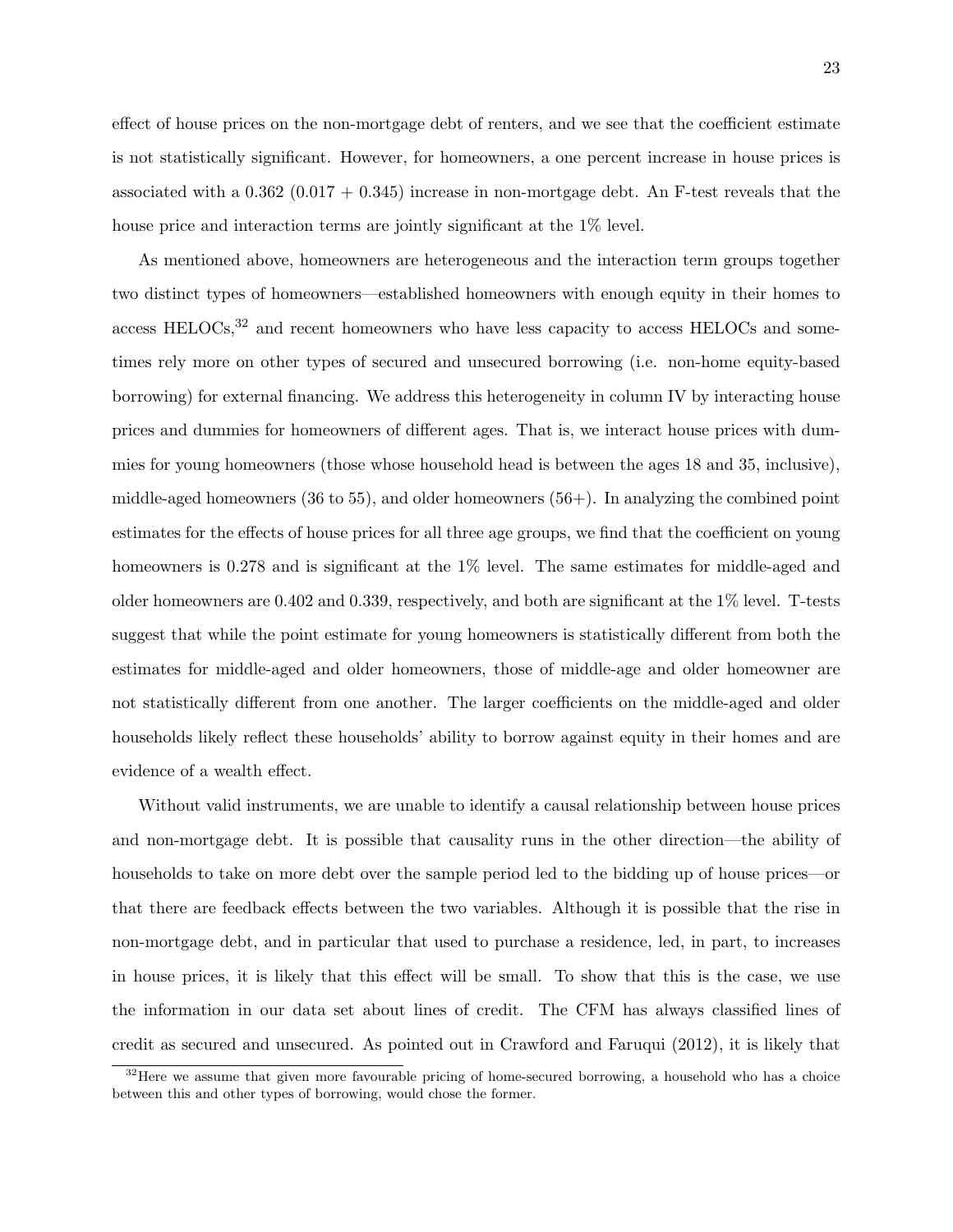effect of house prices on the non-mortgage debt of renters, and we see that the coefficient estimate is not statistically significant. However, for homeowners, a one percent increase in house prices is associated with a  $0.362 (0.017 + 0.345)$  increase in non-mortgage debt. An F-test reveals that the house price and interaction terms are jointly significant at the 1\% level.

As mentioned above, homeowners are heterogeneous and the interaction term groups together two distinct types of homeowners—established homeowners with enough equity in their homes to access HELOCs,<sup>32</sup> and recent homeowners who have less capacity to access HELOCs and sometimes rely more on other types of secured and unsecured borrowing (i.e. non-home equity-based borrowing) for external financing. We address this heterogeneity in column IV by interacting house prices and dummies for homeowners of different ages. That is, we interact house prices with dummies for young homeowners (those whose household head is between the ages 18 and 35, inclusive), middle-aged homeowners (36 to 55), and older homeowners (56+). In analyzing the combined point estimates for the effects of house prices for all three age groups, we find that the coefficient on young homeowners is 0.278 and is significant at the 1% level. The same estimates for middle-aged and older homeowners are 0.402 and 0.339, respectively, and both are significant at the 1% level. T-tests suggest that while the point estimate for young homeowners is statistically different from both the estimates for middle-aged and older homeowners, those of middle-age and older homeowner are not statistically different from one another. The larger coefficients on the middle-aged and older households likely reflect these households' ability to borrow against equity in their homes and are evidence of a wealth effect.

Without valid instruments, we are unable to identify a causal relationship between house prices and non-mortgage debt. It is possible that causality runs in the other direction—the ability of households to take on more debt over the sample period led to the bidding up of house prices—or that there are feedback effects between the two variables. Although it is possible that the rise in non-mortgage debt, and in particular that used to purchase a residence, led, in part, to increases in house prices, it is likely that this effect will be small. To show that this is the case, we use the information in our data set about lines of credit. The CFM has always classified lines of credit as secured and unsecured. As pointed out in Crawford and Faruqui (2012), it is likely that

 $32$  Here we assume that given more favourable pricing of home-secured borrowing, a household who has a choice between this and other types of borrowing, would chose the former.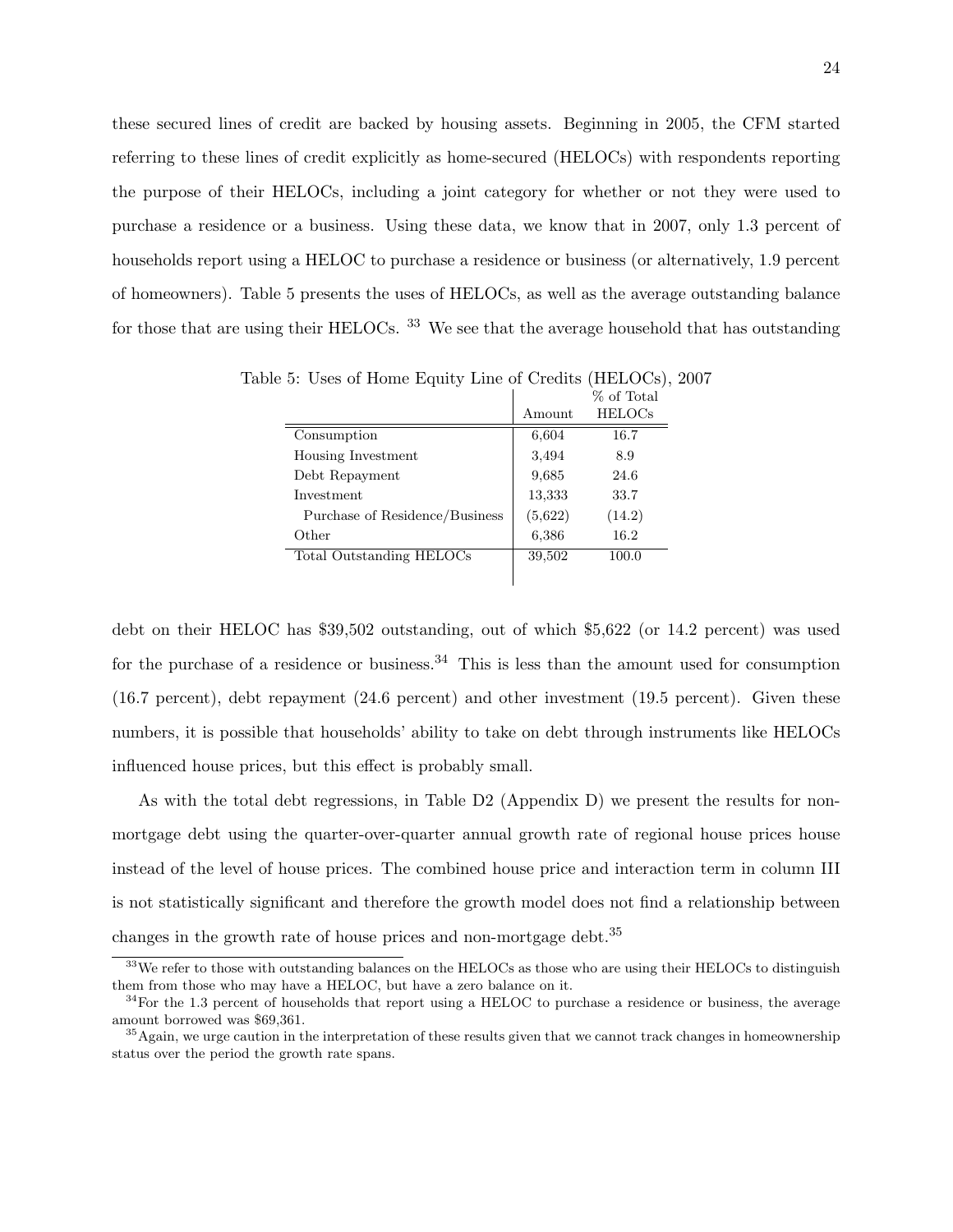these secured lines of credit are backed by housing assets. Beginning in 2005, the CFM started referring to these lines of credit explicitly as home-secured (HELOCs) with respondents reporting the purpose of their HELOCs, including a joint category for whether or not they were used to purchase a residence or a business. Using these data, we know that in 2007, only 1.3 percent of households report using a HELOC to purchase a residence or business (or alternatively, 1.9 percent of homeowners). Table 5 presents the uses of HELOCs, as well as the average outstanding balance for those that are using their HELOCs. <sup>33</sup> We see that the average household that has outstanding

|                                |         | 70 OF TOTAL   |
|--------------------------------|---------|---------------|
|                                | Amount  | <b>HELOCs</b> |
| Consumption                    | 6,604   | 16.7          |
| Housing Investment             | 3,494   | 8.9           |
| Debt Repayment                 | 9,685   | 24.6          |
| Investment                     | 13,333  | 33.7          |
| Purchase of Residence/Business | (5,622) | (14.2)        |
| Other                          | 6,386   | 16.2          |
| Total Outstanding HELOCs       | 39,502  | 100.0         |
|                                |         |               |
|                                |         |               |

Table 5: Uses of Home Equity Line of Credits (HELOCs), 2007  $\sigma$  of Tatal

debt on their HELOC has \$39,502 outstanding, out of which \$5,622 (or 14.2 percent) was used for the purchase of a residence or business.<sup>34</sup> This is less than the amount used for consumption (16.7 percent), debt repayment (24.6 percent) and other investment (19.5 percent). Given these numbers, it is possible that households' ability to take on debt through instruments like HELOCs influenced house prices, but this effect is probably small.

As with the total debt regressions, in Table D2 (Appendix D) we present the results for nonmortgage debt using the quarter-over-quarter annual growth rate of regional house prices house instead of the level of house prices. The combined house price and interaction term in column III is not statistically significant and therefore the growth model does not find a relationship between changes in the growth rate of house prices and non-mortgage debt.<sup>35</sup>

<sup>&</sup>lt;sup>33</sup>We refer to those with outstanding balances on the HELOCs as those who are using their HELOCs to distinguish them from those who may have a HELOC, but have a zero balance on it.

 $34$ For the 1.3 percent of households that report using a HELOC to purchase a residence or business, the average amount borrowed was \$69,361.

 $35$ Again, we urge caution in the interpretation of these results given that we cannot track changes in homeownership status over the period the growth rate spans.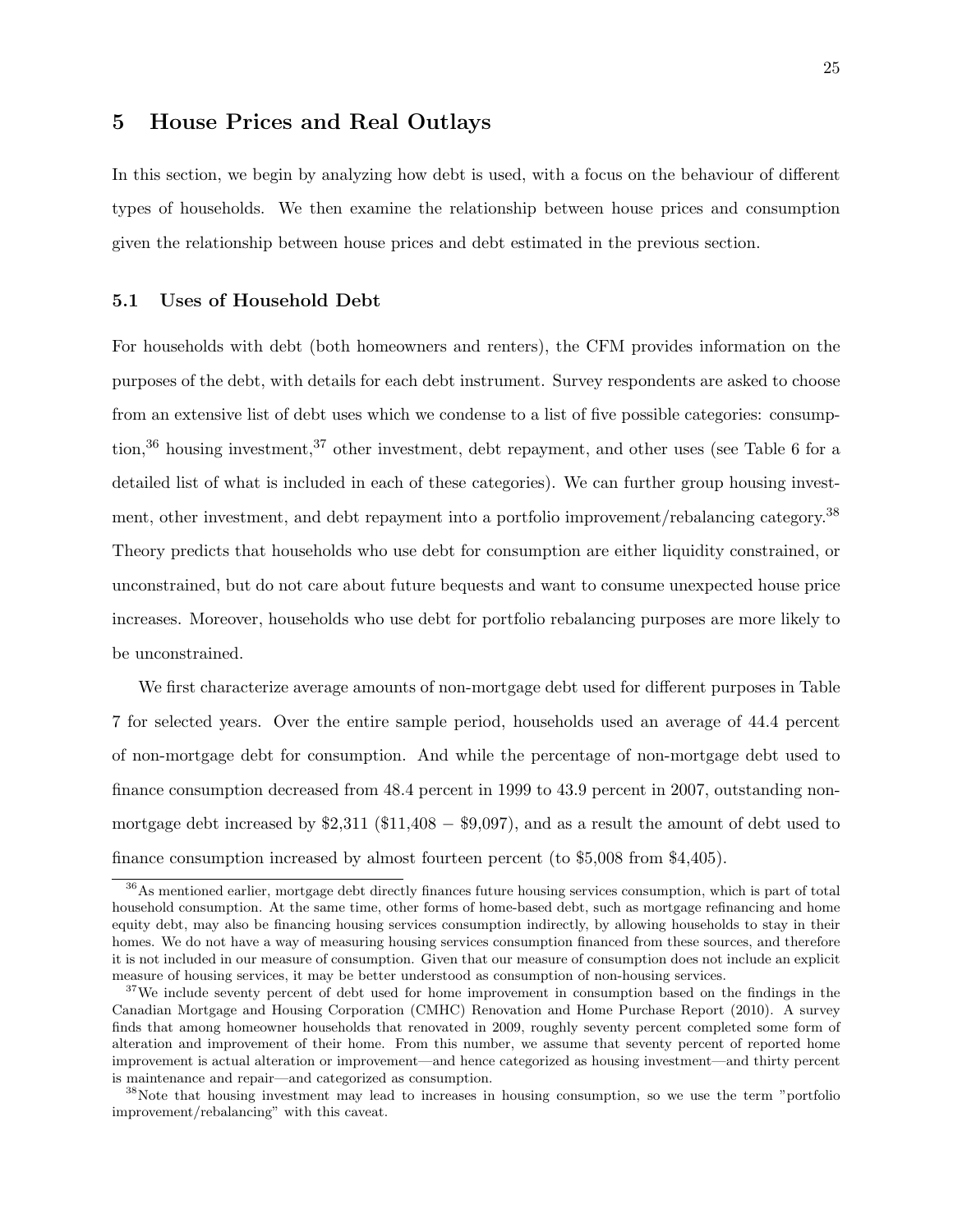### 5 House Prices and Real Outlays

In this section, we begin by analyzing how debt is used, with a focus on the behaviour of different types of households. We then examine the relationship between house prices and consumption given the relationship between house prices and debt estimated in the previous section.

#### 5.1 Uses of Household Debt

For households with debt (both homeowners and renters), the CFM provides information on the purposes of the debt, with details for each debt instrument. Survey respondents are asked to choose from an extensive list of debt uses which we condense to a list of five possible categories: consumption,<sup>36</sup> housing investment,<sup>37</sup> other investment, debt repayment, and other uses (see Table 6 for a detailed list of what is included in each of these categories). We can further group housing investment, other investment, and debt repayment into a portfolio improvement/rebalancing category.<sup>38</sup> Theory predicts that households who use debt for consumption are either liquidity constrained, or unconstrained, but do not care about future bequests and want to consume unexpected house price increases. Moreover, households who use debt for portfolio rebalancing purposes are more likely to be unconstrained.

We first characterize average amounts of non-mortgage debt used for different purposes in Table 7 for selected years. Over the entire sample period, households used an average of 44.4 percent of non-mortgage debt for consumption. And while the percentage of non-mortgage debt used to finance consumption decreased from 48.4 percent in 1999 to 43.9 percent in 2007, outstanding nonmortgage debt increased by  $$2,311$  ( $$11,408 - $9,097$ ), and as a result the amount of debt used to finance consumption increased by almost fourteen percent (to \$5,008 from \$4,405).

<sup>&</sup>lt;sup>36</sup>As mentioned earlier, mortgage debt directly finances future housing services consumption, which is part of total household consumption. At the same time, other forms of home-based debt, such as mortgage refinancing and home equity debt, may also be financing housing services consumption indirectly, by allowing households to stay in their homes. We do not have a way of measuring housing services consumption financed from these sources, and therefore it is not included in our measure of consumption. Given that our measure of consumption does not include an explicit measure of housing services, it may be better understood as consumption of non-housing services.

<sup>&</sup>lt;sup>37</sup>We include seventy percent of debt used for home improvement in consumption based on the findings in the Canadian Mortgage and Housing Corporation (CMHC) Renovation and Home Purchase Report (2010). A survey finds that among homeowner households that renovated in 2009, roughly seventy percent completed some form of alteration and improvement of their home. From this number, we assume that seventy percent of reported home improvement is actual alteration or improvement—and hence categorized as housing investment—and thirty percent is maintenance and repair—and categorized as consumption.

<sup>&</sup>lt;sup>38</sup>Note that housing investment may lead to increases in housing consumption, so we use the term "portfolio improvement/rebalancing" with this caveat.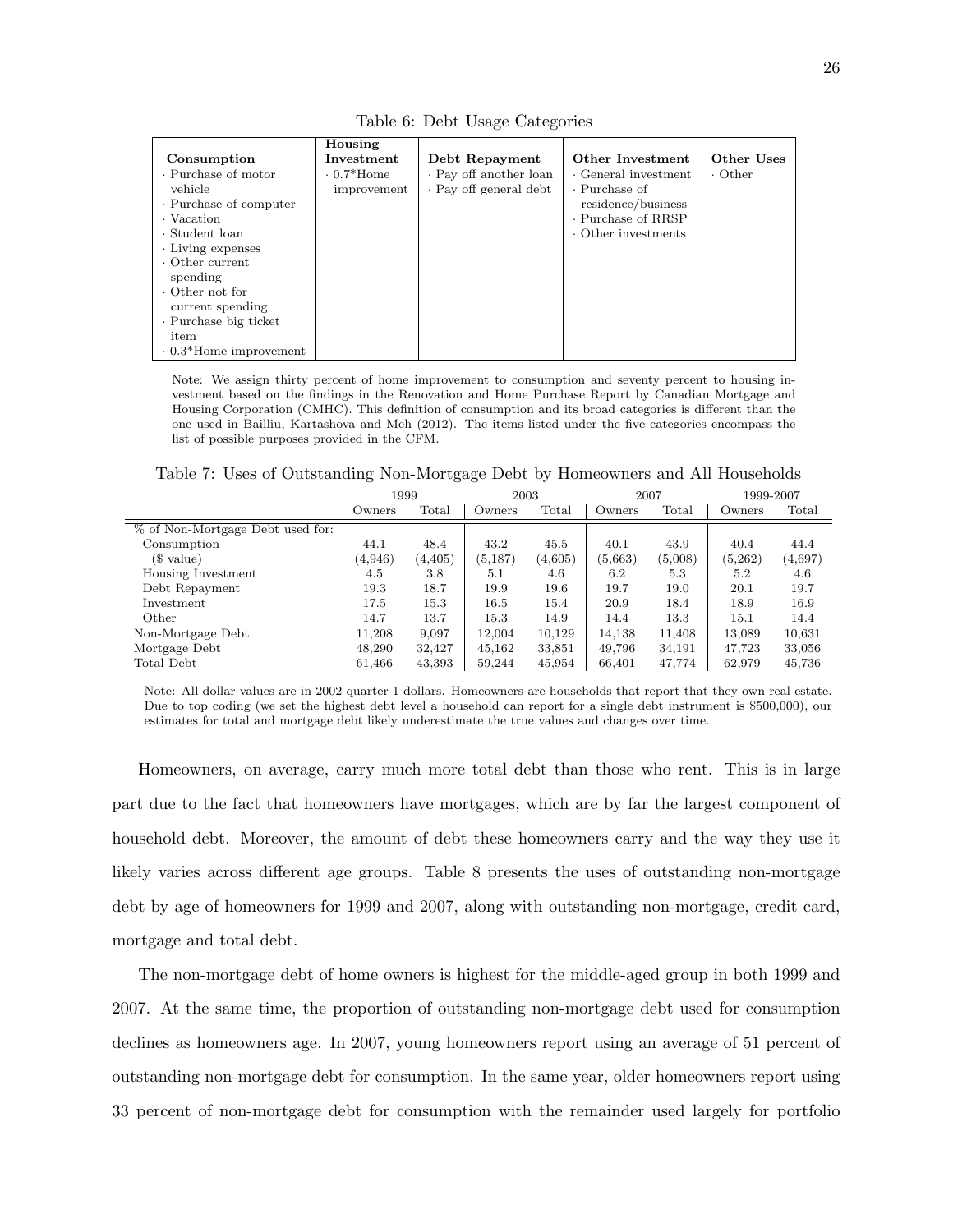|                              | Housing     |                        |                                       |               |
|------------------------------|-------------|------------------------|---------------------------------------|---------------|
| Consumption                  | Investment  | Debt Repayment         | Other Investment                      | Other Uses    |
| · Purchase of motor          | $0.7*$ Home | · Pay off another loan | $\overline{\cdot}$ General investment | $\cdot$ Other |
| vehicle                      | improvement | · Pay off general debt | $\cdot$ Purchase of                   |               |
| · Purchase of computer       |             |                        | residence/business                    |               |
| • Vacation                   |             |                        | · Purchase of RRSP                    |               |
| · Student loan               |             |                        | Other investments                     |               |
| Living expenses              |             |                        |                                       |               |
| $\cdot$ Other current        |             |                        |                                       |               |
| spending                     |             |                        |                                       |               |
| $\cdot$ Other not for        |             |                        |                                       |               |
| current spending             |             |                        |                                       |               |
| Purchase big ticket          |             |                        |                                       |               |
| item                         |             |                        |                                       |               |
| $\cdot$ 0.3*Home improvement |             |                        |                                       |               |

Table 6: Debt Usage Categories

Note: We assign thirty percent of home improvement to consumption and seventy percent to housing investment based on the findings in the Renovation and Home Purchase Report by Canadian Mortgage and Housing Corporation (CMHC). This definition of consumption and its broad categories is different than the one used in Bailliu, Kartashova and Meh (2012). The items listed under the five categories encompass the list of possible purposes provided in the CFM.

Table 7: Uses of Outstanding Non-Mortgage Debt by Homeowners and All Households

|                                  | 1999    |                | 2003    |                | 2007    |         | 1999-2007 |         |
|----------------------------------|---------|----------------|---------|----------------|---------|---------|-----------|---------|
|                                  | Owners  | $_{\rm Total}$ | Owners  | $_{\rm Total}$ | Owners  | Total   | Owners    | Total   |
| % of Non-Mortgage Debt used for: |         |                |         |                |         |         |           |         |
| Consumption                      | 44.1    | 48.4           | 43.2    | 45.5           | 40.1    | 43.9    | 40.4      | 44.4    |
| \$ value)                        | (4.946) | (4.405)        | (5,187) | (4,605)        | (5,663) | (5,008) | (5,262)   | (4,697) |
| Housing Investment               | 4.5     | 3.8            | 5.1     | 4.6            | 6.2     | 5.3     | 5.2       | 4.6     |
| Debt Repayment                   | 19.3    | 18.7           | 19.9    | 19.6           | 19.7    | 19.0    | 20.1      | 19.7    |
| Investment                       | 17.5    | 15.3           | 16.5    | 15.4           | 20.9    | 18.4    | 18.9      | 16.9    |
| Other                            | 14.7    | 13.7           | 15.3    | 14.9           | 14.4    | 13.3    | 15.1      | 14.4    |
| Non-Mortgage Debt                | 11.208  | 9,097          | 12.004  | 10,129         | 14.138  | 11,408  | 13.089    | 10,631  |
| Mortgage Debt                    | 48.290  | 32,427         | 45,162  | 33,851         | 49,796  | 34,191  | 47.723    | 33,056  |
| Total Debt                       | 61,466  | 43,393         | 59,244  | 45,954         | 66,401  | 47,774  | 62,979    | 45,736  |

Note: All dollar values are in 2002 quarter 1 dollars. Homeowners are households that report that they own real estate. Due to top coding (we set the highest debt level a household can report for a single debt instrument is \$500,000), our estimates for total and mortgage debt likely underestimate the true values and changes over time.

Homeowners, on average, carry much more total debt than those who rent. This is in large part due to the fact that homeowners have mortgages, which are by far the largest component of household debt. Moreover, the amount of debt these homeowners carry and the way they use it likely varies across different age groups. Table 8 presents the uses of outstanding non-mortgage debt by age of homeowners for 1999 and 2007, along with outstanding non-mortgage, credit card, mortgage and total debt.

The non-mortgage debt of home owners is highest for the middle-aged group in both 1999 and 2007. At the same time, the proportion of outstanding non-mortgage debt used for consumption declines as homeowners age. In 2007, young homeowners report using an average of 51 percent of outstanding non-mortgage debt for consumption. In the same year, older homeowners report using 33 percent of non-mortgage debt for consumption with the remainder used largely for portfolio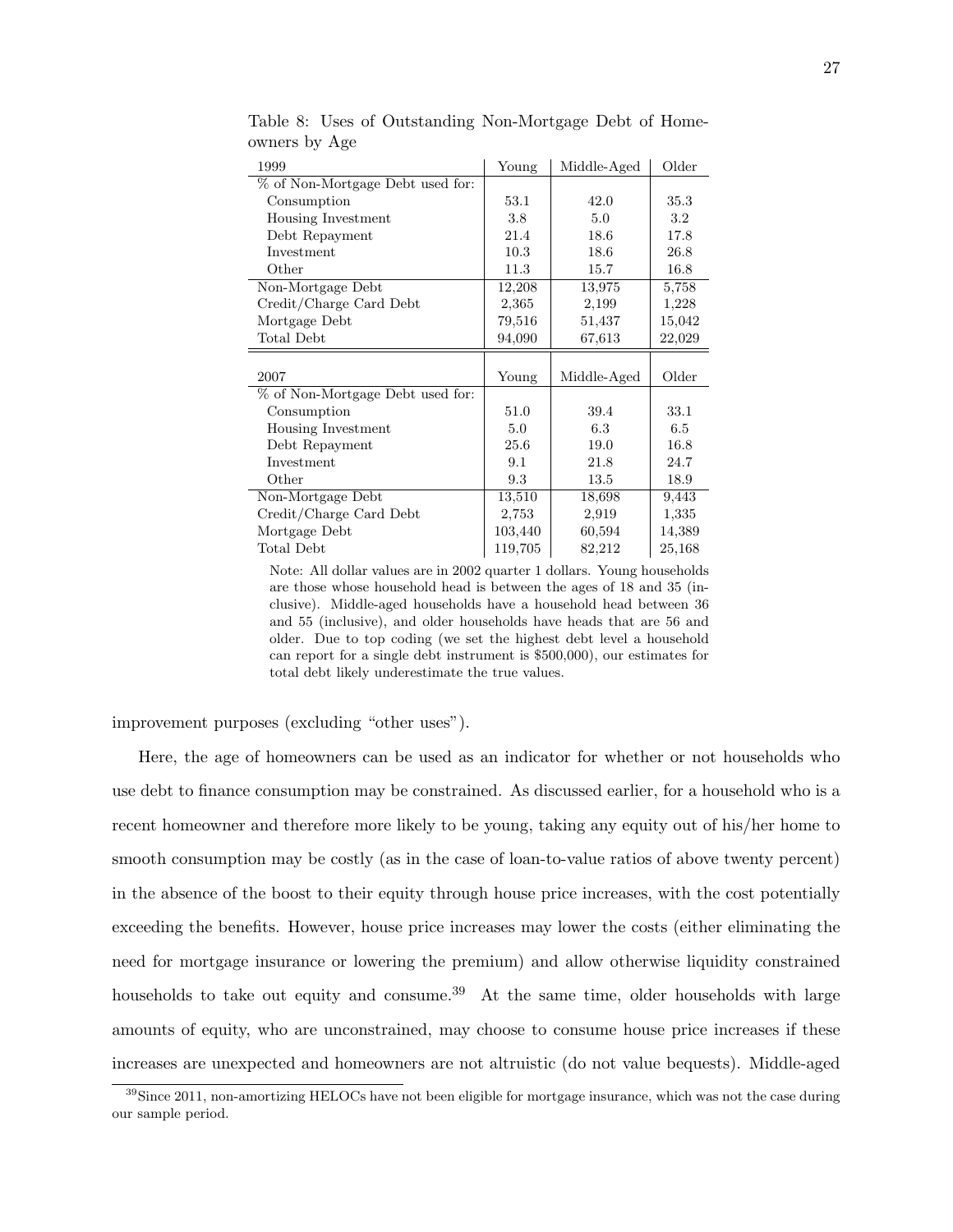| 1999                             | Young   | Middle-Aged | Older   |
|----------------------------------|---------|-------------|---------|
| % of Non-Mortgage Debt used for: |         |             |         |
| Consumption                      | 53.1    | 42.0        | 35.3    |
| Housing Investment               | 3.8     | 5.0         | $3.2\,$ |
| Debt Repayment                   | 21.4    | 18.6        | 17.8    |
| Investment                       | 10.3    | 18.6        | 26.8    |
| Other                            | 11.3    | 15.7        | 16.8    |
| Non-Mortgage Debt                | 12,208  | 13,975      | 5,758   |
| Credit/Charge Card Debt          | 2,365   | 2,199       | 1,228   |
| Mortgage Debt                    | 79,516  | 51,437      | 15,042  |
| Total Debt                       | 94,090  | 67,613      | 22,029  |
|                                  |         |             |         |
| 2007                             | Young   | Middle-Aged | Older   |
| % of Non-Mortgage Debt used for: |         |             |         |
| Consumption                      | 51.0    | 39.4        | 33.1    |
| Housing Investment               | 5.0     | 6.3         | 6.5     |
| Debt Repayment                   | 25.6    | 19.0        | 16.8    |
| Investment                       | 9.1     | 21.8        | 24.7    |
| Other                            | 9.3     | 13.5        | 18.9    |
| Non-Mortgage Debt                | 13,510  | 18,698      | 9,443   |
| Credit/Charge Card Debt          | 2,753   | 2,919       | 1,335   |
| Mortgage Debt                    | 103,440 | 60,594      | 14,389  |
| Total Debt                       | 119,705 | 82,212      | 25,168  |

Table 8: Uses of Outstanding Non-Mortgage Debt of Homeowners by Age

Note: All dollar values are in 2002 quarter 1 dollars. Young households are those whose household head is between the ages of 18 and 35 (inclusive). Middle-aged households have a household head between 36 and 55 (inclusive), and older households have heads that are 56 and older. Due to top coding (we set the highest debt level a household can report for a single debt instrument is \$500,000), our estimates for total debt likely underestimate the true values.

improvement purposes (excluding "other uses").

Here, the age of homeowners can be used as an indicator for whether or not households who use debt to finance consumption may be constrained. As discussed earlier, for a household who is a recent homeowner and therefore more likely to be young, taking any equity out of his/her home to smooth consumption may be costly (as in the case of loan-to-value ratios of above twenty percent) in the absence of the boost to their equity through house price increases, with the cost potentially exceeding the benefits. However, house price increases may lower the costs (either eliminating the need for mortgage insurance or lowering the premium) and allow otherwise liquidity constrained households to take out equity and consume.<sup>39</sup> At the same time, older households with large amounts of equity, who are unconstrained, may choose to consume house price increases if these increases are unexpected and homeowners are not altruistic (do not value bequests). Middle-aged

 $39$ Since 2011, non-amortizing HELOCs have not been eligible for mortgage insurance, which was not the case during our sample period.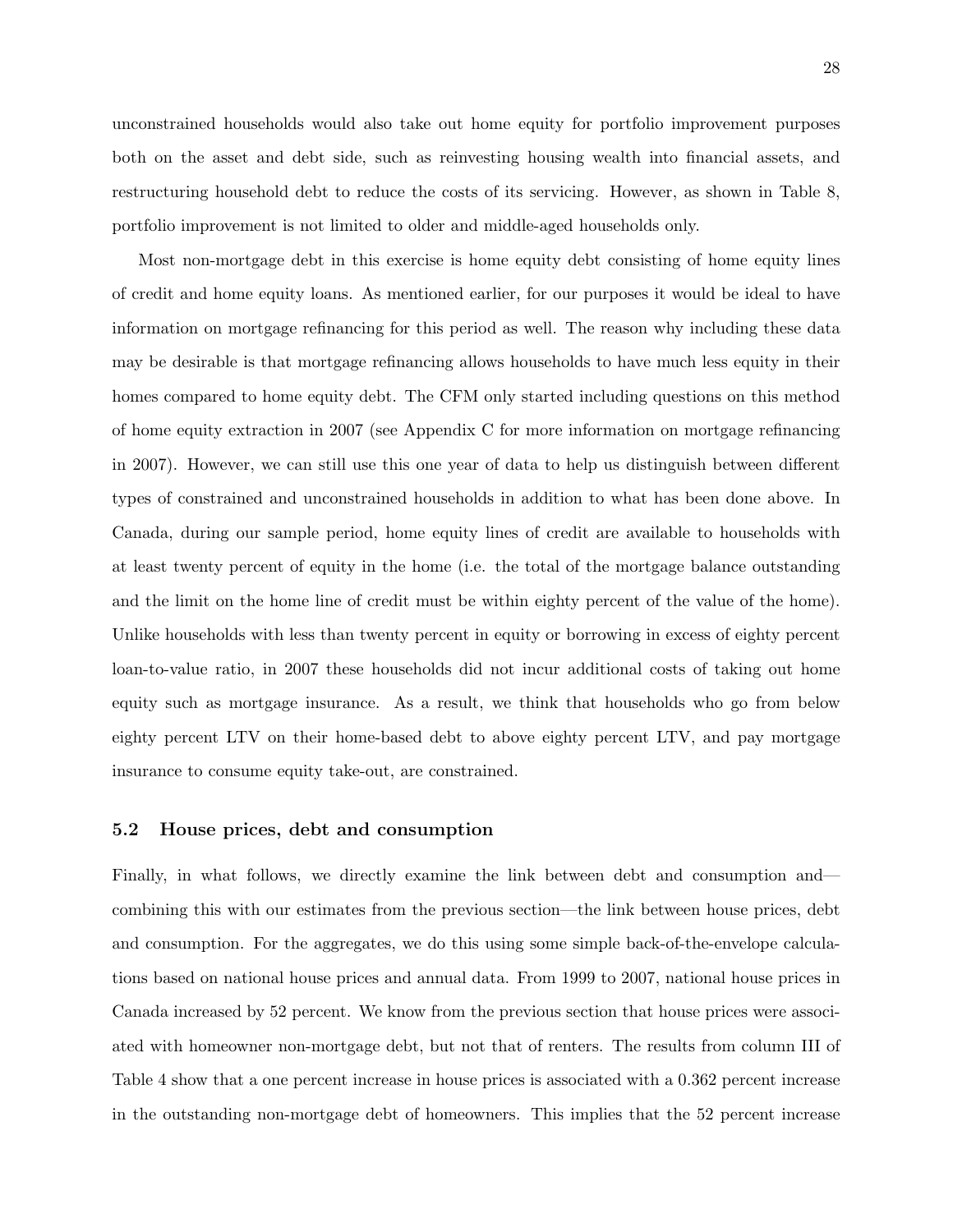28

unconstrained households would also take out home equity for portfolio improvement purposes both on the asset and debt side, such as reinvesting housing wealth into financial assets, and restructuring household debt to reduce the costs of its servicing. However, as shown in Table 8, portfolio improvement is not limited to older and middle-aged households only.

Most non-mortgage debt in this exercise is home equity debt consisting of home equity lines of credit and home equity loans. As mentioned earlier, for our purposes it would be ideal to have information on mortgage refinancing for this period as well. The reason why including these data may be desirable is that mortgage refinancing allows households to have much less equity in their homes compared to home equity debt. The CFM only started including questions on this method of home equity extraction in 2007 (see Appendix C for more information on mortgage refinancing in 2007). However, we can still use this one year of data to help us distinguish between different types of constrained and unconstrained households in addition to what has been done above. In Canada, during our sample period, home equity lines of credit are available to households with at least twenty percent of equity in the home (i.e. the total of the mortgage balance outstanding and the limit on the home line of credit must be within eighty percent of the value of the home). Unlike households with less than twenty percent in equity or borrowing in excess of eighty percent loan-to-value ratio, in 2007 these households did not incur additional costs of taking out home equity such as mortgage insurance. As a result, we think that households who go from below eighty percent LTV on their home-based debt to above eighty percent LTV, and pay mortgage insurance to consume equity take-out, are constrained.

#### 5.2 House prices, debt and consumption

Finally, in what follows, we directly examine the link between debt and consumption and combining this with our estimates from the previous section—the link between house prices, debt and consumption. For the aggregates, we do this using some simple back-of-the-envelope calculations based on national house prices and annual data. From 1999 to 2007, national house prices in Canada increased by 52 percent. We know from the previous section that house prices were associated with homeowner non-mortgage debt, but not that of renters. The results from column III of Table 4 show that a one percent increase in house prices is associated with a 0.362 percent increase in the outstanding non-mortgage debt of homeowners. This implies that the 52 percent increase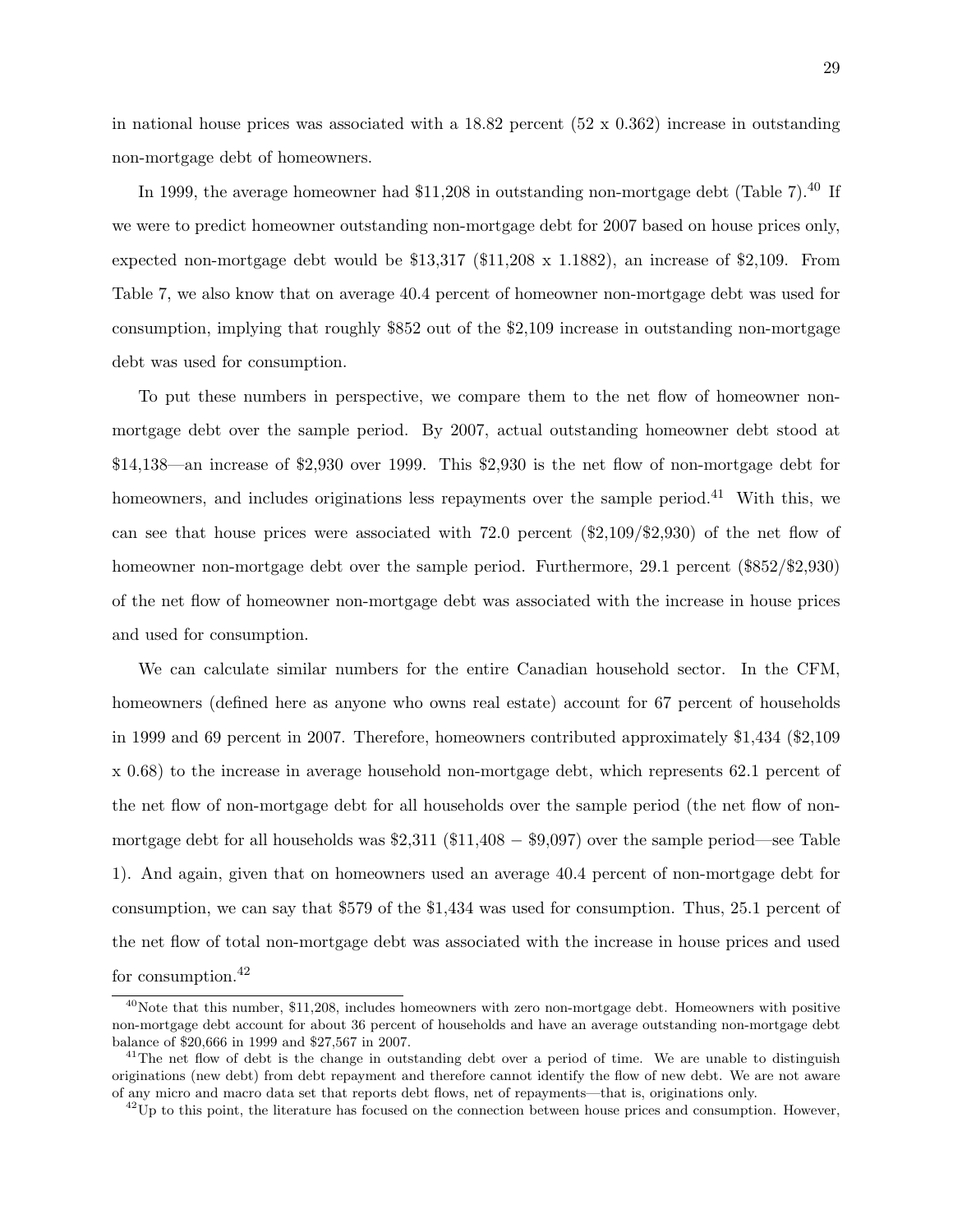in national house prices was associated with a 18.82 percent  $(52 \times 0.362)$  increase in outstanding non-mortgage debt of homeowners.

In 1999, the average homeowner had \$11,208 in outstanding non-mortgage debt (Table 7).<sup>40</sup> If we were to predict homeowner outstanding non-mortgage debt for 2007 based on house prices only, expected non-mortgage debt would be  $$13,317$  ( $$11,208 \times 1.1882$ ), an increase of  $$2,109$ . From Table 7, we also know that on average 40.4 percent of homeowner non-mortgage debt was used for consumption, implying that roughly \$852 out of the \$2,109 increase in outstanding non-mortgage debt was used for consumption.

To put these numbers in perspective, we compare them to the net flow of homeowner nonmortgage debt over the sample period. By 2007, actual outstanding homeowner debt stood at \$14,138—an increase of \$2,930 over 1999. This \$2,930 is the net flow of non-mortgage debt for homeowners, and includes originations less repayments over the sample period.<sup>41</sup> With this, we can see that house prices were associated with 72.0 percent (\$2,109/\$2,930) of the net flow of homeowner non-mortgage debt over the sample period. Furthermore, 29.1 percent (\$852/\$2,930) of the net flow of homeowner non-mortgage debt was associated with the increase in house prices and used for consumption.

We can calculate similar numbers for the entire Canadian household sector. In the CFM, homeowners (defined here as anyone who owns real estate) account for 67 percent of households in 1999 and 69 percent in 2007. Therefore, homeowners contributed approximately \$1,434 (\$2,109 x 0.68) to the increase in average household non-mortgage debt, which represents 62.1 percent of the net flow of non-mortgage debt for all households over the sample period (the net flow of nonmortgage debt for all households was  $$2,311$  ( $$11,408 - $9,097$ ) over the sample period—see Table 1). And again, given that on homeowners used an average 40.4 percent of non-mortgage debt for consumption, we can say that \$579 of the \$1,434 was used for consumption. Thus, 25.1 percent of the net flow of total non-mortgage debt was associated with the increase in house prices and used for consumption.<sup>42</sup>

 $40$ Note that this number, \$11,208, includes homeowners with zero non-mortgage debt. Homeowners with positive non-mortgage debt account for about 36 percent of households and have an average outstanding non-mortgage debt balance of \$20,666 in 1999 and \$27,567 in 2007.

<sup>&</sup>lt;sup>41</sup>The net flow of debt is the change in outstanding debt over a period of time. We are unable to distinguish originations (new debt) from debt repayment and therefore cannot identify the flow of new debt. We are not aware of any micro and macro data set that reports debt flows, net of repayments—that is, originations only.

 $^{42}$ Up to this point, the literature has focused on the connection between house prices and consumption. However,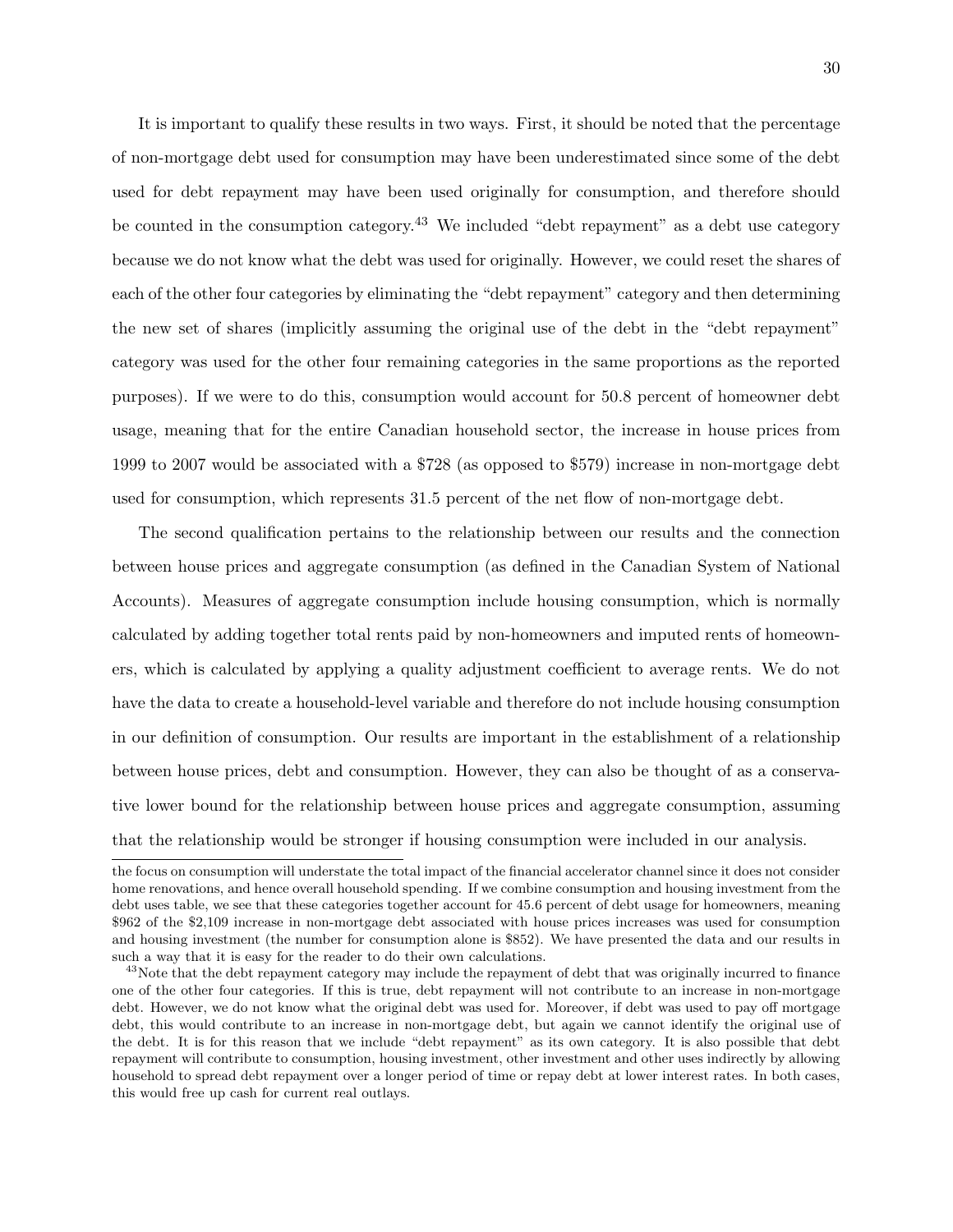It is important to qualify these results in two ways. First, it should be noted that the percentage of non-mortgage debt used for consumption may have been underestimated since some of the debt used for debt repayment may have been used originally for consumption, and therefore should be counted in the consumption category.<sup>43</sup> We included "debt repayment" as a debt use category because we do not know what the debt was used for originally. However, we could reset the shares of each of the other four categories by eliminating the "debt repayment" category and then determining the new set of shares (implicitly assuming the original use of the debt in the "debt repayment" category was used for the other four remaining categories in the same proportions as the reported purposes). If we were to do this, consumption would account for 50.8 percent of homeowner debt usage, meaning that for the entire Canadian household sector, the increase in house prices from 1999 to 2007 would be associated with a \$728 (as opposed to \$579) increase in non-mortgage debt used for consumption, which represents 31.5 percent of the net flow of non-mortgage debt.

The second qualification pertains to the relationship between our results and the connection between house prices and aggregate consumption (as defined in the Canadian System of National Accounts). Measures of aggregate consumption include housing consumption, which is normally calculated by adding together total rents paid by non-homeowners and imputed rents of homeowners, which is calculated by applying a quality adjustment coefficient to average rents. We do not have the data to create a household-level variable and therefore do not include housing consumption in our definition of consumption. Our results are important in the establishment of a relationship between house prices, debt and consumption. However, they can also be thought of as a conservative lower bound for the relationship between house prices and aggregate consumption, assuming that the relationship would be stronger if housing consumption were included in our analysis.

the focus on consumption will understate the total impact of the financial accelerator channel since it does not consider home renovations, and hence overall household spending. If we combine consumption and housing investment from the debt uses table, we see that these categories together account for 45.6 percent of debt usage for homeowners, meaning \$962 of the \$2,109 increase in non-mortgage debt associated with house prices increases was used for consumption and housing investment (the number for consumption alone is \$852). We have presented the data and our results in such a way that it is easy for the reader to do their own calculations.

<sup>&</sup>lt;sup>43</sup>Note that the debt repayment category may include the repayment of debt that was originally incurred to finance one of the other four categories. If this is true, debt repayment will not contribute to an increase in non-mortgage debt. However, we do not know what the original debt was used for. Moreover, if debt was used to pay off mortgage debt, this would contribute to an increase in non-mortgage debt, but again we cannot identify the original use of the debt. It is for this reason that we include "debt repayment" as its own category. It is also possible that debt repayment will contribute to consumption, housing investment, other investment and other uses indirectly by allowing household to spread debt repayment over a longer period of time or repay debt at lower interest rates. In both cases, this would free up cash for current real outlays.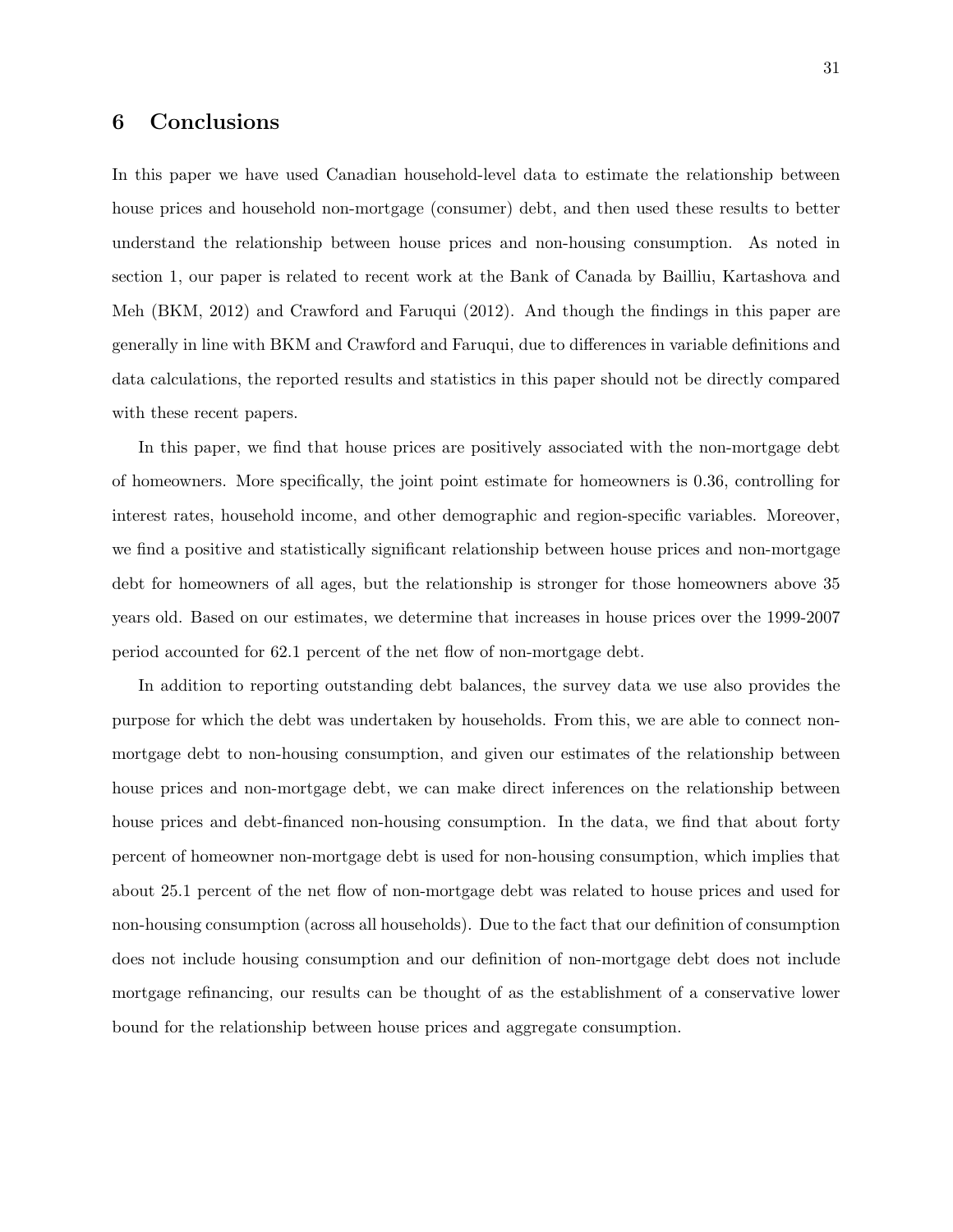## 6 Conclusions

In this paper we have used Canadian household-level data to estimate the relationship between house prices and household non-mortgage (consumer) debt, and then used these results to better understand the relationship between house prices and non-housing consumption. As noted in section 1, our paper is related to recent work at the Bank of Canada by Bailliu, Kartashova and Meh (BKM, 2012) and Crawford and Faruqui (2012). And though the findings in this paper are generally in line with BKM and Crawford and Faruqui, due to differences in variable definitions and data calculations, the reported results and statistics in this paper should not be directly compared with these recent papers.

In this paper, we find that house prices are positively associated with the non-mortgage debt of homeowners. More specifically, the joint point estimate for homeowners is 0.36, controlling for interest rates, household income, and other demographic and region-specific variables. Moreover, we find a positive and statistically significant relationship between house prices and non-mortgage debt for homeowners of all ages, but the relationship is stronger for those homeowners above 35 years old. Based on our estimates, we determine that increases in house prices over the 1999-2007 period accounted for 62.1 percent of the net flow of non-mortgage debt.

In addition to reporting outstanding debt balances, the survey data we use also provides the purpose for which the debt was undertaken by households. From this, we are able to connect nonmortgage debt to non-housing consumption, and given our estimates of the relationship between house prices and non-mortgage debt, we can make direct inferences on the relationship between house prices and debt-financed non-housing consumption. In the data, we find that about forty percent of homeowner non-mortgage debt is used for non-housing consumption, which implies that about 25.1 percent of the net flow of non-mortgage debt was related to house prices and used for non-housing consumption (across all households). Due to the fact that our definition of consumption does not include housing consumption and our definition of non-mortgage debt does not include mortgage refinancing, our results can be thought of as the establishment of a conservative lower bound for the relationship between house prices and aggregate consumption.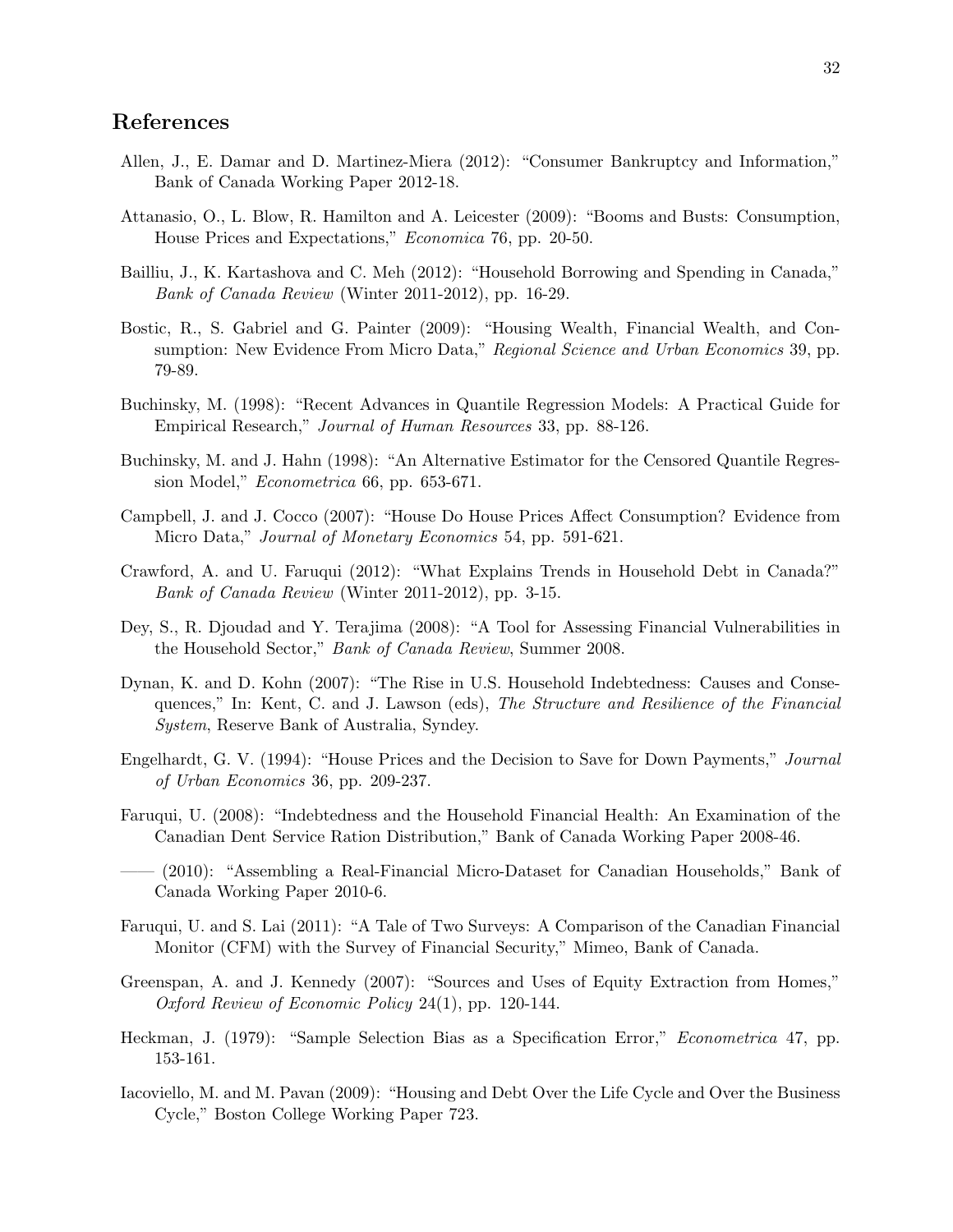## References

- Allen, J., E. Damar and D. Martinez-Miera (2012): "Consumer Bankruptcy and Information," Bank of Canada Working Paper 2012-18.
- Attanasio, O., L. Blow, R. Hamilton and A. Leicester (2009): "Booms and Busts: Consumption, House Prices and Expectations," Economica 76, pp. 20-50.
- Bailliu, J., K. Kartashova and C. Meh (2012): "Household Borrowing and Spending in Canada," Bank of Canada Review (Winter 2011-2012), pp. 16-29.
- Bostic, R., S. Gabriel and G. Painter (2009): "Housing Wealth, Financial Wealth, and Consumption: New Evidence From Micro Data," Regional Science and Urban Economics 39, pp. 79-89.
- Buchinsky, M. (1998): "Recent Advances in Quantile Regression Models: A Practical Guide for Empirical Research," Journal of Human Resources 33, pp. 88-126.
- Buchinsky, M. and J. Hahn (1998): "An Alternative Estimator for the Censored Quantile Regression Model," Econometrica 66, pp. 653-671.
- Campbell, J. and J. Cocco (2007): "House Do House Prices Affect Consumption? Evidence from Micro Data," Journal of Monetary Economics 54, pp. 591-621.
- Crawford, A. and U. Faruqui (2012): "What Explains Trends in Household Debt in Canada?" Bank of Canada Review (Winter 2011-2012), pp. 3-15.
- Dey, S., R. Djoudad and Y. Terajima (2008): "A Tool for Assessing Financial Vulnerabilities in the Household Sector," Bank of Canada Review, Summer 2008.
- Dynan, K. and D. Kohn (2007): "The Rise in U.S. Household Indebtedness: Causes and Consequences," In: Kent, C. and J. Lawson (eds), The Structure and Resilience of the Financial System, Reserve Bank of Australia, Syndey.
- Engelhardt, G. V. (1994): "House Prices and the Decision to Save for Down Payments," Journal of Urban Economics 36, pp. 209-237.
- Faruqui, U. (2008): "Indebtedness and the Household Financial Health: An Examination of the Canadian Dent Service Ration Distribution," Bank of Canada Working Paper 2008-46.
- —— (2010): "Assembling a Real-Financial Micro-Dataset for Canadian Households," Bank of Canada Working Paper 2010-6.
- Faruqui, U. and S. Lai (2011): "A Tale of Two Surveys: A Comparison of the Canadian Financial Monitor (CFM) with the Survey of Financial Security," Mimeo, Bank of Canada.
- Greenspan, A. and J. Kennedy (2007): "Sources and Uses of Equity Extraction from Homes," Oxford Review of Economic Policy 24(1), pp. 120-144.
- Heckman, J. (1979): "Sample Selection Bias as a Specification Error," Econometrica 47, pp. 153-161.
- Iacoviello, M. and M. Pavan (2009): "Housing and Debt Over the Life Cycle and Over the Business Cycle," Boston College Working Paper 723.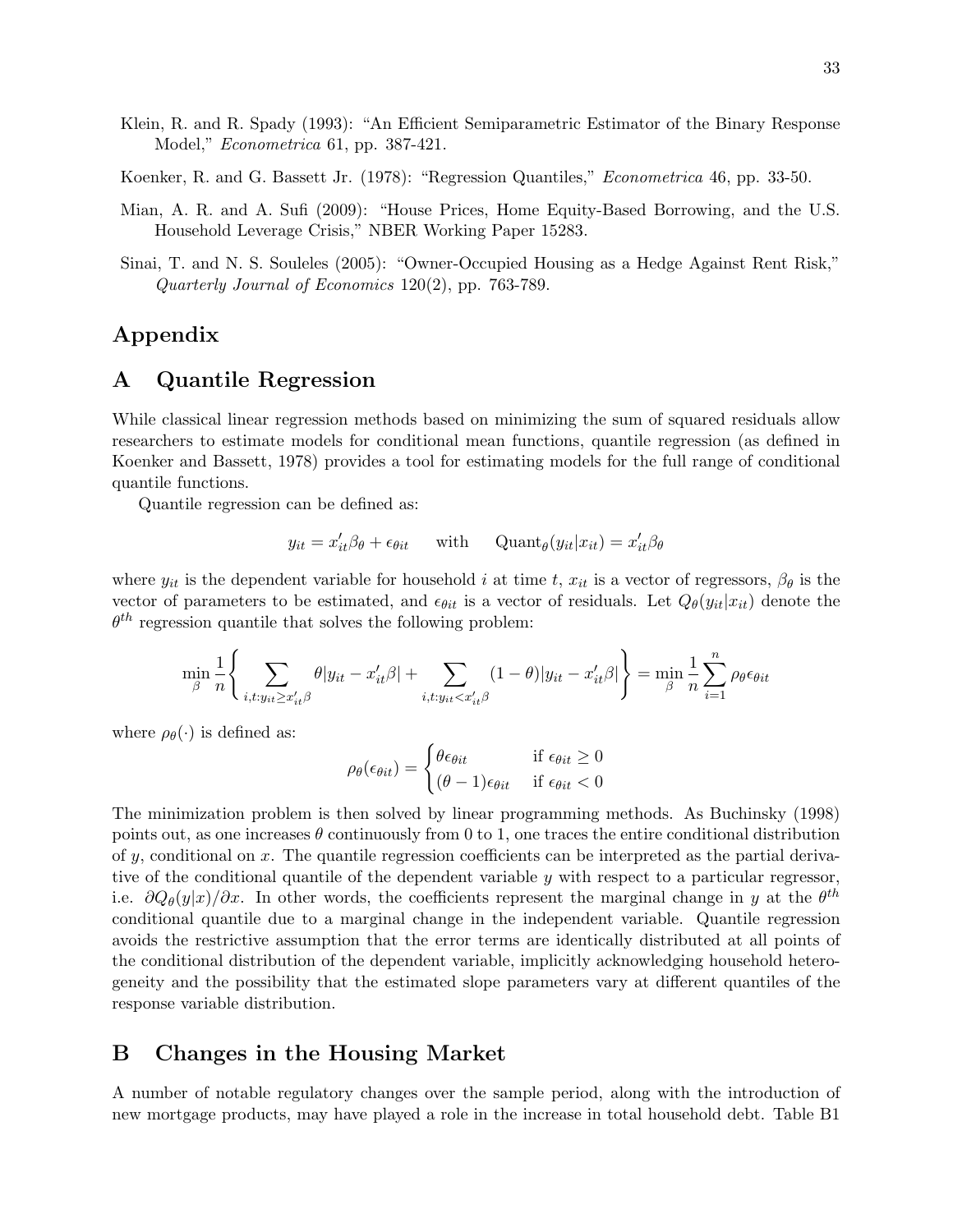- Klein, R. and R. Spady (1993): "An Efficient Semiparametric Estimator of the Binary Response Model," Econometrica 61, pp. 387-421.
- Koenker, R. and G. Bassett Jr. (1978): "Regression Quantiles," Econometrica 46, pp. 33-50.
- Mian, A. R. and A. Sufi (2009): "House Prices, Home Equity-Based Borrowing, and the U.S. Household Leverage Crisis," NBER Working Paper 15283.
- Sinai, T. and N. S. Souleles (2005): "Owner-Occupied Housing as a Hedge Against Rent Risk," Quarterly Journal of Economics 120(2), pp. 763-789.

## Appendix

### A Quantile Regression

While classical linear regression methods based on minimizing the sum of squared residuals allow researchers to estimate models for conditional mean functions, quantile regression (as defined in Koenker and Bassett, 1978) provides a tool for estimating models for the full range of conditional quantile functions.

Quantile regression can be defined as:

$$
y_{it} = x_{it}'\beta_{\theta} + \epsilon_{\theta it} \quad \text{with} \quad \text{Quant}_{\theta}(y_{it}|x_{it}) = x_{it}'\beta_{\theta}
$$

where  $y_{it}$  is the dependent variable for household i at time t,  $x_{it}$  is a vector of regressors,  $\beta_{\theta}$  is the vector of parameters to be estimated, and  $\epsilon_{\theta it}$  is a vector of residuals. Let  $Q_{\theta}(y_{it}|x_{it})$  denote the  $\theta^{th}$  regression quantile that solves the following problem:

$$
\min_{\beta} \frac{1}{n} \Bigg\{ \sum_{i,t: y_{it} \geq x_{it}^{\prime} \beta} \theta | y_{it} - x_{it}^{\prime} \beta | + \sum_{i,t: y_{it} < x_{it}^{\prime} \beta} (1 - \theta) | y_{it} - x_{it}^{\prime} \beta | \Bigg\} = \min_{\beta} \frac{1}{n} \sum_{i=1}^{n} \rho_{\theta} \epsilon_{\theta i t}
$$

where  $\rho_{\theta}(\cdot)$  is defined as:

$$
\rho_{\theta}(\epsilon_{\theta it}) = \begin{cases} \theta \epsilon_{\theta it} & \text{if } \epsilon_{\theta it} \ge 0\\ (\theta - 1)\epsilon_{\theta it} & \text{if } \epsilon_{\theta it} < 0 \end{cases}
$$

The minimization problem is then solved by linear programming methods. As Buchinsky (1998) points out, as one increases  $\theta$  continuously from 0 to 1, one traces the entire conditional distribution of y, conditional on x. The quantile regression coefficients can be interpreted as the partial derivative of the conditional quantile of the dependent variable  $y$  with respect to a particular regressor, i.e.  $\partial Q_{\theta}(y|x)/\partial x$ . In other words, the coefficients represent the marginal change in y at the  $\theta^{th}$ conditional quantile due to a marginal change in the independent variable. Quantile regression avoids the restrictive assumption that the error terms are identically distributed at all points of the conditional distribution of the dependent variable, implicitly acknowledging household heterogeneity and the possibility that the estimated slope parameters vary at different quantiles of the response variable distribution.

### B Changes in the Housing Market

A number of notable regulatory changes over the sample period, along with the introduction of new mortgage products, may have played a role in the increase in total household debt. Table B1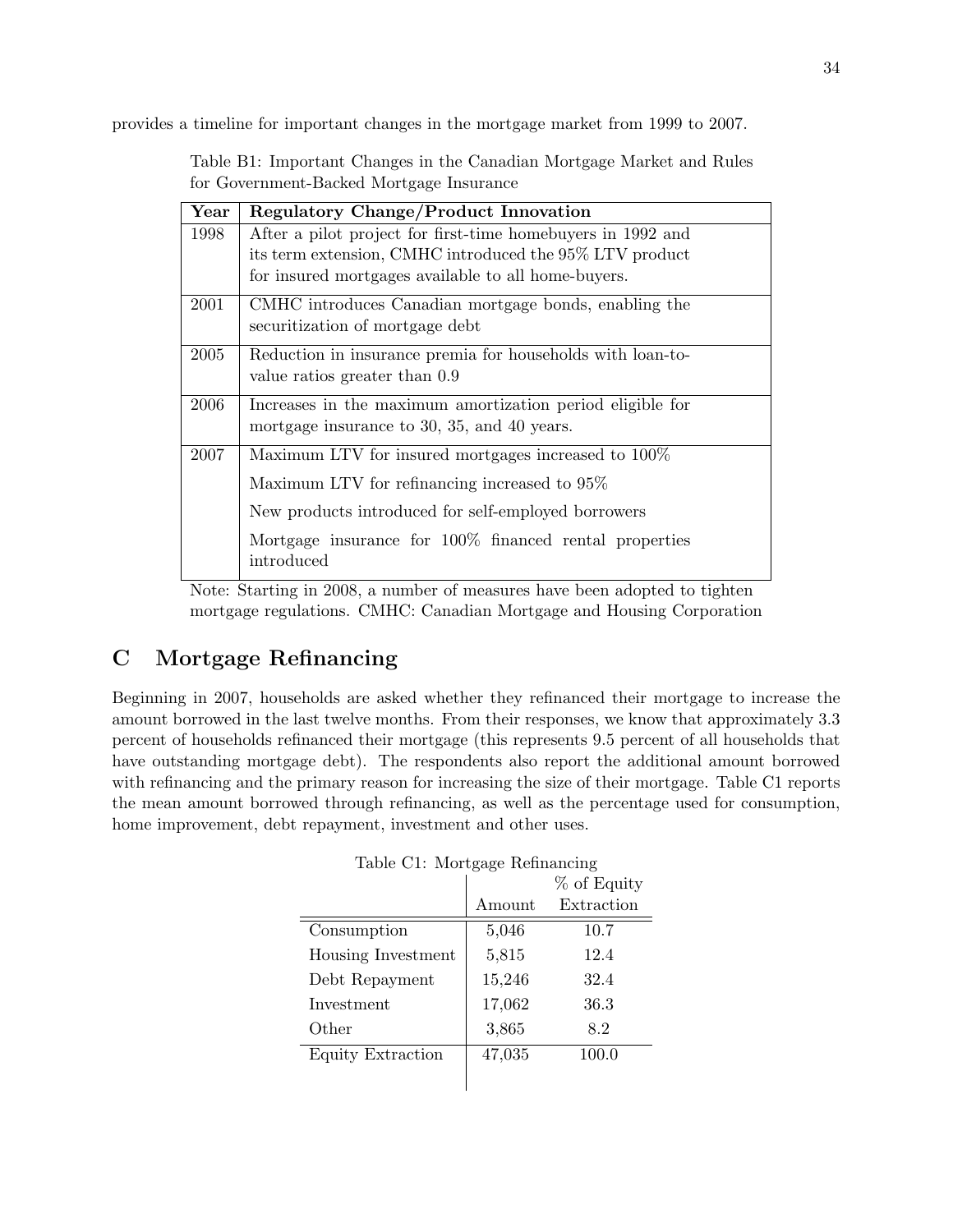provides a timeline for important changes in the mortgage market from 1999 to 2007.

| $\operatorname{Year}$ | <b>Regulatory Change/Product Innovation</b>                          |
|-----------------------|----------------------------------------------------------------------|
| 1998                  | After a pilot project for first-time homebuyers in 1992 and          |
|                       | its term extension, CMHC introduced the 95% LTV product              |
|                       | for insured mortgages available to all home-buyers.                  |
| 2001                  | CMHC introduces Canadian mortgage bonds, enabling the                |
|                       | securitization of mortgage debt                                      |
| 2005                  | Reduction in insurance premia for households with loan-to-           |
|                       | value ratios greater than 0.9                                        |
| 2006                  | Increases in the maximum amortization period eligible for            |
|                       | mortgage insurance to 30, 35, and 40 years.                          |
| 2007                  | Maximum LTV for insured mortgages increased to 100%                  |
|                       | Maximum LTV for refinancing increased to 95%                         |
|                       | New products introduced for self-employed borrowers                  |
|                       | Mortgage insurance for 100% financed rental properties<br>introduced |

Table B1: Important Changes in the Canadian Mortgage Market and Rules for Government-Backed Mortgage Insurance

Note: Starting in 2008, a number of measures have been adopted to tighten mortgage regulations. CMHC: Canadian Mortgage and Housing Corporation

## C Mortgage Refinancing

Beginning in 2007, households are asked whether they refinanced their mortgage to increase the amount borrowed in the last twelve months. From their responses, we know that approximately 3.3 percent of households refinanced their mortgage (this represents 9.5 percent of all households that have outstanding mortgage debt). The respondents also report the additional amount borrowed with refinancing and the primary reason for increasing the size of their mortgage. Table C1 reports the mean amount borrowed through refinancing, as well as the percentage used for consumption, home improvement, debt repayment, investment and other uses.

|                    |        | % of Equity |
|--------------------|--------|-------------|
|                    | Amount | Extraction  |
| Consumption        | 5,046  | 10.7        |
| Housing Investment | 5,815  | 12.4        |
| Debt Repayment     | 15,246 | 32.4        |
| Investment         | 17,062 | 36.3        |
| Other              | 3,865  | 8.2         |
| Equity Extraction  | 47,035 | 100.0       |
|                    |        |             |

Table C1: Mortgage Refinancing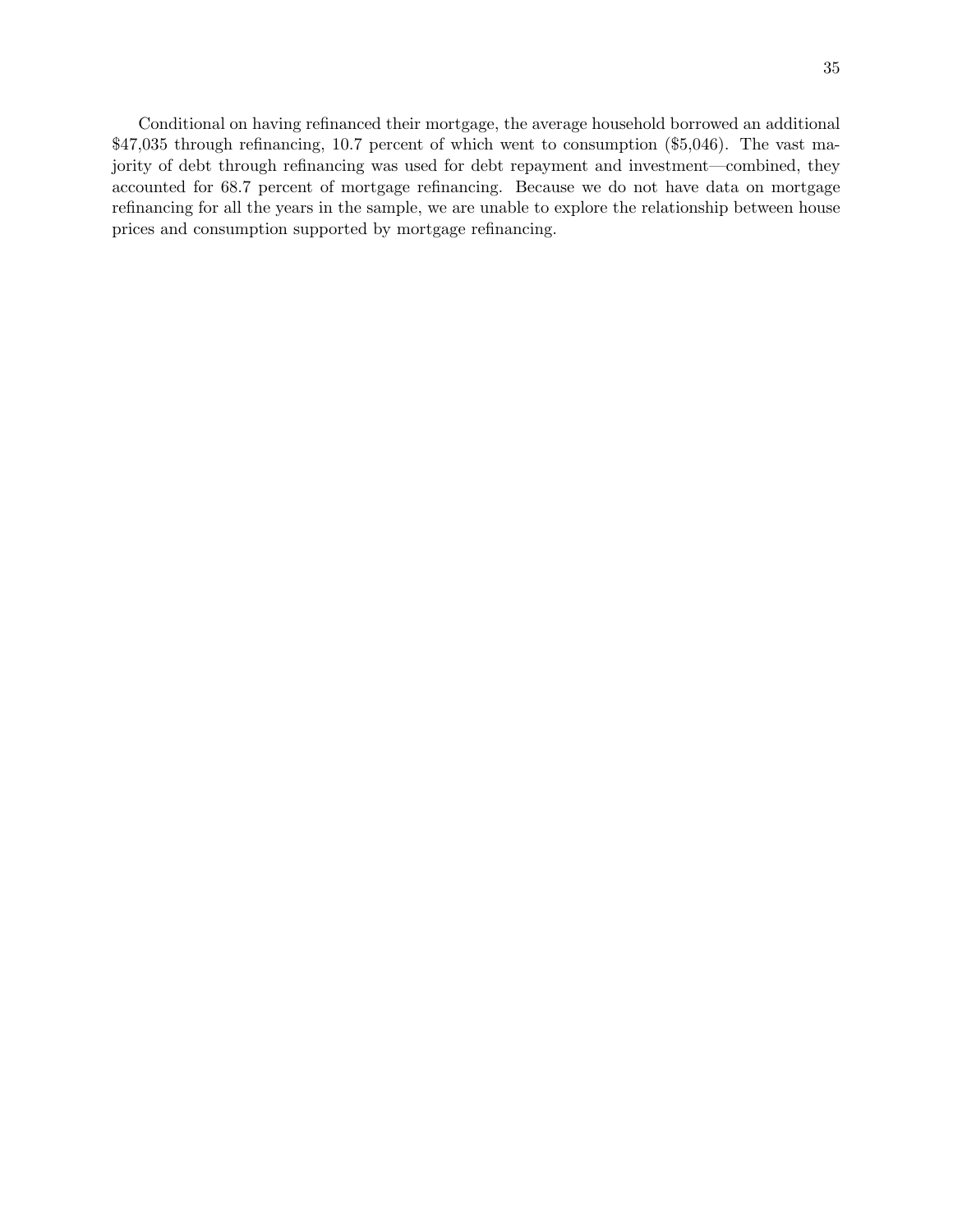Conditional on having refinanced their mortgage, the average household borrowed an additional \$47,035 through refinancing, 10.7 percent of which went to consumption (\$5,046). The vast majority of debt through refinancing was used for debt repayment and investment—combined, they accounted for 68.7 percent of mortgage refinancing. Because we do not have data on mortgage refinancing for all the years in the sample, we are unable to explore the relationship between house prices and consumption supported by mortgage refinancing.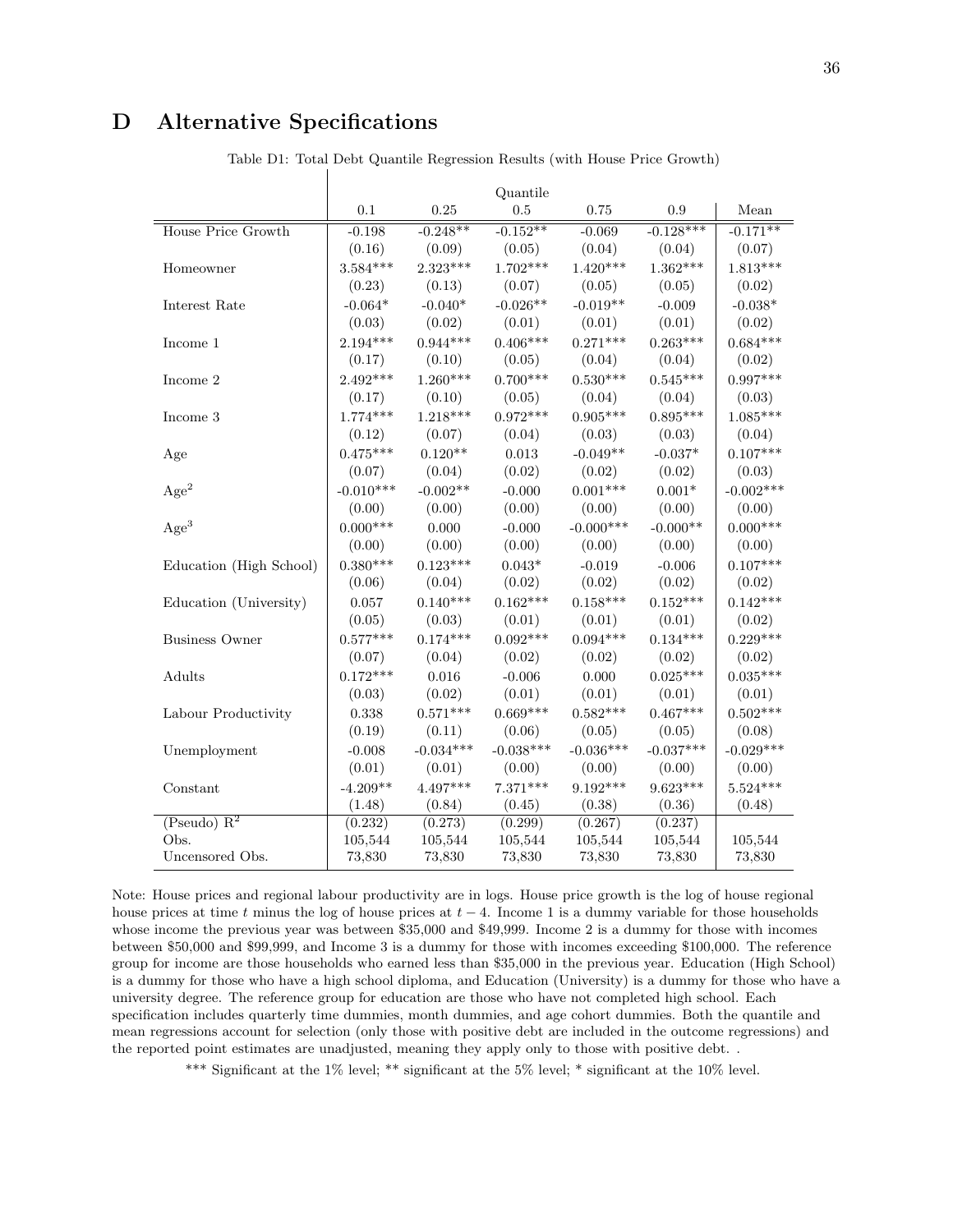## D Alternative Specifications

|                           | Quantile    |             |             |             |             |             |
|---------------------------|-------------|-------------|-------------|-------------|-------------|-------------|
|                           | 0.1         | 0.25        | 0.5         | 0.75        | 0.9         | Mean        |
| <b>House Price Growth</b> | $-0.198$    | $-0.248**$  | $-0.152**$  | $-0.069$    | $-0.128***$ | $-0.171**$  |
|                           | (0.16)      | (0.09)      | (0.05)      | (0.04)      | (0.04)      | (0.07)      |
| Homeowner                 | $3.584***$  | $2.323***$  | $1.702***$  | $1.420***$  | $1.362***$  | $1.813***$  |
|                           | (0.23)      | (0.13)      | (0.07)      | (0.05)      | (0.05)      | (0.02)      |
| Interest Rate             | $-0.064*$   | $-0.040*$   | $-0.026**$  | $-0.019**$  | $-0.009$    | $-0.038*$   |
|                           | (0.03)      | (0.02)      | (0.01)      | (0.01)      | (0.01)      | (0.02)      |
| Income 1                  | $2.194***$  | $0.944***$  | $0.406***$  | $0.271***$  | $0.263***$  | $0.684***$  |
|                           | (0.17)      | (0.10)      | (0.05)      | (0.04)      | (0.04)      | (0.02)      |
| Income 2                  | $2.492***$  | $1.260***$  | $0.700***$  | $0.530***$  | $0.545***$  | $0.997***$  |
|                           | (0.17)      | (0.10)      | (0.05)      | (0.04)      | (0.04)      | (0.03)      |
| Income 3                  | $1.774***$  | $1.218***$  | $0.972***$  | $0.905***$  | $0.895***$  | $1.085***$  |
|                           | (0.12)      | (0.07)      | (0.04)      | (0.03)      | (0.03)      | (0.04)      |
| Age                       | $0.475***$  | $0.120**$   | 0.013       | $-0.049**$  | $-0.037*$   | $0.107***$  |
|                           | (0.07)      | (0.04)      | (0.02)      | (0.02)      | (0.02)      | (0.03)      |
| Age <sup>2</sup>          | $-0.010***$ | $-0.002**$  | $-0.000$    | $0.001***$  | $0.001*$    | $-0.002***$ |
|                           | (0.00)      | (0.00)      | (0.00)      | (0.00)      | (0.00)      | (0.00)      |
| Age <sup>3</sup>          | $0.000***$  | 0.000       | $-0.000$    | $-0.000***$ | $-0.000**$  | $0.000***$  |
|                           | (0.00)      | (0.00)      | (0.00)      | (0.00)      | (0.00)      | (0.00)      |
| Education (High School)   | $0.380***$  | $0.123***$  | $0.043*$    | $-0.019$    | $-0.006$    | $0.107***$  |
|                           | (0.06)      | (0.04)      | (0.02)      | (0.02)      | (0.02)      | (0.02)      |
| Education (University)    | 0.057       | $0.140***$  | $0.162***$  | $0.158***$  | $0.152***$  | $0.142***$  |
|                           | (0.05)      | (0.03)      | (0.01)      | (0.01)      | (0.01)      | (0.02)      |
| <b>Business Owner</b>     | $0.577***$  | $0.174***$  | $0.092***$  | $0.094***$  | $0.134***$  | $0.229***$  |
|                           | (0.07)      | (0.04)      | (0.02)      | (0.02)      | (0.02)      | (0.02)      |
| Adults                    | $0.172***$  | 0.016       | $-0.006$    | 0.000       | $0.025***$  | $0.035***$  |
|                           | (0.03)      | (0.02)      | (0.01)      | (0.01)      | (0.01)      | (0.01)      |
| Labour Productivity       | 0.338       | $0.571***$  | $0.669***$  | $0.582***$  | $0.467***$  | $0.502***$  |
|                           | (0.19)      | (0.11)      | (0.06)      | (0.05)      | (0.05)      | (0.08)      |
| Unemployment              | $-0.008$    | $-0.034***$ | $-0.038***$ | $-0.036***$ | $-0.037***$ | $-0.029***$ |
|                           | (0.01)      | (0.01)      | (0.00)      | (0.00)      | (0.00)      | (0.00)      |
| Constant                  | $-4.209**$  | $4.497***$  | $7.371***$  | $9.192***$  | $9.623***$  | $5.524***$  |
|                           | (1.48)      | (0.84)      | (0.45)      | (0.38)      | (0.36)      | (0.48)      |
| (Pseudo) R <sup>2</sup>   | (0.232)     | (0.273)     | (0.299)     | (0.267)     | (0.237)     |             |
| Obs.                      | 105,544     | 105,544     | 105,544     | 105,544     | 105,544     | 105,544     |
| Uncensored Obs.           | 73,830      | 73,830      | 73,830      | 73,830      | 73,830      | 73,830      |

Table D1: Total Debt Quantile Regression Results (with House Price Growth)

Note: House prices and regional labour productivity are in logs. House price growth is the log of house regional house prices at time t minus the log of house prices at  $t - 4$ . Income 1 is a dummy variable for those households whose income the previous year was between \$35,000 and \$49,999. Income 2 is a dummy for those with incomes between \$50,000 and \$99,999, and Income 3 is a dummy for those with incomes exceeding \$100,000. The reference group for income are those households who earned less than \$35,000 in the previous year. Education (High School) is a dummy for those who have a high school diploma, and Education (University) is a dummy for those who have a university degree. The reference group for education are those who have not completed high school. Each specification includes quarterly time dummies, month dummies, and age cohort dummies. Both the quantile and mean regressions account for selection (only those with positive debt are included in the outcome regressions) and the reported point estimates are unadjusted, meaning they apply only to those with positive debt. .

\*\*\* Significant at the 1% level; \*\* significant at the 5% level; \* significant at the 10% level.